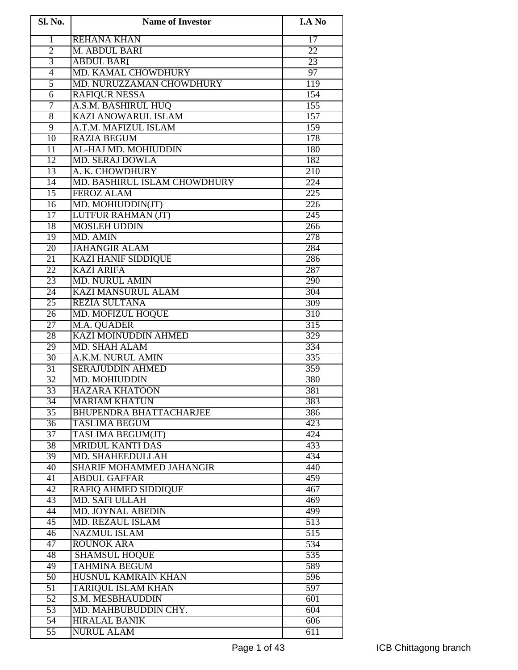| Sl. No.         | <b>Name of Investor</b>         | <b>I.A No</b>    |
|-----------------|---------------------------------|------------------|
| $\mathbf{1}$    | <b>REHANA KHAN</b>              | $\overline{17}$  |
| $\overline{2}$  | M. ABDUL BARI                   | 22               |
| $\overline{3}$  | <b>ABDUL BARI</b>               | 23               |
| $\overline{4}$  | MD. KAMAL CHOWDHURY             | 97               |
| $\overline{5}$  | MD. NURUZZAMAN CHOWDHURY        | 119              |
| $\overline{6}$  | <b>RAFIQUR NESSA</b>            | 154              |
| 7               | A.S.M. BASHIRUL HUQ             | 155              |
| $\overline{8}$  | <b>KAZI ANOWARUL ISLAM</b>      | 157              |
| $\overline{9}$  | A.T.M. MAFIZUL ISLAM            | 159              |
| $\overline{10}$ | <b>RAZIA BEGUM</b>              | 178              |
| $\overline{11}$ | AL-HAJ MD. MOHIUDDIN            | 180              |
| $\overline{12}$ | <b>MD. SERAJ DOWLA</b>          | 182              |
| 13              | A. K. CHOWDHURY                 | $\overline{210}$ |
| $\overline{14}$ | MD. BASHIRUL ISLAM CHOWDHURY    | $\overline{224}$ |
| $\overline{15}$ | <b>FEROZ ALAM</b>               | $\overline{225}$ |
| 16              | MD. MOHIUDDIN(JT)               | 226              |
| 17              | <b>LUTFUR RAHMAN (JT)</b>       | 245              |
| 18              | <b>MOSLEH UDDIN</b>             | 266              |
| 19              | MD. AMIN                        | 278              |
| $\overline{20}$ | <b>JAHANGIR ALAM</b>            | 284              |
| 21              | <b>KAZI HANIF SIDDIQUE</b>      | 286              |
| $\overline{22}$ | <b>KAZI ARIFA</b>               | 287              |
| 23              | <b>MD. NURUL AMIN</b>           | 290              |
| 24              | <b>KAZI MANSURUL ALAM</b>       | 304              |
| 25              | <b>REZIA SULTANA</b>            | 309              |
| $\overline{26}$ | <b>MD. MOFIZUL HOQUE</b>        | 310              |
| $\overline{27}$ | M.A. QUADER                     | $\overline{315}$ |
| 28              | <b>KAZI MOINUDDIN AHMED</b>     | 329              |
| 29              | <b>MD. SHAH ALAM</b>            | 334              |
| 30              | A.K.M. NURUL AMIN               | 335              |
| 31              | <b>SERAJUDDIN AHMED</b>         | 359              |
| 32              | <b>MD. MOHIUDDIN</b>            | 380              |
| 33              | <b>HAZARA KHATOON</b>           | 381              |
| 34              | <b>MARIAM KHATUN</b>            | 383              |
| $\overline{35}$ | <b>BHUPENDRA BHATTACHARJEE</b>  | 386              |
| $\overline{36}$ | <b>TASLIMA BEGUM</b>            | 423              |
| $\overline{37}$ | <b>TASLIMA BEGUM(JT)</b>        | 424              |
| $\overline{38}$ | <b>MRIDUL KANTI DAS</b>         | 433              |
| 39              | MD. SHAHEEDULLAH                | 434              |
| $\overline{40}$ | <b>SHARIF MOHAMMED JAHANGIR</b> | 440              |
| 41              | <b>ABDUL GAFFAR</b>             | 459              |
| 42              | <b>RAFIQ AHMED SIDDIQUE</b>     | 467              |
| 43              | <b>MD. SAFI ULLAH</b>           | 469              |
| 44              | <b>MD. JOYNAL ABEDIN</b>        | 499              |
| 45              | <b>MD. REZAUL ISLAM</b>         | $\overline{513}$ |
| $\overline{46}$ | <b>NAZMUL ISLAM</b>             | 515              |
| 47              | <b>ROUNOK ARA</b>               | 534              |
| 48              | <b>SHAMSUL HOQUE</b>            | 535              |
| 49              | <b>TAHMINA BEGUM</b>            | 589              |
| 50              | HUSNUL KAMRAIN KHAN             | 596              |
| $\overline{51}$ | <b>TARIQUL ISLAM KHAN</b>       | 597              |
| $\overline{52}$ | S.M. MESBHAUDDIN                | 601              |
| $\overline{53}$ | MD. MAHBUBUDDIN CHY.            | 604              |
| $\overline{54}$ | <b>HIRALAL BANIK</b>            | 606              |
| $\overline{55}$ | <b>NURUL ALAM</b>               | $\overline{611}$ |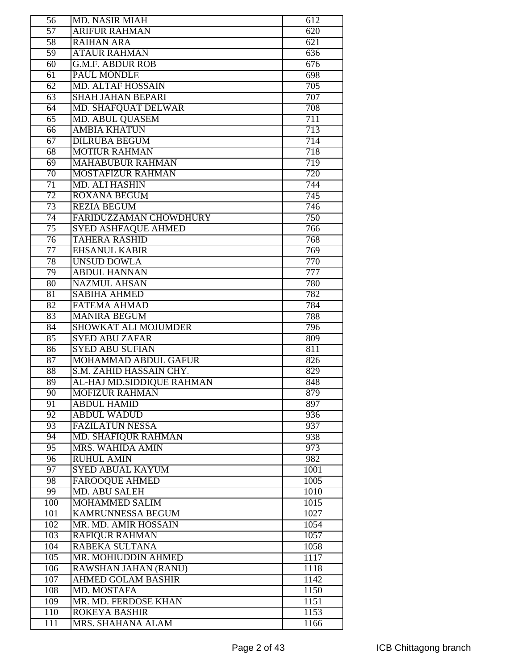| 56              | <b>MD. NASIR MIAH</b>                     | 612              |
|-----------------|-------------------------------------------|------------------|
| 57              | <b>ARIFUR RAHMAN</b>                      | 620              |
| 58              | <b>RAIHAN ARA</b>                         | $\overline{621}$ |
| $\overline{59}$ | <b>ATAUR RAHMAN</b>                       | 636              |
| $\overline{60}$ | <b>G.M.F. ABDUR ROB</b>                   | 676              |
| $\overline{61}$ | <b>PAUL MONDLE</b>                        | 698              |
| 62              | <b>MD. ALTAF HOSSAIN</b>                  | 705              |
| $\overline{63}$ | <b>SHAH JAHAN BEPARI</b>                  | 707              |
| 64              | MD. SHAFQUAT DELWAR                       | 708              |
| $\overline{65}$ | <b>MD. ABUL QUASEM</b>                    | 711              |
| 66              | <b>AMBIA KHATUN</b>                       | 713              |
| $\overline{67}$ | <b>DILRUBA BEGUM</b>                      | 714              |
| $\overline{68}$ | <b>MOTIUR RAHMAN</b>                      | 718              |
|                 |                                           |                  |
| $\overline{69}$ | <b>MAHABUBUR RAHMAN</b>                   | 719              |
| 70              | <b>MOSTAFIZUR RAHMAN</b>                  | 720              |
| 71              | <b>MD. ALI HASHIN</b>                     | 744              |
| 72              | <b>ROXANA BEGUM</b>                       | 745              |
| 73              | <b>REZIA BEGUM</b>                        | 746              |
| 74              | <b>FARIDUZZAMAN CHOWDHURY</b>             | 750              |
| 75              | <b>SYED ASHFAQUE AHMED</b>                | 766              |
| $\overline{76}$ | <b>TAHERA RASHID</b>                      | 768              |
| 77              | <b>EHSANUL KABIR</b>                      | 769              |
| 78              | <b>UNSUD DOWLA</b>                        | 770              |
| 79              | <b>ABDUL HANNAN</b>                       | 777              |
| 80              | <b>NAZMUL AHSAN</b>                       | 780              |
| 81              | <b>SABIHA AHMED</b>                       | 782              |
| $\overline{82}$ | <b>FATEMA AHMAD</b>                       | 784              |
| 83              | <b>MANIRA BEGUM</b>                       | 788              |
| 84              | <b>SHOWKAT ALI MOJUMDER</b>               | 796              |
| 85              | <b>SYED ABU ZAFAR</b>                     |                  |
|                 |                                           | 809              |
| 86              | <b>SYED ABU SUFIAN</b>                    | 811              |
| $\overline{87}$ | MOHAMMAD ABDUL GAFUR                      | 826              |
| $\overline{88}$ | S.M. ZAHID HASSAIN CHY.                   | 829              |
| 89              | AL-HAJ MD.SIDDIOUE RAHMAN                 | 848              |
|                 |                                           |                  |
| $\overline{90}$ | <b>MOFIZUR RAHMAN</b>                     | 879<br>897       |
| 91              | <b>ABDUL HAMID</b>                        |                  |
| 92              | <b>ABDUL WADUD</b>                        | 936              |
| 93              | <b>FAZILATUN NESSA</b>                    | 937              |
| 94              | MD. SHAFIQUR RAHMAN                       | 938              |
| 95              | <b>MRS. WAHIDA AMIN</b>                   | 973              |
| 96              | <b>RUHUL AMIN</b>                         | 982              |
| 97              | <b>SYED ABUAL KAYUM</b>                   | 1001             |
| 98              | <b>FAROOQUE AHMED</b>                     | 1005             |
| 99              | <b>MD. ABU SALEH</b>                      | 1010             |
| 100             | <b>MOHAMMED SALIM</b>                     | 1015             |
| 101             | <b>KAMRUNNESSA BEGUM</b>                  | 1027             |
| 102             | MR. MD. AMIR HOSSAIN                      | 1054             |
| 103             | <b>RAFIQUR RAHMAN</b>                     | 1057             |
| 104             | RABEKA SULTANA                            | 1058             |
| 105             | MR. MOHIUDDIN AHMED                       | 1117             |
| 106             | RAWSHAN JAHAN (RANU)                      | 1118             |
| 107             | <b>AHMED GOLAM BASHIR</b>                 | 1142             |
| 108             | <b>MD. MOSTAFA</b>                        | 1150             |
| 109             | MR. MD. FERDOSE KHAN                      | 1151             |
| 110<br>111      | <b>ROKEYA BASHIR</b><br>MRS. SHAHANA ALAM | 1153<br>1166     |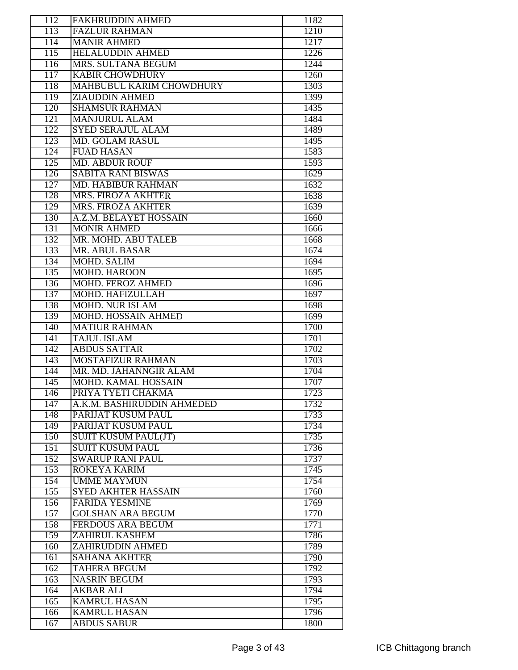| 112              | <b>FAKHRUDDIN AHMED</b>                   | 1182         |
|------------------|-------------------------------------------|--------------|
| $\overline{113}$ | <b>FAZLUR RAHMAN</b>                      | 1210         |
| 114              | <b>MANIR AHMED</b>                        | 1217         |
| $\overline{115}$ | <b>HELALUDDIN AHMED</b>                   | 1226         |
| 116              | MRS. SULTANA BEGUM                        | 1244         |
| 117              | <b>KABIR CHOWDHURY</b>                    | 1260         |
| 118              | MAHBUBUL KARIM CHOWDHURY                  | 1303         |
| 119              | <b>ZIAUDDIN AHMED</b>                     | 1399         |
| 120              | <b>SHAMSUR RAHMAN</b>                     |              |
| 121              |                                           | 1435         |
|                  | <b>MANJURUL ALAM</b>                      | 1484         |
| 122              | <b>SYED SERAJUL ALAM</b>                  | 1489         |
| 123              | <b>MD. GOLAM RASUL</b>                    | 1495         |
| 124              | <b>FUAD HASAN</b>                         | 1583         |
| $\overline{125}$ | <b>MD. ABDUR ROUF</b>                     | 1593         |
| 126              | <b>SABITA RANI BISWAS</b>                 | 1629         |
| $\overline{127}$ | <b>MD. HABIBUR RAHMAN</b>                 | 1632         |
| 128              | MRS. FIROZA AKHTER                        | 1638         |
| 129              | <b>MRS. FIROZA AKHTER</b>                 | 1639         |
| 130              | A.Z.M. BELAYET HOSSAIN                    | 1660         |
| 131              | <b>MONIR AHMED</b>                        | 1666         |
| 132              | MR. MOHD. ABU TALEB                       | 1668         |
| 133              | <b>MR. ABUL BASAR</b>                     | 1674         |
| 134              | <b>MOHD. SALIM</b>                        | 1694         |
| 135              | <b>MOHD. HAROON</b>                       | 1695         |
| 136              | <b>MOHD. FEROZ AHMED</b>                  | 1696         |
| 137              | MOHD. HAFIZULLAH                          | 1697         |
| 138              | <b>MOHD. NUR ISLAM</b>                    | 1698         |
| 139              | MOHD. HOSSAIN AHMED                       | 1699         |
| 140              | <b>MATIUR RAHMAN</b>                      | 1700         |
| 141              | <b>TAJUL ISLAM</b>                        | 1701         |
| 142              | <b>ABDUS SATTAR</b>                       | 1702         |
|                  |                                           |              |
| 143              | <b>MOSTAFIZUR RAHMAN</b>                  | 1703         |
| 144              | MR. MD. JAHANNGIR ALAM                    | 1704         |
|                  | <b>MOHD, KAMAL HOSSAIN</b>                |              |
| 145              |                                           | 1707         |
| 146              | PRIYA TYETI CHAKMA                        | 1723         |
| $\overline{147}$ | A.K.M. BASHIRUDDIN AHMEDED                | 1732         |
| 148              | PARIJAT KUSUM PAUL                        | 1733         |
| 149              | PARIJAT KUSUM PAUL                        | 1734         |
| 150              | <b>SUJIT KUSUM PAUL(JT)</b>               | 1735         |
| 151              | <b>SUJIT KUSUM PAUL</b>                   | 1736         |
| 152              | <b>SWARUP RANI PAUL</b>                   | 1737         |
| 153              | <b>ROKEYA KARIM</b>                       | 1745         |
| 154              | <b>UMME MAYMUN</b>                        | 1754         |
| 155              | <b>SYED AKHTER HASSAIN</b>                | 1760         |
| 156              | <b>FARIDA YESMINE</b>                     | 1769         |
|                  | <b>GOLSHAN ARA BEGUM</b>                  |              |
| 157              |                                           | 1770         |
| 158              | <b>FERDOUS ARA BEGUM</b>                  | 1771         |
| 159              | <b>ZAHIRUL KASHEM</b>                     | 1786         |
| 160              | <b>ZAHIRUDDIN AHMED</b>                   | 1789         |
| 161              | <b>SAHANA AKHTER</b>                      | 1790         |
| 162              | <b>TAHERA BEGUM</b>                       | 1792         |
| 163              | <b>NASRIN BEGUM</b>                       | 1793         |
| 164              | <b>AKBAR ALI</b>                          | 1794         |
| 165              | <b>KAMRUL HASAN</b>                       | 1795         |
| 166<br>167       | <b>KAMRUL HASAN</b><br><b>ABDUS SABUR</b> | 1796<br>1800 |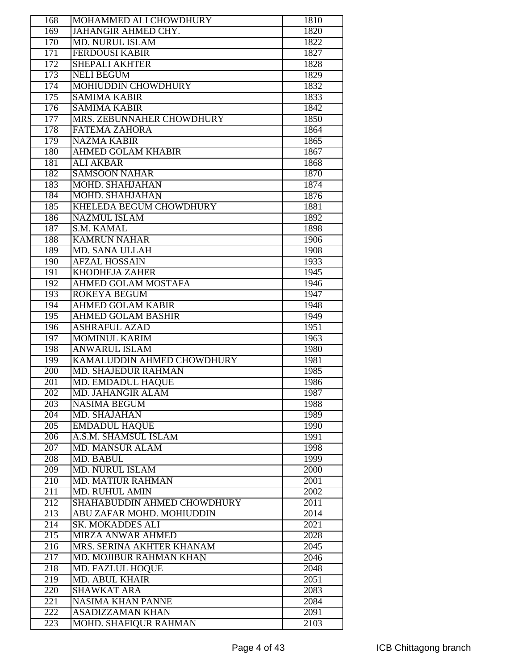| 168              | MOHAMMED ALI CHOWDHURY         | 1810 |
|------------------|--------------------------------|------|
| 169              | <b>JAHANGIR AHMED CHY.</b>     | 1820 |
| 170              | <b>MD. NURUL ISLAM</b>         | 1822 |
| $\overline{171}$ | <b>FERDOUSI KABIR</b>          | 1827 |
| 172              | <b>SHEPALI AKHTER</b>          | 1828 |
| 173              | <b>NELI BEGUM</b>              | 1829 |
| 174              | <b>MOHIUDDIN CHOWDHURY</b>     | 1832 |
| 175              | <b>SAMIMA KABIR</b>            | 1833 |
|                  |                                |      |
| 176              | <b>SAMIMA KABIR</b>            | 1842 |
| 177              | MRS. ZEBUNNAHER CHOWDHURY      | 1850 |
| 178              | <b>FATEMA ZAHORA</b>           | 1864 |
| 179              | <b>NAZMA KABIR</b>             | 1865 |
| 180              | <b>AHMED GOLAM KHABIR</b>      | 1867 |
| 181              | <b>ALI AKBAR</b>               | 1868 |
| 182              | <b>SAMSOON NAHAR</b>           | 1870 |
| 183              | <b>MOHD. SHAHJAHAN</b>         | 1874 |
| 184              | <b>MOHD. SHAHJAHAN</b>         | 1876 |
| 185              | <b>KHELEDA BEGUM CHOWDHURY</b> | 1881 |
| 186              | <b>NAZMUL ISLAM</b>            | 1892 |
| 187              | S.M. KAMAL                     | 1898 |
| 188              | <b>KAMRUN NAHAR</b>            | 1906 |
| 189              | <b>MD. SANA ULLAH</b>          | 1908 |
|                  |                                |      |
| 190              | <b>AFZAL HOSSAIN</b>           | 1933 |
| 191              | <b>KHODHEJA ZAHER</b>          | 1945 |
| 192              | <b>AHMED GOLAM MOSTAFA</b>     | 1946 |
| 193              | <b>ROKEYA BEGUM</b>            | 1947 |
| 194              | <b>AHMED GOLAM KABIR</b>       | 1948 |
| 195              | <b>AHMED GOLAM BASHIR</b>      | 1949 |
| 196              | <b>ASHRAFUL AZAD</b>           | 1951 |
| 197              | <b>MOMINUL KARIM</b>           | 1963 |
| 198              | <b>ANWARUL ISLAM</b>           | 1980 |
| 199              | KAMALUDDIN AHMED CHOWDHURY     | 1981 |
| $\overline{200}$ | <b>MD. SHAJEDUR RAHMAN</b>     | 1985 |
| 201              | <b>MD. EMDADUL HAQUE</b>       | 1986 |
| 202              | <b>MD. JAHANGIR ALAM</b>       | 1987 |
| 203              | <b>NASIMA BEGUM</b>            | 1988 |
| 204              | <b>MD. SHAJAHAN</b>            | 1989 |
|                  |                                |      |
| 205              | <b>EMDADUL HAQUE</b>           | 1990 |
| 206              | A.S.M. SHAMSUL ISLAM           | 1991 |
| 207              | <b>MD. MANSUR ALAM</b>         | 1998 |
| 208              | MD. BABUL                      | 1999 |
| 209              | <b>MD. NURUL ISLAM</b>         | 2000 |
| 210              | <b>MD. MATIUR RAHMAN</b>       | 2001 |
| $\overline{211}$ | <b>MD. RUHUL AMIN</b>          | 2002 |
| 212              | SHAHABUDDIN AHMED CHOWDHURY    | 2011 |
| $\overline{213}$ | ABU ZAFAR MOHD. MOHIUDDIN      | 2014 |
| 214              | <b>SK. MOKADDES ALI</b>        | 2021 |
| 215              | <b>MIRZA ANWAR AHMED</b>       | 2028 |
| 216              | MRS. SERINA AKHTER KHANAM      | 2045 |
| 217              | MD. MOJIBUR RAHMAN KHAN        | 2046 |
| 218              | <b>MD. FAZLUL HOQUE</b>        | 2048 |
| $\overline{219}$ | <b>MD. ABUL KHAIR</b>          |      |
|                  |                                | 2051 |
| 220              | <b>SHAWKAT ARA</b>             | 2083 |
| 221              | <b>NASIMA KHAN PANNE</b>       | 2084 |
| 222              | <b>ASADIZZAMAN KHAN</b>        | 2091 |
| 223              | <b>MOHD. SHAFIQUR RAHMAN</b>   | 2103 |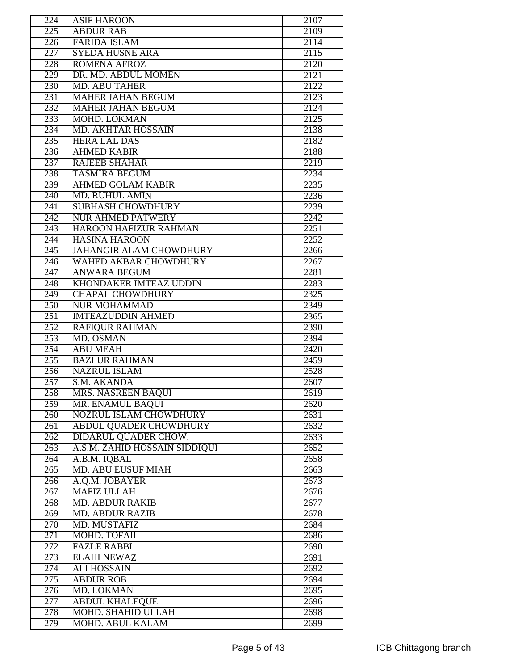| 224              | <b>ASIF HAROON</b>             | 2107              |
|------------------|--------------------------------|-------------------|
| 225              | <b>ABDUR RAB</b>               | 2109              |
| $\overline{226}$ | <b>FARIDA ISLAM</b>            | $\overline{2114}$ |
| 227              | <b>SYEDA HUSNE ARA</b>         | 2115              |
| 228              | <b>ROMENA AFROZ</b>            | 2120              |
| 229              | DR. MD. ABDUL MOMEN            | 2121              |
| 230              | <b>MD. ABU TAHER</b>           | 2122              |
| 231              | <b>MAHER JAHAN BEGUM</b>       | 2123              |
| 232              | <b>MAHER JAHAN BEGUM</b>       | 2124              |
| 233              | <b>MOHD, LOKMAN</b>            | 2125              |
| 234              | <b>MD. AKHTAR HOSSAIN</b>      | 2138              |
| 235              | <b>HERA LAL DAS</b>            | 2182              |
| 236              | <b>AHMED KABIR</b>             | 2188              |
| 237              | <b>RAJEEB SHAHAR</b>           | 2219              |
| 238              | <b>TASMIRA BEGUM</b>           | 2234              |
| 239              | <b>AHMED GOLAM KABIR</b>       | 2235              |
| 240              | <b>MD. RUHUL AMIN</b>          | 2236              |
| 241              | <b>SUBHASH CHOWDHURY</b>       | 2239              |
| $\overline{242}$ | <b>NUR AHMED PATWERY</b>       | 2242              |
| 243              | <b>HAROON HAFIZUR RAHMAN</b>   | 2251              |
| 244              | <b>HASINA HAROON</b>           | 2252              |
| 245              | <b>JAHANGIR ALAM CHOWDHURY</b> | 2266              |
| $\overline{246}$ | <b>WAHED AKBAR CHOWDHURY</b>   | 2267              |
| 247              | <b>ANWARA BEGUM</b>            | 2281              |
| $\overline{248}$ | <b>KHONDAKER IMTEAZ UDDIN</b>  | 2283              |
| $\overline{249}$ | <b>CHAPAL CHOWDHURY</b>        | 2325              |
| 250              | <b>NUR MOHAMMAD</b>            | 2349              |
| 251              | <b>IMTEAZUDDIN AHMED</b>       | 2365              |
| 252              | <b>RAFIQUR RAHMAN</b>          | 2390              |
| 253              | MD. OSMAN                      | 2394              |
| 254              | <b>ABU MEAH</b>                | 2420              |
| 255              | <b>BAZLUR RAHMAN</b>           | 2459              |
| 256              | <b>NAZRUL ISLAM</b>            | 2528              |
| 257              | S.M. AKANDA                    | 2607              |
| 258              | MRS. NASREEN BAQUI             | 2619              |
| 259              | MR. ENAMUL BAQUI               | 2620              |
| 260              | <b>NOZRUL ISLAM CHOWDHURY</b>  | 2631              |
| 261              | <b>ABDUL QUADER CHOWDHURY</b>  | 2632              |
| $\overline{262}$ | DIDARUL QUADER CHOW.           | 2633              |
| 263              | A.S.M. ZAHID HOSSAIN SIDDIQUI  | 2652              |
| 264              | A.B.M. IQBAL                   | 2658              |
| 265              | <b>MD. ABU EUSUF MIAH</b>      | 2663              |
| 266              | A.Q.M. JOBAYER                 | 2673              |
| 267              | <b>MAFIZ ULLAH</b>             | 2676              |
| 268              | <b>MD. ABDUR RAKIB</b>         | 2677              |
| 269              | <b>MD. ABDUR RAZIB</b>         | 2678              |
| 270              | <b>MD. MUSTAFIZ</b>            | 2684              |
| $\overline{271}$ | <b>MOHD. TOFAIL</b>            | 2686              |
| 272              | <b>FAZLE RABBI</b>             | 2690              |
| 273              | <b>ELAHI NEWAZ</b>             | 2691              |
| 274              | <b>ALI HOSSAIN</b>             | 2692              |
| 275              | <b>ABDUR ROB</b>               | 2694              |
| 276              | <b>MD. LOKMAN</b>              | 2695              |
| 277              | <b>ABDUL KHALEQUE</b>          | 2696              |
| 278              | MOHD. SHAHID ULLAH             | 2698              |
| 279              | <b>MOHD. ABUL KALAM</b>        | 2699              |
|                  |                                |                   |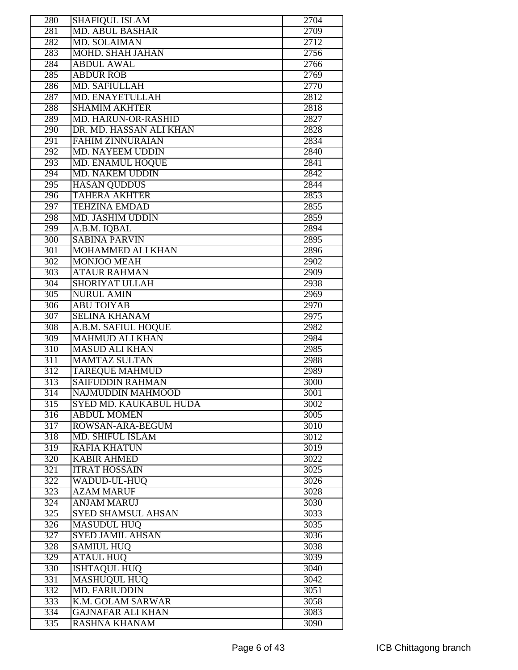| 280              | <b>SHAFIQUL ISLAM</b>         | 2704 |
|------------------|-------------------------------|------|
| 281              | <b>MD. ABUL BASHAR</b>        | 2709 |
| 282              | <b>MD. SOLAIMAN</b>           | 2712 |
| 283              | <b>MOHD. SHAH JAHAN</b>       | 2756 |
| 284              | <b>ABDUL AWAL</b>             | 2766 |
| 285              | <b>ABDUR ROB</b>              | 2769 |
| 286              | <b>MD. SAFIULLAH</b>          | 2770 |
| 287              | MD. ENAYETULLAH               | 2812 |
| 288              | <b>SHAMIM AKHTER</b>          | 2818 |
| 289              | MD. HARUN-OR-RASHID           | 2827 |
| 290              | DR. MD. HASSAN ALI KHAN       | 2828 |
| 291              | <b>FAHIM ZINNURAIAN</b>       | 2834 |
| 292              | <b>MD. NAYEEM UDDIN</b>       | 2840 |
| 293              | MD. ENAMUL HOQUE              | 2841 |
| 294              | <b>MD. NAKEM UDDIN</b>        | 2842 |
| $\overline{295}$ | <b>HASAN QUDDUS</b>           | 2844 |
| 296              | <b>TAHERA AKHTER</b>          | 2853 |
| 297              | <b>TEHZINA EMDAD</b>          | 2855 |
| 298              | <b>MD. JASHIM UDDIN</b>       | 2859 |
| 299              | A.B.M. IQBAL                  | 2894 |
| 300              | <b>SABINA PARVIN</b>          | 2895 |
| 301              | <b>MOHAMMED ALI KHAN</b>      | 2896 |
| 302              | <b>MONJOO MEAH</b>            | 2902 |
| 303              | <b>ATAUR RAHMAN</b>           | 2909 |
| 304              | <b>SHORIYAT ULLAH</b>         | 2938 |
| $\overline{305}$ | <b>NURUL AMIN</b>             | 2969 |
| 306              | <b>ABU TOIYAB</b>             | 2970 |
| 307              | <b>SELINA KHANAM</b>          | 2975 |
| 308              | A.B.M. SAFIUL HOQUE           | 2982 |
| 309              | <b>MAHMUD ALI KHAN</b>        | 2984 |
| 310              | <b>MASUD ALI KHAN</b>         | 2985 |
| 311              | <b>MAMTAZ SULTAN</b>          | 2988 |
| 312              | <b>TAREOUE MAHMUD</b>         | 2989 |
| $\overline{313}$ | <b>SAIFUDDIN RAHMAN</b>       | 3000 |
| 314              | NAJMUDDIN MAHMOOD             | 3001 |
| $\overline{315}$ | <b>SYED MD. KAUKABUL HUDA</b> | 3002 |
| 316              | <b>ABDUL MOMEN</b>            | 3005 |
| 317              | ROWSAN-ARA-BEGUM              | 3010 |
| 318              | <b>MD. SHIFUL ISLAM</b>       | 3012 |
| 319              | <b>RAFIA KHATUN</b>           | 3019 |
| 320              | <b>KABIR AHMED</b>            | 3022 |
| 321              | <b>ITRAT HOSSAIN</b>          | 3025 |
| $\overline{322}$ | WADUD-UL-HUQ                  | 3026 |
| 323              | <b>AZAM MARUF</b>             | 3028 |
| 324              | <b>ANJAM MARUJ</b>            | 3030 |
| 325              | SYED SHAMSUL AHSAN            | 3033 |
| 326              | <b>MASUDUL HUQ</b>            | 3035 |
| 327              | <b>SYED JAMIL AHSAN</b>       | 3036 |
|                  |                               |      |
| 328              | <b>SAMIUL HUQ</b>             | 3038 |
| 329              | <b>ATAUL HUQ</b>              | 3039 |
| 330              | <b>ISHTAQUL HUQ</b>           | 3040 |
| 331              | <b>MASHUQUL HUQ</b>           | 3042 |
| 332              | <b>MD. FARIUDDIN</b>          | 3051 |
| $\overline{333}$ | K.M. GOLAM SARWAR             | 3058 |
| $\overline{334}$ | <b>GAJNAFAR ALI KHAN</b>      | 3083 |
| 335              | RASHNA KHANAM                 | 3090 |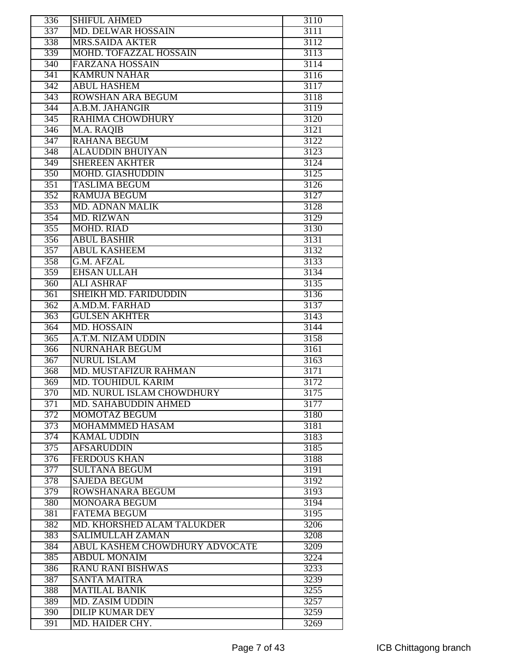| 336              | <b>SHIFUL AHMED</b>            | 3110 |
|------------------|--------------------------------|------|
| 337              | <b>MD. DELWAR HOSSAIN</b>      | 3111 |
| 338              | <b>MRS.SAIDA AKTER</b>         | 3112 |
| 339              | MOHD. TOFAZZAL HOSSAIN         | 3113 |
| 340              | <b>FARZANA HOSSAIN</b>         | 3114 |
| 341              | <b>KAMRUN NAHAR</b>            | 3116 |
| $\overline{342}$ | <b>ABUL HASHEM</b>             | 3117 |
| 343              | ROWSHAN ARA BEGUM              | 3118 |
| 344              | A.B.M. JAHANGIR                | 3119 |
| $\overline{345}$ | <b>RAHIMA CHOWDHURY</b>        | 3120 |
|                  |                                |      |
| $\overline{346}$ | M.A. RAQIB                     | 3121 |
| $\overline{347}$ | <b>RAHANA BEGUM</b>            | 3122 |
| 348              | <b>ALAUDDIN BHUIYAN</b>        | 3123 |
| $\overline{349}$ | <b>SHEREEN AKHTER</b>          | 3124 |
| 350              | <b>MOHD. GIASHUDDIN</b>        | 3125 |
| 351              | <b>TASLIMA BEGUM</b>           | 3126 |
| 352              | <b>RAMUJA BEGUM</b>            | 3127 |
| 353              | <b>MD. ADNAN MALIK</b>         | 3128 |
| 354              | <b>MD. RIZWAN</b>              | 3129 |
| 355              | <b>MOHD. RIAD</b>              | 3130 |
| 356              | <b>ABUL BASHIR</b>             | 3131 |
| 357              | <b>ABUL KASHEEM</b>            | 3132 |
| 358              | <b>G.M. AFZAL</b>              | 3133 |
| 359              | <b>EHSAN ULLAH</b>             | 3134 |
| $\overline{360}$ | <b>ALI ASHRAF</b>              | 3135 |
| 361              | <b>SHEIKH MD. FARIDUDDIN</b>   | 3136 |
| $\overline{362}$ | A.MD.M. FARHAD                 | 3137 |
| $\overline{363}$ | <b>GULSEN AKHTER</b>           | 3143 |
| 364              | <b>MD. HOSSAIN</b>             | 3144 |
| 365              | A.T.M. NIZAM UDDIN             | 3158 |
|                  | <b>NURNAHAR BEGUM</b>          |      |
| 366              |                                | 3161 |
| 367              | <b>NURUL ISLAM</b>             | 3163 |
| 368              | MD. MUSTAFIZUR RAHMAN          | 3171 |
| 369              | <b>MD. TOUHIDUL KARIM</b>      | 3172 |
| 370              | MD. NURUL ISLAM CHOWDHURY      | 3175 |
| $\overline{371}$ | MD. SAHABUDDIN AHMED           | 3177 |
| 372              | <b>MOMOTAZ BEGUM</b>           | 3180 |
| 373              | <b>MOHAMMMED HASAM</b>         | 3181 |
| 374              | <b>KAMAL UDDIN</b>             | 3183 |
| 375              | <b>AFSARUDDIN</b>              | 3185 |
| 376              | <b>FERDOUS KHAN</b>            | 3188 |
| 377              | <b>SULTANA BEGUM</b>           | 3191 |
| 378              | <b>SAJEDA BEGUM</b>            | 3192 |
| 379              | ROWSHANARA BEGUM               | 3193 |
| 380              | MONOARA BEGUM                  | 3194 |
| 381              | <b>FATEMA BEGUM</b>            | 3195 |
| 382              | MD. KHORSHED ALAM TALUKDER     | 3206 |
| 383              | <b>SALIMULLAH ZAMAN</b>        | 3208 |
| 384              | ABUL KASHEM CHOWDHURY ADVOCATE | 3209 |
| 385              | <b>ABDUL MONAIM</b>            | 3224 |
|                  |                                |      |
| 386              | RANU RANI BISHWAS              | 3233 |
| 387              | <b>SANTA MAITRA</b>            | 3239 |
| 388              | <b>MATILAL BANIK</b>           | 3255 |
| 389              | <b>MD. ZASIM UDDIN</b>         | 3257 |
| 390              | <b>DILIP KUMAR DEY</b>         | 3259 |
| 391              | MD. HAIDER CHY.                | 3269 |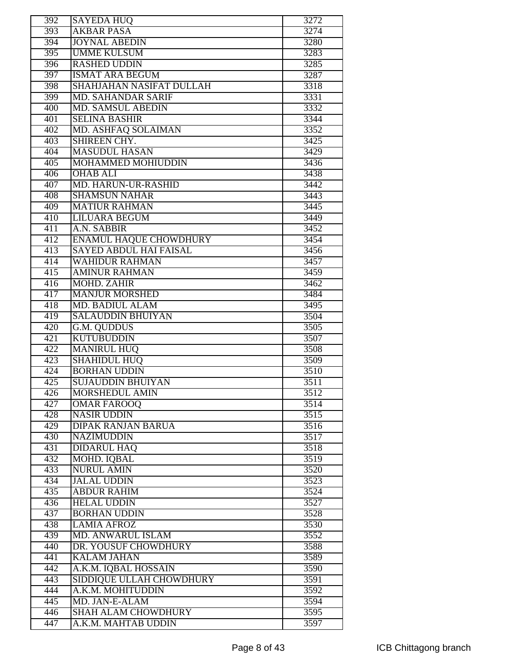| 392              | <b>SAYEDA HUQ</b>             | 3272 |
|------------------|-------------------------------|------|
| 393              | <b>AKBAR PASA</b>             | 3274 |
| 394              | <b>JOYNAL ABEDIN</b>          | 3280 |
| $\overline{395}$ | <b>UMME KULSUM</b>            | 3283 |
| 396              | <b>RASHED UDDIN</b>           | 3285 |
| 397              | <b>ISMAT ARA BEGUM</b>        | 3287 |
| 398              | SHAHJAHAN NASIFAT DULLAH      | 3318 |
| 399              | <b>MD. SAHANDAR SARIF</b>     | 3331 |
| 400              | <b>MD. SAMSUL ABEDIN</b>      | 3332 |
| 401              | <b>SELINA BASHIR</b>          | 3344 |
| 402              | MD. ASHFAQ SOLAIMAN           | 3352 |
| 403              | SHIREEN CHY.                  | 3425 |
| 404              | <b>MASUDUL HASAN</b>          | 3429 |
| 405              | MOHAMMED MOHIUDDIN            | 3436 |
| 406              | <b>OHAB ALI</b>               | 3438 |
|                  | MD. HARUN-UR-RASHID           |      |
| 407              |                               | 3442 |
| 408              | <b>SHAMSUN NAHAR</b>          | 3443 |
| 409              | <b>MATIUR RAHMAN</b>          | 3445 |
| 410              | LILUARA BEGUM                 | 3449 |
| 411              | A.N. SABBIR                   | 3452 |
| 412              | <b>ENAMUL HAQUE CHOWDHURY</b> | 3454 |
| 413              | <b>SAYED ABDUL HAI FAISAL</b> | 3456 |
| 414              | <b>WAHIDUR RAHMAN</b>         | 3457 |
| 415              | <b>AMINUR RAHMAN</b>          | 3459 |
| 416              | <b>MOHD. ZAHIR</b>            | 3462 |
| 417              | <b>MANJUR MORSHED</b>         | 3484 |
| 418              | <b>MD. BADIUL ALAM</b>        | 3495 |
| 419              | <b>SALAUDDIN BHUIYAN</b>      | 3504 |
| 420              | G.M. QUDDUS                   | 3505 |
| 421              | <b>KUTUBUDDIN</b>             | 3507 |
| 422              | <b>MANIRUL HUQ</b>            | 3508 |
| 423              | <b>SHAHIDUL HUQ</b>           | 3509 |
| 424              | <b>BORHAN UDDIN</b>           | 3510 |
| 425              | <b>SUJAUDDIN BHUIYAN</b>      | 3511 |
| 426              | <b>MORSHEDUL AMIN</b>         | 3512 |
| 427              | <b>OMAR FAROOQ</b>            | 3514 |
| 428              | <b>NASIR UDDIN</b>            | 3515 |
| 429              | <b>DIPAK RANJAN BARUA</b>     | 3516 |
| 430              | <b>NAZIMUDDIN</b>             | 3517 |
| 431              | <b>DIDARUL HAQ</b>            | 3518 |
| 432              | <b>MOHD. IQBAL</b>            | 3519 |
| 433              | <b>NURUL AMIN</b>             | 3520 |
| 434              | <b>JALAL UDDIN</b>            | 3523 |
| 435              | <b>ABDUR RAHIM</b>            | 3524 |
| 436              | <b>HELAL UDDIN</b>            | 3527 |
| 437              | <b>BORHAN UDDIN</b>           | 3528 |
| 438              | <b>LAMIA AFROZ</b>            | 3530 |
| 439              | <b>MD. ANWARUL ISLAM</b>      | 3552 |
| 440              | DR. YOUSUF CHOWDHURY          | 3588 |
| 441              | <b>KALAM JAHAN</b>            | 3589 |
| 442              | A.K.M. IQBAL HOSSAIN          | 3590 |
| 443              | SIDDIQUE ULLAH CHOWDHURY      | 3591 |
| 444              | A.K.M. MOHITUDDIN             | 3592 |
| 445              | MD. JAN-E-ALAM                | 3594 |
| 446              | <b>SHAH ALAM CHOWDHURY</b>    | 3595 |
| 447              | A.K.M. MAHTAB UDDIN           | 3597 |
|                  |                               |      |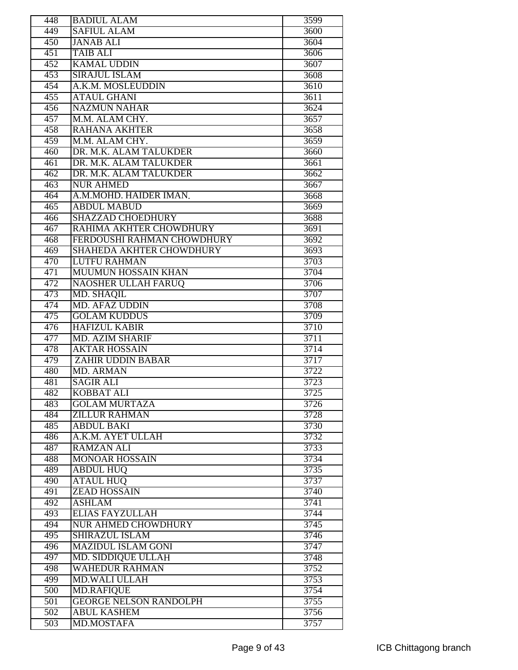| 448 | <b>BADIUL ALAM</b>              | 3599         |
|-----|---------------------------------|--------------|
| 449 | <b>SAFIUL ALAM</b>              | 3600         |
| 450 | <b>JANAB ALI</b>                | 3604         |
| 451 | <b>TAIB ALI</b>                 | 3606         |
| 452 | <b>KAMAL UDDIN</b>              | 3607         |
| 453 | <b>SIRAJUL ISLAM</b>            | 3608         |
| 454 | A.K.M. MOSLEUDDIN               | 3610         |
| 455 | <b>ATAUL GHANI</b>              | 3611         |
| 456 | <b>NAZMUN NAHAR</b>             | 3624         |
| 457 | M.M. ALAM CHY.                  | 3657         |
| 458 | <b>RAHANA AKHTER</b>            | 3658         |
| 459 | M.M. ALAM CHY.                  | 3659         |
| 460 | DR. M.K. ALAM TALUKDER          | 3660         |
| 461 | DR. M.K. ALAM TALUKDER          | 3661         |
| 462 | DR. M.K. ALAM TALUKDER          | 3662         |
| 463 | <b>NUR AHMED</b>                | 3667         |
| 464 | A.M.MOHD. HAIDER IMAN.          |              |
| 465 | <b>ABDUL MABUD</b>              | 3668<br>3669 |
|     | <b>SHAZZAD CHOEDHURY</b>        |              |
| 466 |                                 | 3688         |
| 467 | RAHIMA AKHTER CHOWDHURY         | 3691         |
| 468 | FERDOUSHI RAHMAN CHOWDHURY      | 3692         |
| 469 | <b>SHAHEDA AKHTER CHOWDHURY</b> | 3693         |
| 470 | <b>LUTFU RAHMAN</b>             | 3703         |
| 471 | <b>MUUMUN HOSSAIN KHAN</b>      | 3704         |
| 472 | <b>NAOSHER ULLAH FARUQ</b>      | 3706         |
| 473 | MD. SHAQIL                      | 3707         |
| 474 | <b>MD. AFAZ UDDIN</b>           | 3708         |
| 475 | <b>GOLAM KUDDUS</b>             | 3709         |
| 476 | <b>HAFIZUL KABIR</b>            | 3710         |
| 477 | <b>MD. AZIM SHARIF</b>          | 3711         |
| 478 | <b>AKTAR HOSSAIN</b>            | 3714         |
| 479 | <b>ZAHIR UDDIN BABAR</b>        | 3717         |
| 480 | MD. ARMAN                       | 3722         |
| 481 | <b>SAGIR ALI</b>                | 3723         |
| 482 | <b>KOBBAT ALI</b>               | 3725         |
| 483 | <b>GOLAM MURTAZA</b>            | 3726         |
| 484 | <b>ZILLUR RAHMAN</b>            | 3728         |
| 485 | <b>ABDUL BAKI</b>               | 3730         |
| 486 | A.K.M. AYET ULLAH               | 3732         |
| 487 | <b>RAMZAN ALI</b>               | 3733         |
| 488 | <b>MONOAR HOSSAIN</b>           | 3734         |
| 489 | <b>ABDUL HUQ</b>                | 3735         |
| 490 | <b>ATAUL HUQ</b>                | 3737         |
| 491 | <b>ZEAD HOSSAIN</b>             | 3740         |
| 492 | <b>ASHLAM</b>                   | 3741         |
| 493 | <b>ELIAS FAYZULLAH</b>          | 3744         |
| 494 | <b>NUR AHMED CHOWDHURY</b>      | 3745         |
| 495 | <b>SHIRAZUL ISLAM</b>           | 3746         |
| 496 | <b>MAZIDUL ISLAM GONI</b>       | 3747         |
| 497 | <b>MD. SIDDIQUE ULLAH</b>       | 3748         |
| 498 | <b>WAHEDUR RAHMAN</b>           | 3752         |
| 499 | MD.WALI ULLAH                   | 3753         |
| 500 | <b>MD.RAFIQUE</b>               | 3754         |
| 501 | <b>GEORGE NELSON RANDOLPH</b>   | 3755         |
| 502 | <b>ABUL KASHEM</b>              | 3756         |
| 503 | <b>MD.MOSTAFA</b>               | 3757         |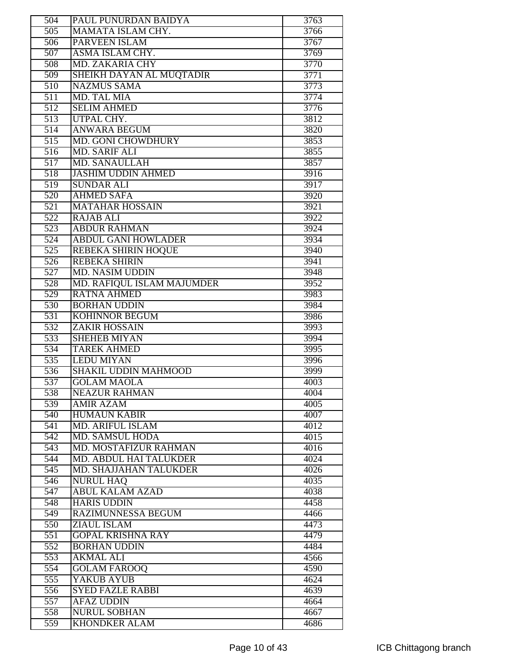| 504              | PAUL PUNURDAN BAIDYA                                    | 3763         |
|------------------|---------------------------------------------------------|--------------|
| $\overline{505}$ | MAMATA ISLAM CHY.                                       | 3766         |
| 506              | PARVEEN ISLAM                                           | 3767         |
| $\overline{507}$ | ASMA ISLAM CHY.                                         | 3769         |
| 508              | <b>MD. ZAKARIA CHY</b>                                  | 3770         |
| 509              | SHEIKH DAYAN AL MUQTADIR                                | 3771         |
| $\overline{510}$ | <b>NAZMUS SAMA</b>                                      | 3773         |
| 511              | MD. TAL MIA                                             | 3774         |
| $\overline{512}$ | <b>SELIM AHMED</b>                                      | 3776         |
| $\overline{513}$ | UTPAL CHY.                                              | 3812         |
| $\overline{514}$ | <b>ANWARA BEGUM</b>                                     | 3820         |
|                  |                                                         |              |
| 515              | <b>MD. GONI CHOWDHURY</b>                               | 3853         |
| 516              | <b>MD. SARIF ALI</b>                                    | 3855         |
| $\overline{517}$ | <b>MD. SANAULLAH</b>                                    | 3857         |
| 518              | <b>JASHIM UDDIN AHMED</b>                               | 3916         |
| $\overline{519}$ | <b>SUNDAR ALI</b>                                       | 3917         |
| 520              | <b>AHMED SAFA</b>                                       | 3920         |
| 521              | <b>MATAHAR HOSSAIN</b>                                  | 3921         |
| 522              | <b>RAJAB ALI</b>                                        | 3922         |
| $\overline{523}$ | <b>ABDUR RAHMAN</b>                                     | 3924         |
| $\overline{524}$ | <b>ABDUL GANI HOWLADER</b>                              | 3934         |
| 525              | <b>REBEKA SHIRIN HOQUE</b>                              | 3940         |
| $\overline{526}$ | <b>REBEKA SHIRIN</b>                                    | 3941         |
| 527              | <b>MD. NASIM UDDIN</b>                                  | 3948         |
| 528              | MD. RAFIQUL ISLAM MAJUMDER                              | 3952         |
| $\overline{529}$ | <b>RATNA AHMED</b>                                      | 3983         |
| 530              | <b>BORHAN UDDIN</b>                                     | 3984         |
| 531              | <b>KOHINNOR BEGUM</b>                                   | 3986         |
| 532              | <b>ZAKIR HOSSAIN</b>                                    | 3993         |
| 533              | <b>SHEHEB MIYAN</b>                                     | 3994         |
| 534              | <b>TAREK AHMED</b>                                      | 3995         |
| $\overline{535}$ | <b>LEDU MIYAN</b>                                       | 3996         |
| 536              | <b>SHAKIL UDDIN MAHMOOD</b>                             | 3999         |
| 537              | <b>GOLAM MAOLA</b>                                      | 4003         |
| 538              | NEAZUR RAHMAN                                           | 4004         |
| 539              | <b>AMIR AZAM</b>                                        | 4005         |
| 540              | <b>HUMAUN KABIR</b>                                     | 4007         |
| 541              | <b>MD. ARIFUL ISLAM</b>                                 | 4012         |
|                  | <b>MD. SAMSUL HODA</b>                                  |              |
| 542<br>543       | <b>MD. MOSTAFIZUR RAHMAN</b>                            | 4015<br>4016 |
| 544              |                                                         | 4024         |
|                  | MD. ABDUL HAI TALUKDER<br><b>MD. SHAJJAHAN TALUKDER</b> |              |
| 545              |                                                         | 4026         |
| $\overline{546}$ | <b>NURUL HAQ</b>                                        | 4035         |
| $\overline{547}$ | <b>ABUL KALAM AZAD</b>                                  | 4038         |
| 548              | <b>HARIS UDDIN</b>                                      | 4458         |
| 549              | RAZIMUNNESSA BEGUM                                      | 4466         |
| 550              | <b>ZIAUL ISLAM</b>                                      | 4473         |
| 551              | <b>GOPAL KRISHNA RAY</b>                                | 4479         |
| 552              | <b>BORHAN UDDIN</b>                                     | 4484         |
| $\overline{553}$ | <b>AKMAL ALI</b>                                        | 4566         |
| 554              | <b>GOLAM FAROOQ</b>                                     | 4590         |
| 555              | YAKUB AYUB                                              | 4624         |
| 556              | <b>SYED FAZLE RABBI</b>                                 | 4639         |
| $\overline{557}$ | <b>AFAZ UDDIN</b>                                       | 4664         |
| 558              | <b>NURUL SOBHAN</b>                                     | 4667         |
| 559              | <b>KHONDKER ALAM</b>                                    | 4686         |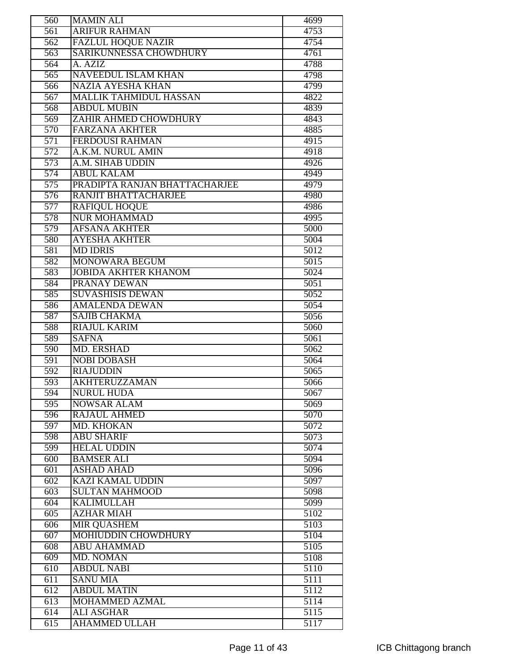| $\overline{560}$ | <b>MAMIN ALI</b>              | 4699 |
|------------------|-------------------------------|------|
| $\overline{561}$ | <b>ARIFUR RAHMAN</b>          | 4753 |
| $\overline{562}$ | <b>FAZLUL HOQUE NAZIR</b>     | 4754 |
| $\overline{563}$ | <b>SARIKUNNESSA CHOWDHURY</b> | 4761 |
| $\overline{564}$ | A. AZIZ                       | 4788 |
| 565              | <b>NAVEEDUL ISLAM KHAN</b>    | 4798 |
| 566              | <b>NAZIA AYESHA KHAN</b>      | 4799 |
| 567              | <b>MALLIK TAHMIDUL HASSAN</b> | 4822 |
| 568              | <b>ABDUL MUBIN</b>            | 4839 |
| $\overline{569}$ | ZAHIR AHMED CHOWDHURY         | 4843 |
| 570              | <b>FARZANA AKHTER</b>         | 4885 |
| $\overline{571}$ | <b>FERDOUSI RAHMAN</b>        | 4915 |
| 572              | A.K.M. NURUL AMIN             | 4918 |
| 573              | A.M. SIHAB UDDIN              | 4926 |
| 574              | <b>ABUL KALAM</b>             | 4949 |
| $\overline{575}$ | PRADIPTA RANJAN BHATTACHARJEE | 4979 |
| $\overline{576}$ | RANJIT BHATTACHARJEE          | 4980 |
| 577              | <b>RAFIQUL HOQUE</b>          | 4986 |
| 578              | <b>NUR MOHAMMAD</b>           | 4995 |
| 579              | <b>AFSANA AKHTER</b>          | 5000 |
| 580              | <b>AYESHA AKHTER</b>          | 5004 |
| 581              | <b>MD IDRIS</b>               | 5012 |
| 582              | <b>MONOWARA BEGUM</b>         | 5015 |
| 583              | <b>JOBIDA AKHTER KHANOM</b>   | 5024 |
| 584              | PRANAY DEWAN                  | 5051 |
| 585              | <b>SUVASHISIS DEWAN</b>       | 5052 |
| 586              | <b>AMALENDA DEWAN</b>         | 5054 |
| 587              | <b>SAJIB CHAKMA</b>           | 5056 |
| 588              | <b>RIAJUL KARIM</b>           | 5060 |
| 589              | <b>SAFNA</b>                  | 5061 |
| 590              | <b>MD. ERSHAD</b>             | 5062 |
| $\overline{591}$ | <b>NOBI DOBASH</b>            | 5064 |
| 592              | <b>RIAJUDDIN</b>              | 5065 |
| 593              | <b>AKHTERUZZAMAN</b>          | 5066 |
| 594              | <b>NURUL HUDA</b>             | 5067 |
| 595              | <b>NOWSAR ALAM</b>            | 5069 |
| 596              | <b>RAJAUL AHMED</b>           | 5070 |
| 597              | MD. KHOKAN                    | 5072 |
| 598              | <b>ABU SHARIF</b>             | 5073 |
| 599              | <b>HELAL UDDIN</b>            | 5074 |
| 600              | <b>BAMSER ALI</b>             | 5094 |
| $\overline{601}$ | <b>ASHAD AHAD</b>             | 5096 |
| 602              | <b>KAZI KAMAL UDDIN</b>       | 5097 |
| 603              | <b>SULTAN MAHMOOD</b>         | 5098 |
| 604              | <b>KALIMULLAH</b>             | 5099 |
| $\overline{605}$ | <b>AZHAR MIAH</b>             | 5102 |
| 606              | <b>MIR QUASHEM</b>            | 5103 |
| 607              | <b>MOHIUDDIN CHOWDHURY</b>    | 5104 |
| 608              | <b>ABU AHAMMAD</b>            | 5105 |
|                  |                               |      |
| 609              | MD. NOMAN                     | 5108 |
| $\overline{610}$ | <b>ABDUL NABI</b>             | 5110 |
| 611              | <b>SANU MIA</b>               | 5111 |
| $\overline{612}$ | <b>ABDUL MATIN</b>            | 5112 |
| $\overline{613}$ | MOHAMMED AZMAL                | 5114 |
| 614              | <b>ALI ASGHAR</b>             | 5115 |
| 615              | <b>AHAMMED ULLAH</b>          | 5117 |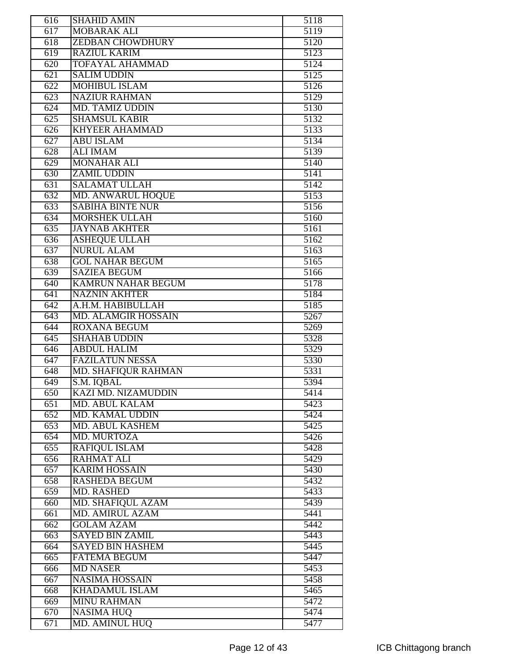| 616              | <b>SHAHID AMIN</b>         | 5118              |
|------------------|----------------------------|-------------------|
| 617              | <b>MOBARAK ALI</b>         | $\overline{5119}$ |
| 618              | <b>ZEDBAN CHOWDHURY</b>    | 5120              |
| $\overline{619}$ | <b>RAZIUL KARIM</b>        | 5123              |
| 620              | <b>TOFAYAL AHAMMAD</b>     | 5124              |
| 621              | <b>SALIM UDDIN</b>         | 5125              |
| 622              | <b>MOHIBUL ISLAM</b>       | 5126              |
| 623              | <b>NAZIUR RAHMAN</b>       | 5129              |
| $\overline{624}$ | <b>MD. TAMIZ UDDIN</b>     | 5130              |
| $\overline{625}$ | <b>SHAMSUL KABIR</b>       | 5132              |
| 626              | <b>KHYEER AHAMMAD</b>      | 5133              |
| 627              | <b>ABU ISLAM</b>           | 5134              |
| 628              | <b>ALI IMAM</b>            | 5139              |
| $\overline{629}$ | <b>MONAHAR ALI</b>         | 5140              |
| 630              | <b>ZAMIL UDDIN</b>         | 5141              |
| 631              | <b>SALAMAT ULLAH</b>       | 5142              |
| 632              | <b>MD. ANWARUL HOQUE</b>   | 5153              |
| 633              | <b>SABIHA BINTE NUR</b>    | 5156              |
| 634              | <b>MORSHEK ULLAH</b>       | 5160              |
| 635              | <b>JAYNAB AKHTER</b>       | 5161              |
| 636              | <b>ASHEQUE ULLAH</b>       | 5162              |
| 637              | <b>NURUL ALAM</b>          | 5163              |
| 638              | <b>GOL NAHAR BEGUM</b>     | 5165              |
| 639              | <b>SAZIEA BEGUM</b>        | 5166              |
| 640              | <b>KAMRUN NAHAR BEGUM</b>  | $5\overline{178}$ |
| 641              | <b>NAZNIN AKHTER</b>       | 5184              |
| $\overline{642}$ | A.H.M. HABIBULLAH          | 5185              |
| 643              | <b>MD. ALAMGIR HOSSAIN</b> | 5267              |
| $\overline{644}$ | <b>ROXANA BEGUM</b>        | 5269              |
| $\overline{645}$ | <b>SHAHAB UDDIN</b>        | 5328              |
| 646              | <b>ABDUL HALIM</b>         | 5329              |
| 647              | <b>FAZILATUN NESSA</b>     | 5330              |
| 648              | <b>MD. SHAFIQUR RAHMAN</b> | 5331              |
| 649              | S.M. IQBAL                 | 5394              |
| 650              | KAZI MD. NIZAMUDDIN        | 5414              |
| 651              | MD. ABUL KALAM             | 5423              |
| 652              | <b>MD. KAMAL UDDIN</b>     | 5424              |
| 653              | MD. ABUL KASHEM            | 5425              |
| $\overline{654}$ | MD. MURTOZA                | 5426              |
| 655              | <b>RAFIQUL ISLAM</b>       | 5428              |
| 656              | <b>RAHMAT ALI</b>          | 5429              |
| 657              | <b>KARIM HOSSAIN</b>       | 5430              |
| 658              | <b>RASHEDA BEGUM</b>       | 5432              |
| 659              | <b>MD. RASHED</b>          | 5433              |
| 660              | MD. SHAFIQUL AZAM          | 5439              |
| 661              | <b>MD. AMIRUL AZAM</b>     | 5441              |
| 662              | <b>GOLAM AZAM</b>          | 5442              |
| 663              | <b>SAYED BIN ZAMIL</b>     | 5443              |
| 664              | <b>SAYED BIN HASHEM</b>    | 5445              |
| 665              | <b>FATEMA BEGUM</b>        | 5447              |
| 666              | <b>MD NASER</b>            | 5453              |
| 667              | <b>NASIMA HOSSAIN</b>      | 5458              |
| 668              | <b>KHADAMUL ISLAM</b>      | 5465              |
| 669              | <b>MINU RAHMAN</b>         | 5472              |
| 670              | <b>NASIMA HUQ</b>          | 5474              |
| 671              | <b>MD. AMINUL HUO</b>      | 5477              |
|                  |                            |                   |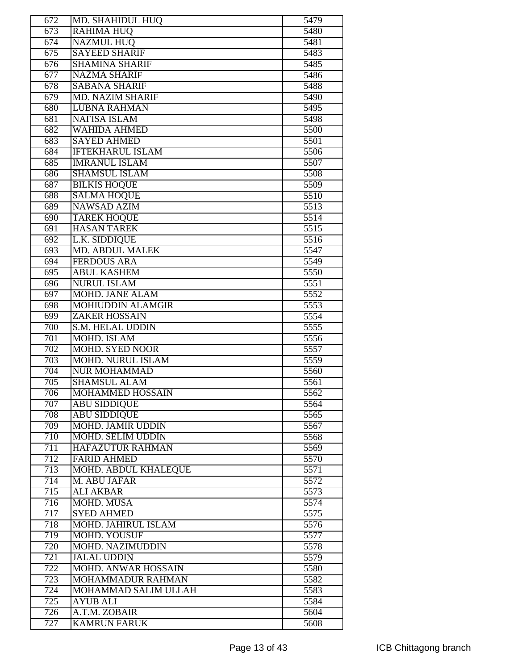| 672              | MD. SHAHIDUL HUQ                        | 5479          |
|------------------|-----------------------------------------|---------------|
| 673              | <b>RAHIMA HUQ</b>                       | $\sqrt{5480}$ |
| 674              | <b>NAZMUL HUO</b>                       | 5481          |
| 675              | <b>SAYEED SHARIF</b>                    | 5483          |
| 676              | <b>SHAMINA SHARIF</b>                   | 5485          |
| 677              | <b>NAZMA SHARIF</b>                     | 5486          |
| 678              | <b>SABANA SHARIF</b>                    | 5488          |
| 679              | <b>MD. NAZIM SHARIF</b>                 | 5490          |
| 680              | <b>LUBNA RAHMAN</b>                     | 5495          |
| 681              | <b>NAFISA ISLAM</b>                     | 5498          |
| 682              | <b>WAHIDA AHMED</b>                     | 5500          |
| 683              | <b>SAYED AHMED</b>                      | 5501          |
| 684              | <b>IFTEKHARUL ISLAM</b>                 | 5506          |
| 685              | <b>IMRANUL ISLAM</b>                    | 5507          |
| 686              | <b>SHAMSUL ISLAM</b>                    | 5508          |
| 687              | <b>BILKIS HOQUE</b>                     | 5509          |
| 688              | <b>SALMA HOQUE</b>                      | 5510          |
| 689              | <b>NAWSAD AZIM</b>                      | 5513          |
| 690              | <b>TAREK HOQUE</b>                      | 5514          |
| 691              | <b>HASAN TAREK</b>                      | 5515          |
| $\overline{692}$ | <b>L.K. SIDDIQUE</b>                    | 5516          |
| 693              | <b>MD. ABDUL MALEK</b>                  | 5547          |
| 694              | <b>FERDOUS ARA</b>                      | 5549          |
| 695              | <b>ABUL KASHEM</b>                      | 5550          |
| 696              | <b>NURUL ISLAM</b>                      | 5551          |
|                  | <b>MOHD. JANE ALAM</b>                  |               |
| 697<br>698       | <b>MOHIUDDIN ALAMGIR</b>                | 5552<br>5553  |
|                  | <b>ZAKER HOSSAIN</b>                    |               |
| 699<br>700       | S.M. HELAL UDDIN                        | 5554<br>5555  |
| $\overline{701}$ | <b>MOHD. ISLAM</b>                      | 5556          |
| 702              | <b>MOHD. SYED NOOR</b>                  | 5557          |
| $\overline{703}$ | <b>MOHD. NURUL ISLAM</b>                | 5559          |
| 704              | <b>NUR MOHAMMAD</b>                     | 5560          |
| 705              | <b>SHAMSUL ALAM</b>                     | 5561          |
|                  | <b>MOHAMMED HOSSAIN</b>                 | 5562          |
| 706<br>707       | <b>ABU SIDDIQUE</b>                     | 5564          |
| 708              | <b>ABU SIDDIQUE</b>                     | 5565          |
| 709              | <b>MOHD. JAMIR UDDIN</b>                | 5567          |
|                  | <b>MOHD. SELIM UDDIN</b>                |               |
| 710<br>711       | <b>HAFAZUTUR RAHMAN</b>                 | 5568<br>5569  |
| 712              | <b>FARID AHMED</b>                      | 5570          |
| 713              | <b>MOHD. ABDUL KHALEQUE</b>             | 5571          |
| 714              | M. ABU JAFAR                            | 5572          |
| 715              | <b>ALI AKBAR</b>                        | 5573          |
| 716              | MOHD. MUSA                              | 5574          |
| 717              | <b>SYED AHMED</b>                       | 5575          |
| 718              | <b>MOHD. JAHIRUL ISLAM</b>              | 5576          |
| 719              | <b>MOHD. YOUSUF</b>                     | 5577          |
| 720              | <b>MOHD. NAZIMUDDIN</b>                 | 5578          |
|                  | <b>JALAL UDDIN</b>                      |               |
| 721              |                                         | 5579          |
| 722              | <b>MOHD. ANWAR HOSSAIN</b>              | 5580          |
| 723              | MOHAMMADUR RAHMAN                       | 5582          |
| 724<br>725       | MOHAMMAD SALIM ULLAH<br><b>AYUB ALI</b> | 5583<br>5584  |
|                  |                                         |               |
| 726              | A.T.M. ZOBAIR                           | 5604          |
| 727              | <b>KAMRUN FARUK</b>                     | 5608          |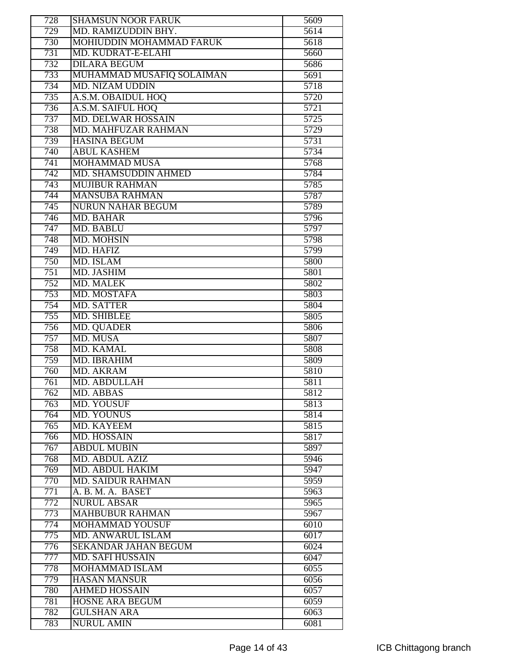| 728              | <b>SHAMSUN NOOR FARUK</b>   | 5609 |
|------------------|-----------------------------|------|
| 729              | MD. RAMIZUDDIN BHY.         | 5614 |
| 730              | MOHIUDDIN MOHAMMAD FARUK    | 5618 |
| 731              | MD. KUDRAT-E-ELAHI          | 5660 |
| 732              | <b>DILARA BEGUM</b>         | 5686 |
| 733              | MUHAMMAD MUSAFIQ SOLAIMAN   | 5691 |
| 734              | <b>MD. NIZAM UDDIN</b>      | 5718 |
| 735              | A.S.M. OBAIDUL HOQ          | 5720 |
| 736              | A.S.M. SAIFUL HOQ           | 5721 |
| 737              | <b>MD. DELWAR HOSSAIN</b>   | 5725 |
| 738              | MD. MAHFUZAR RAHMAN         | 5729 |
| 739              | <b>HASINA BEGUM</b>         | 5731 |
| 740              | <b>ABUL KASHEM</b>          | 5734 |
| 741              | <b>MOHAMMAD MUSA</b>        | 5768 |
| 742              | <b>MD. SHAMSUDDIN AHMED</b> | 5784 |
| 743              | <b>MUJIBUR RAHMAN</b>       | 5785 |
| 744              | <b>MANSUBA RAHMAN</b>       | 5787 |
| 745              | <b>NURUN NAHAR BEGUM</b>    | 5789 |
| 746              | <b>MD. BAHAR</b>            | 5796 |
| 747              | <b>MD. BABLU</b>            | 5797 |
| 748              | MD. MOHSIN                  | 5798 |
| 749              | <b>MD. HAFIZ</b>            | 5799 |
| 750              | MD. ISLAM                   | 5800 |
| 751              | <b>MD. JASHIM</b>           | 5801 |
| 752              | <b>MD. MALEK</b>            | 5802 |
| 753              | MD. MOSTAFA                 | 5803 |
| 754              | <b>MD. SATTER</b>           | 5804 |
| 755              | <b>MD. SHIBLEE</b>          | 5805 |
| 756              | <b>MD. QUADER</b>           | 5806 |
| 757              | MD. MUSA                    | 5807 |
| 758              | <b>MD. KAMAL</b>            | 5808 |
| 759              | MD. IBRAHIM                 | 5809 |
| 760              | <b>MD. AKRAM</b>            | 5810 |
| $\overline{761}$ | <b>MD. ABDULLAH</b>         | 5811 |
| 762              | MD. ABBAS                   | 5812 |
| 763              | MD. YOUSUF                  | 5813 |
| 764              | <b>MD. YOUNUS</b>           | 5814 |
| 765              | <b>MD. KAYEEM</b>           | 5815 |
| 766              | <b>MD. HOSSAIN</b>          | 5817 |
| 767              | <b>ABDUL MUBIN</b>          | 5897 |
| 768              | <b>MD. ABDUL AZIZ</b>       | 5946 |
| $\overline{769}$ | <b>MD. ABDUL HAKIM</b>      | 5947 |
| 770              | <b>MD. SAIDUR RAHMAN</b>    | 5959 |
| 771              | A. B. M. A. BASET           | 5963 |
| 772              | <b>NURUL ABSAR</b>          | 5965 |
| 773              | <b>MAHBUBUR RAHMAN</b>      | 5967 |
| 774              | <b>MOHAMMAD YOUSUF</b>      | 6010 |
| 775              | MD. ANWARUL ISLAM           | 6017 |
| 776              | <b>SEKANDAR JAHAN BEGUM</b> | 6024 |
| 777              | <b>MD. SAFI HUSSAIN</b>     | 6047 |
| 778              | MOHAMMAD ISLAM              | 6055 |
| 779              | <b>HASAN MANSUR</b>         | 6056 |
| 780              | <b>AHMED HOSSAIN</b>        | 6057 |
| 781              | HOSNE ARA BEGUM             | 6059 |
| 782              | <b>GULSHAN ARA</b>          | 6063 |
| 783              | <b>NURUL AMIN</b>           | 6081 |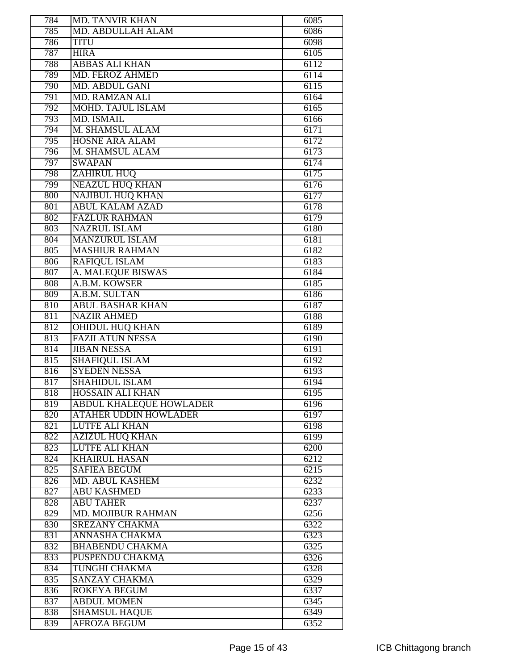| 784 | <b>MD. TANVIR KHAN</b>         | 6085 |
|-----|--------------------------------|------|
| 785 | MD. ABDULLAH ALAM              | 6086 |
| 786 | <b>TITU</b>                    | 6098 |
| 787 | <b>HIRA</b>                    | 6105 |
| 788 | <b>ABBAS ALI KHAN</b>          | 6112 |
| 789 | MD. FEROZ AHMED                | 6114 |
| 790 | <b>MD. ABDUL GANI</b>          | 6115 |
| 791 | <b>MD. RAMZAN ALI</b>          | 6164 |
| 792 | <b>MOHD. TAJUL ISLAM</b>       | 6165 |
| 793 | <b>MD. ISMAIL</b>              | 6166 |
| 794 | M. SHAMSUL ALAM                | 6171 |
| 795 | <b>HOSNE ARA ALAM</b>          | 6172 |
| 796 | M. SHAMSUL ALAM                | 6173 |
| 797 | <b>SWAPAN</b>                  | 6174 |
| 798 | <b>ZAHIRUL HUQ</b>             | 6175 |
| 799 | <b>NEAZUL HUO KHAN</b>         | 6176 |
| 800 | <b>NAJIBUL HUQ KHAN</b>        | 6177 |
| 801 | <b>ABUL KALAM AZAD</b>         | 6178 |
| 802 | <b>FAZLUR RAHMAN</b>           | 6179 |
| 803 | <b>NAZRUL ISLAM</b>            | 6180 |
| 804 | <b>MANZURUL ISLAM</b>          | 6181 |
| 805 | <b>MASHIUR RAHMAN</b>          | 6182 |
| 806 | <b>RAFIOUL ISLAM</b>           | 6183 |
| 807 | A. MALEQUE BISWAS              | 6184 |
| 808 | A.B.M. KOWSER                  | 6185 |
| 809 | A.B.M. SULTAN                  | 6186 |
| 810 | <b>ABUL BASHAR KHAN</b>        | 6187 |
| 811 | <b>NAZIR AHMED</b>             | 6188 |
| 812 | <b>OHIDUL HUQ KHAN</b>         | 6189 |
| 813 | <b>FAZILATUN NESSA</b>         | 6190 |
| 814 | <b>JIBAN NESSA</b>             | 6191 |
| 815 | <b>SHAFIQUL ISLAM</b>          | 6192 |
| 816 | <b>SYEDEN NESSA</b>            | 6193 |
| 817 | <b>SHAHIDUL ISLAM</b>          | 6194 |
| 818 | HOSSAIN ALI KHAN               | 6195 |
| 819 | <b>ABDUL KHALEQUE HOWLADER</b> | 6196 |
| 820 | <b>ATAHER UDDIN HOWLADER</b>   | 6197 |
| 821 | <b>LUTFE ALI KHAN</b>          | 6198 |
| 822 | <b>AZIZUL HUQ KHAN</b>         | 6199 |
| 823 | <b>LUTFE ALI KHAN</b>          | 6200 |
| 824 | <b>KHAIRUL HASAN</b>           | 6212 |
| 825 | <b>SAFIEA BEGUM</b>            | 6215 |
| 826 | <b>MD. ABUL KASHEM</b>         | 6232 |
| 827 | <b>ABU KASHMED</b>             | 6233 |
| 828 | <b>ABU TAHER</b>               | 6237 |
| 829 | <b>MD. MOJIBUR RAHMAN</b>      | 6256 |
| 830 | <b>SREZANY CHAKMA</b>          | 6322 |
| 831 | <b>ANNASHA CHAKMA</b>          | 6323 |
| 832 | <b>BHABENDU CHAKMA</b>         | 6325 |
| 833 | <b>PUSPENDU CHAKMA</b>         | 6326 |
| 834 | TUNGHI CHAKMA                  | 6328 |
| 835 | SANZAY CHAKMA                  |      |
|     | <b>ROKEYA BEGUM</b>            | 6329 |
| 836 |                                | 6337 |
| 837 | <b>ABDUL MOMEN</b>             | 6345 |
| 838 | <b>SHAMSUL HAQUE</b>           | 6349 |
| 839 | <b>AFROZA BEGUM</b>            | 6352 |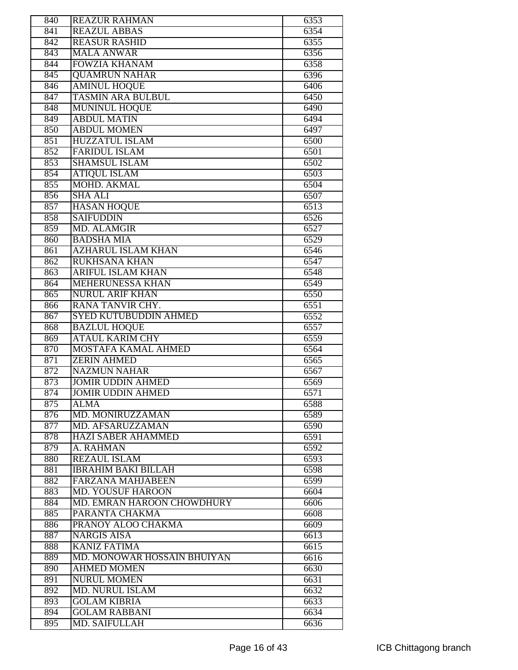| 840 | <b>REAZUR RAHMAN</b>         | 6353 |
|-----|------------------------------|------|
| 841 | <b>REAZUL ABBAS</b>          | 6354 |
| 842 | <b>REASUR RASHID</b>         | 6355 |
| 843 | <b>MALA ANWAR</b>            | 6356 |
| 844 | <b>FOWZIA KHANAM</b>         | 6358 |
| 845 | <b>QUAMRUN NAHAR</b>         | 6396 |
| 846 | <b>AMINUL HOQUE</b>          | 6406 |
| 847 | <b>TASMIN ARA BULBUL</b>     | 6450 |
| 848 | <b>MUNINUL HOQUE</b>         | 6490 |
| 849 | <b>ABDUL MATIN</b>           | 6494 |
| 850 | <b>ABDUL MOMEN</b>           | 6497 |
| 851 | <b>HUZZATUL ISLAM</b>        | 6500 |
| 852 | <b>FARIDUL ISLAM</b>         | 6501 |
| 853 | <b>SHAMSUL ISLAM</b>         | 6502 |
| 854 | <b>ATIQUL ISLAM</b>          | 6503 |
| 855 | MOHD. AKMAL                  | 6504 |
|     |                              |      |
| 856 | <b>SHA ALI</b>               | 6507 |
| 857 | <b>HASAN HOQUE</b>           | 6513 |
| 858 | <b>SAIFUDDIN</b>             | 6526 |
| 859 | <b>MD. ALAMGIR</b>           | 6527 |
| 860 | <b>BADSHA MIA</b>            | 6529 |
| 861 | <b>AZHARUL ISLAM KHAN</b>    | 6546 |
| 862 | <b>RUKHSANA KHAN</b>         | 6547 |
| 863 | <b>ARIFUL ISLAM KHAN</b>     | 6548 |
| 864 | <b>MEHERUNESSA KHAN</b>      | 6549 |
| 865 | <b>NURUL ARIF KHAN</b>       | 6550 |
| 866 | RANA TANVIR CHY.             | 6551 |
| 867 | <b>SYED KUTUBUDDIN AHMED</b> | 6552 |
| 868 | <b>BAZLUL HOQUE</b>          | 6557 |
| 869 | <b>ATAUL KARIM CHY</b>       | 6559 |
| 870 | <b>MOSTAFA KAMAL AHMED</b>   | 6564 |
| 871 | <b>ZERIN AHMED</b>           | 6565 |
| 872 | <b>NAZMUN NAHAR</b>          | 6567 |
| 873 | <b>JOMIR UDDIN AHMED</b>     | 6569 |
| 874 | JOMIR UDDIN AHMED            | 6571 |
| 875 | <b>ALMA</b>                  | 6588 |
| 876 | MD. MONIRUZZAMAN             | 6589 |
| 877 | MD. AFSARUZZAMAN             | 6590 |
| 878 | <b>HAZI SABER AHAMMED</b>    | 6591 |
| 879 | A. RAHMAN                    | 6592 |
| 880 | <b>REZAUL ISLAM</b>          | 6593 |
| 881 | <b>IBRAHIM BAKI BILLAH</b>   | 6598 |
| 882 | <b>FARZANA MAHJABEEN</b>     | 6599 |
| 883 | <b>MD. YOUSUF HAROON</b>     | 6604 |
| 884 | MD. EMRAN HAROON CHOWDHURY   | 6606 |
| 885 | PARANTA CHAKMA               | 6608 |
| 886 | PRANOY ALOO CHAKMA           | 6609 |
| 887 | <b>NARGIS AISA</b>           | 6613 |
| 888 | <b>KANIZ FATIMA</b>          | 6615 |
| 889 | MD. MONOWAR HOSSAIN BHUIYAN  | 6616 |
| 890 | <b>AHMED MOMEN</b>           | 6630 |
| 891 | <b>NURUL MOMEN</b>           | 6631 |
| 892 | <b>MD. NURUL ISLAM</b>       | 6632 |
| 893 | <b>GOLAM KIBRIA</b>          | 6633 |
| 894 | <b>GOLAM RABBANI</b>         | 6634 |
| 895 | <b>MD. SAIFULLAH</b>         | 6636 |
|     |                              |      |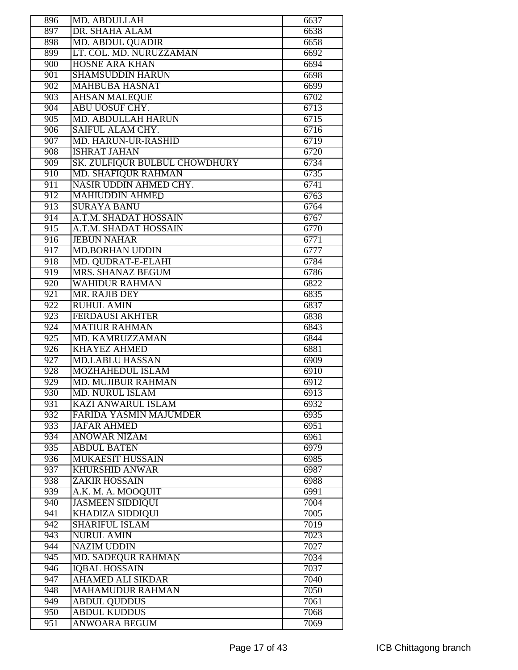| 896 | MD. ABDULLAH                  | 6637 |
|-----|-------------------------------|------|
| 897 | DR. SHAHA ALAM                | 6638 |
| 898 | <b>MD. ABDUL QUADIR</b>       | 6658 |
| 899 | LT. COL. MD. NURUZZAMAN       | 6692 |
| 900 | <b>HOSNE ARA KHAN</b>         | 6694 |
| 901 | <b>SHAMSUDDIN HARUN</b>       | 6698 |
| 902 | <b>MAHBUBA HASNAT</b>         | 6699 |
| 903 | <b>AHSAN MALEQUE</b>          | 6702 |
| 904 | <b>ABU UOSUF CHY.</b>         | 6713 |
| 905 | <b>MD. ABDULLAH HARUN</b>     | 6715 |
| 906 | SAIFUL ALAM CHY.              | 6716 |
| 907 | <b>MD. HARUN-UR-RASHID</b>    | 6719 |
| 908 | <b>ISHRAT JAHAN</b>           | 6720 |
|     |                               |      |
| 909 | SK. ZULFIQUR BULBUL CHOWDHURY | 6734 |
| 910 | <b>MD. SHAFIQUR RAHMAN</b>    | 6735 |
| 911 | NASIR UDDIN AHMED CHY.        | 6741 |
| 912 | <b>MAHIUDDIN AHMED</b>        | 6763 |
| 913 | <b>SURAYA BANU</b>            | 6764 |
| 914 | A.T.M. SHADAT HOSSAIN         | 6767 |
| 915 | A.T.M. SHADAT HOSSAIN         | 6770 |
| 916 | <b>JEBUN NAHAR</b>            | 6771 |
| 917 | <b>MD.BORHAN UDDIN</b>        | 6777 |
| 918 | MD. QUDRAT-E-ELAHI            | 6784 |
| 919 | MRS. SHANAZ BEGUM             | 6786 |
| 920 | <b>WAHIDUR RAHMAN</b>         | 6822 |
| 921 | MR. RAJIB DEY                 | 6835 |
| 922 | <b>RUHUL AMIN</b>             | 6837 |
| 923 | <b>FERDAUSI AKHTER</b>        | 6838 |
| 924 | <b>MATIUR RAHMAN</b>          | 6843 |
| 925 | <b>MD. KAMRUZZAMAN</b>        | 6844 |
| 926 | <b>KHAYEZ AHMED</b>           | 6881 |
| 927 | <b>MD.LABLU HASSAN</b>        | 6909 |
| 928 | <b>MOZHAHEDUL ISLAM</b>       | 6910 |
| 929 | <b>MD. MUJIBUR RAHMAN</b>     | 6912 |
| 930 | <b>MD. NURUL ISLAM</b>        | 6913 |
| 931 | <b>KAZI ANWARUL ISLAM</b>     | 6932 |
| 932 | <b>FARIDA YASMIN MAJUMDER</b> | 6935 |
| 933 | <b>JAFAR AHMED</b>            | 6951 |
| 934 | <b>ANOWAR NIZAM</b>           | 6961 |
| 935 | <b>ABDUL BATEN</b>            | 6979 |
| 936 | <b>MUKAESIT HUSSAIN</b>       | 6985 |
| 937 |                               |      |
|     | <b>KHURSHID ANWAR</b>         | 6987 |
| 938 | <b>ZAKIR HOSSAIN</b>          | 6988 |
| 939 | A.K. M. A. MOOQUIT            | 6991 |
| 940 | <b>JASMEEN SIDDIQUI</b>       | 7004 |
| 941 | KHADIZA SIDDIQUI              | 7005 |
| 942 | <b>SHARIFUL ISLAM</b>         | 7019 |
| 943 | <b>NURUL AMIN</b>             | 7023 |
| 944 | <b>NAZIM UDDIN</b>            | 7027 |
| 945 | <b>MD. SADEQUR RAHMAN</b>     | 7034 |
| 946 | <b>IOBAL HOSSAIN</b>          | 7037 |
| 947 | <b>AHAMED ALI SIKDAR</b>      | 7040 |
| 948 | <b>MAHAMUDUR RAHMAN</b>       | 7050 |
| 949 | <b>ABDUL QUDDUS</b>           | 7061 |
| 950 | <b>ABDUL KUDDUS</b>           | 7068 |
| 951 | <b>ANWOARA BEGUM</b>          | 7069 |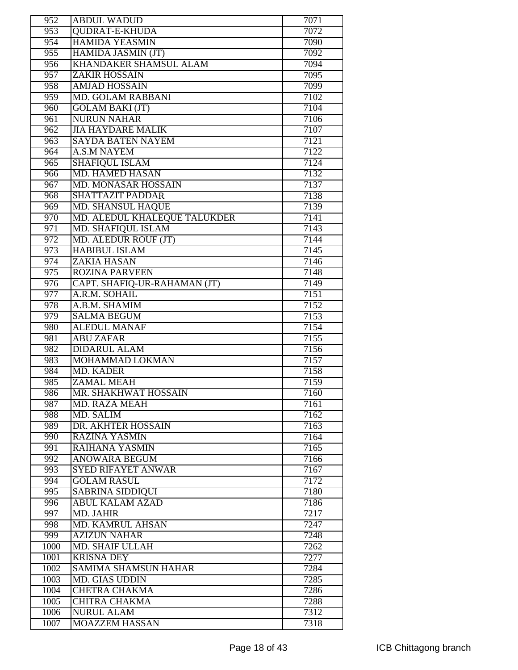| 952              | <b>ABDUL WADUD</b>                                | 7071         |
|------------------|---------------------------------------------------|--------------|
| 953              | <b>QUDRAT-E-KHUDA</b>                             | 7072         |
| 954              | <b>HAMIDA YEASMIN</b>                             | 7090         |
| 955              | HAMIDA JASMIN (JT)                                | 7092         |
| $\overline{956}$ | <b>KHANDAKER SHAMSUL ALAM</b>                     | 7094         |
| 957              | <b>ZAKIR HOSSAIN</b>                              | 7095         |
| 958              | <b>AMJAD HOSSAIN</b>                              | 7099         |
| 959              | MD. GOLAM RABBANI                                 | 7102         |
| 960              | <b>GOLAM BAKI (JT)</b>                            | 7104         |
| $\overline{961}$ | <b>NURUN NAHAR</b>                                | 7106         |
| 962              | <b>JIA HAYDARE MALIK</b>                          | 7107         |
| 963              | <b>SAYDA BATEN NAYEM</b>                          | 7121         |
| 964              | <b>A.S.M NAYEM</b>                                | 7122         |
| 965              | <b>SHAFIQUL ISLAM</b>                             | 7124         |
| 966              | <b>MD. HAMED HASAN</b>                            | 7132         |
| $\overline{967}$ | <b>MD. MONASAR HOSSAIN</b>                        | 7137         |
| 968              | <b>SHATTAZIT PADDAR</b>                           | 7138         |
| 969              | <b>MD. SHANSUL HAQUE</b>                          | 7139         |
| 970              | MD. ALEDUL KHALEQUE TALUKDER                      | 7141         |
| 971              | <b>MD. SHAFIQUL ISLAM</b>                         | 7143         |
| 972              | MD. ALEDUR ROUF (JT)                              | 7144         |
| 973              | <b>HABIBUL ISLAM</b>                              | 7145         |
| 974              | <b>ZAKIA HASAN</b>                                | 7146         |
| 975              | <b>ROZINA PARVEEN</b>                             | 7148         |
| $\overline{976}$ | CAPT. SHAFIQ-UR-RAHAMAN (JT)                      | 7149         |
| 977              | A.R.M. SOHAIL                                     | 7151         |
| 978              | A.B.M. SHAMIM                                     | 7152         |
| 979              | <b>SALMA BEGUM</b>                                | 7153         |
| 980              | <b>ALEDUL MANAF</b>                               | 7154         |
| 981              | <b>ABU ZAFAR</b>                                  | 7155         |
| 982              | <b>DIDARUL ALAM</b>                               | 7156         |
| 983              | MOHAMMAD LOKMAN                                   | 7157         |
| 984              | <b>MD. KADER</b>                                  | 7158         |
| 985              | ZAMAL MEAH                                        | 7159         |
| 986              | MR. SHAKHWAT HOSSAIN                              | 7160         |
| 987              | <b>MD. RAZA MEAH</b>                              | 7161         |
| 988              | MD. SALIM                                         | 7162         |
| 989              | DR. AKHTER HOSSAIN                                | 7163         |
| 990              | <b>RAZINA YASMIN</b>                              | 7164         |
| 991              | <b>RAIHANA YASMIN</b>                             | 7165         |
| 992              | <b>ANOWARA BEGUM</b>                              | 7166         |
| 993              | <b>SYED RIFAYET ANWAR</b>                         | 7167         |
| 994              | <b>GOLAM RASUL</b>                                | 7172         |
| 995              |                                                   |              |
| 996              | <b>SABRINA SIDDIQUI</b><br><b>ABUL KALAM AZAD</b> | 7180<br>7186 |
| 997              |                                                   |              |
|                  | MD. JAHIR<br><b>MD. KAMRUL AHSAN</b>              | 7217<br>7247 |
| 998              |                                                   |              |
| 999              | <b>AZIZUN NAHAR</b>                               | 7248         |
| 1000             | <b>MD. SHAIF ULLAH</b>                            | 7262         |
| 1001             | <b>KRISNA DEY</b>                                 | 7277         |
| 1002             | <b>SAMIMA SHAMSUN HAHAR</b>                       | 7284         |
| 1003             | <b>MD. GIAS UDDIN</b>                             | 7285         |
| 1004             | <b>CHETRA CHAKMA</b>                              | 7286         |
| 1005             | <b>CHITRA CHAKMA</b>                              | 7288         |
| 1006             | <b>NURUL ALAM</b>                                 | 7312         |
| 1007             | <b>MOAZZEM HASSAN</b>                             | 7318         |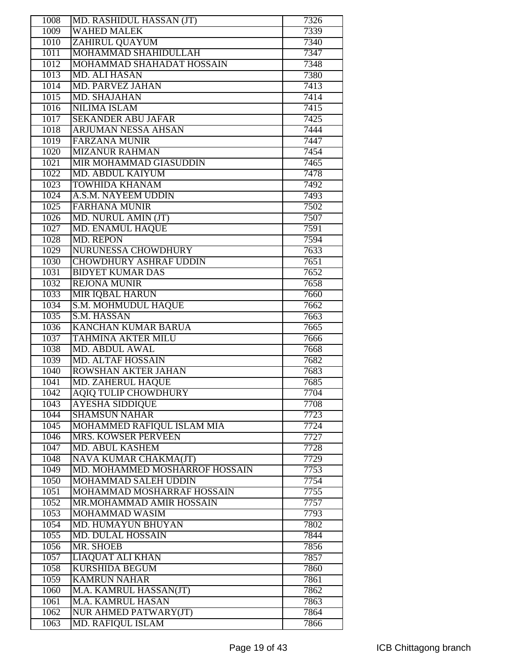| 1008 | MD. RASHIDUL HASSAN (JT)       | 7326 |
|------|--------------------------------|------|
| 1009 | <b>WAHED MALEK</b>             | 7339 |
| 1010 | ZAHIRUL QUAYUM                 | 7340 |
| 1011 | MOHAMMAD SHAHIDULLAH           | 7347 |
| 1012 | MOHAMMAD SHAHADAT HOSSAIN      | 7348 |
| 1013 | <b>MD. ALI HASAN</b>           | 7380 |
| 1014 | <b>MD. PARVEZ JAHAN</b>        | 7413 |
| 1015 | <b>MD. SHAJAHAN</b>            | 7414 |
| 1016 | <b>NILIMA ISLAM</b>            | 7415 |
| 1017 | <b>SEKANDER ABU JAFAR</b>      | 7425 |
| 1018 | <b>ARJUMAN NESSA AHSAN</b>     | 7444 |
| 1019 | <b>FARZANA MUNIR</b>           | 7447 |
| 1020 | <b>MIZANUR RAHMAN</b>          | 7454 |
| 1021 | MIR MOHAMMAD GIASUDDIN         | 7465 |
| 1022 | MD. ABDUL KAIYUM               | 7478 |
|      | <b>TOWHIDA KHANAM</b>          | 7492 |
| 1023 |                                |      |
| 1024 | A.S.M. NAYEEM UDDIN            | 7493 |
| 1025 | <b>FARHANA MUNIR</b>           | 7502 |
| 1026 | MD. NURUL AMIN (JT)            | 7507 |
| 1027 | <b>MD. ENAMUL HAQUE</b>        | 7591 |
| 1028 | <b>MD. REPON</b>               | 7594 |
| 1029 | <b>NURUNESSA CHOWDHURY</b>     | 7633 |
| 1030 | <b>CHOWDHURY ASHRAF UDDIN</b>  | 7651 |
| 1031 | <b>BIDYET KUMAR DAS</b>        | 7652 |
| 1032 | <b>REJONA MUNIR</b>            | 7658 |
| 1033 | <b>MIR IQBAL HARUN</b>         | 7660 |
| 1034 | S.M. MOHMUDUL HAQUE            | 7662 |
| 1035 | S.M. HASSAN                    | 7663 |
| 1036 | <b>KANCHAN KUMAR BARUA</b>     | 7665 |
| 1037 | <b>TAHMINA AKTER MILU</b>      | 7666 |
| 1038 | <b>MD. ABDUL AWAL</b>          | 7668 |
| 1039 | <b>MD. ALTAF HOSSAIN</b>       | 7682 |
| 1040 | ROWSHAN AKTER JAHAN            | 7683 |
| 1041 | <b>MD. ZAHERUL HAQUE</b>       | 7685 |
| 1042 | <b>AQIQ TULIP CHOWDHURY</b>    | 7704 |
| 1043 | <b>AYESHA SIDDIQUE</b>         | 7708 |
| 1044 | <b>SHAMSUN NAHAR</b>           | 7723 |
| 1045 | MOHAMMED RAFIQUL ISLAM MIA     | 7724 |
| 1046 | <b>MRS. KOWSER PERVEEN</b>     | 7727 |
| 1047 | MD. ABUL KASHEM                | 7728 |
| 1048 | NAVA KUMAR CHAKMA(JT)          | 7729 |
| 1049 | MD. MOHAMMED MOSHARROF HOSSAIN | 7753 |
| 1050 | MOHAMMAD SALEH UDDIN           | 7754 |
| 1051 | MOHAMMAD MOSHARRAF HOSSAIN     | 7755 |
| 1052 | MR.MOHAMMAD AMIR HOSSAIN       | 7757 |
| 1053 | MOHAMMAD WASIM                 | 7793 |
| 1054 | <b>MD. HUMAYUN BHUYAN</b>      | 7802 |
| 1055 | <b>MD. DULAL HOSSAIN</b>       | 7844 |
| 1056 | MR. SHOEB                      | 7856 |
| 1057 | <b>LIAQUAT ALI KHAN</b>        | 7857 |
| 1058 | KURSHIDA BEGUM                 | 7860 |
| 1059 | <b>KAMRUN NAHAR</b>            | 7861 |
| 1060 | M.A. KAMRUL HASSAN(JT)         | 7862 |
| 1061 | M.A. KAMRUL HASAN              | 7863 |
| 1062 | NUR AHMED PATWARY(JT)          | 7864 |
| 1063 | <b>MD. RAFIQUL ISLAM</b>       | 7866 |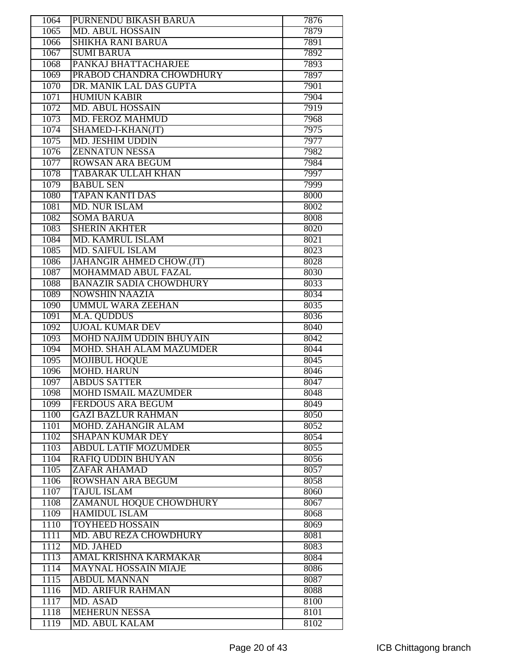| 1064 | PURNENDU BIKASH BARUA                         | 7876 |
|------|-----------------------------------------------|------|
| 1065 | <b>MD. ABUL HOSSAIN</b>                       | 7879 |
| 1066 | <b>SHIKHA RANI BARUA</b>                      | 7891 |
| 1067 | <b>SUMI BARUA</b>                             | 7892 |
| 1068 | PANKAJ BHATTACHARJEE                          | 7893 |
| 1069 | PRABOD CHANDRA CHOWDHURY                      | 7897 |
| 1070 | DR. MANIK LAL DAS GUPTA                       | 7901 |
| 1071 | <b>HUMIUN KABIR</b>                           | 7904 |
| 1072 | <b>MD. ABUL HOSSAIN</b>                       | 7919 |
| 1073 | <b>MD. FEROZ MAHMUD</b>                       | 7968 |
| 1074 | SHAMED-I-KHAN(JT)                             | 7975 |
| 1075 | <b>MD. JESHIM UDDIN</b>                       | 7977 |
| 1076 | <b>ZENNATUN NESSA</b>                         | 7982 |
|      |                                               |      |
| 1077 | <b>ROWSAN ARA BEGUM</b>                       | 7984 |
| 1078 | <b>TABARAK ULLAH KHAN</b>                     | 7997 |
| 1079 | <b>BABUL SEN</b>                              | 7999 |
| 1080 | <b>TAPAN KANTI DAS</b>                        | 8000 |
| 1081 | <b>MD. NUR ISLAM</b>                          | 8002 |
| 1082 | <b>SOMA BARUA</b>                             | 8008 |
| 1083 | <b>SHERIN AKHTER</b>                          | 8020 |
| 1084 | MD. KAMRUL ISLAM                              | 8021 |
| 1085 | <b>MD. SAIFUL ISLAM</b>                       | 8023 |
| 1086 | JAHANGIR AHMED CHOW.(JT)                      | 8028 |
| 1087 | MOHAMMAD ABUL FAZAL                           | 8030 |
| 1088 | <b>BANAZIR SADIA CHOWDHURY</b>                | 8033 |
| 1089 | <b>NOWSHIN NAAZIA</b>                         | 8034 |
| 1090 | <b>UMMUL WARA ZEEHAN</b>                      | 8035 |
| 1091 | M.A. QUDDUS                                   | 8036 |
| 1092 | <b>UJOAL KUMAR DEV</b>                        | 8040 |
|      |                                               |      |
|      |                                               |      |
| 1093 | <b>MOHD NAJIM UDDIN BHUYAIN</b>               | 8042 |
| 1094 | MOHD. SHAH ALAM MAZUMDER                      | 8044 |
| 1095 | <b>MOJIBUL HOQUE</b>                          | 8045 |
| 1096 | <b>MOHD. HARUN</b>                            | 8046 |
| 1097 | <b>ABDUS SATTER</b>                           | 8047 |
| 1098 | <b>MOHD ISMAIL MAZUMDER</b>                   | 8048 |
| 1099 | <b>FERDOUS ARA BEGUM</b>                      | 8049 |
| 1100 | <b>GAZI BAZLUR RAHMAN</b>                     | 8050 |
| 1101 | <b>MOHD. ZAHANGIR ALAM</b>                    | 8052 |
| 1102 | <b>SHAPAN KUMAR DEY</b>                       | 8054 |
| 1103 | <b>ABDUL LATIF MOZUMDER</b>                   | 8055 |
| 1104 | <b>RAFIQ UDDIN BHUYAN</b>                     | 8056 |
| 1105 | <b>ZAFAR AHAMAD</b>                           | 8057 |
| 1106 | <b>ROWSHAN ARA BEGUM</b>                      | 8058 |
| 1107 | <b>TAJUL ISLAM</b>                            | 8060 |
| 1108 | ZAMANUL HOQUE CHOWDHURY                       | 8067 |
| 1109 | <b>HAMIDUL ISLAM</b>                          | 8068 |
| 1110 | <b>TOYHEED HOSSAIN</b>                        | 8069 |
| 1111 | MD. ABU REZA CHOWDHURY                        | 8081 |
| 1112 | <b>MD. JAHED</b>                              | 8083 |
| 1113 | AMAL KRISHNA KARMAKAR                         | 8084 |
| 1114 | <b>MAYNAL HOSSAIN MIAJE</b>                   | 8086 |
| 1115 | <b>ABDUL MANNAN</b>                           | 8087 |
| 1116 | <b>MD. ARIFUR RAHMAN</b>                      | 8088 |
| 1117 | MD. ASAD                                      | 8100 |
| 1118 | <b>MEHERUN NESSA</b><br><b>MD. ABUL KALAM</b> | 8101 |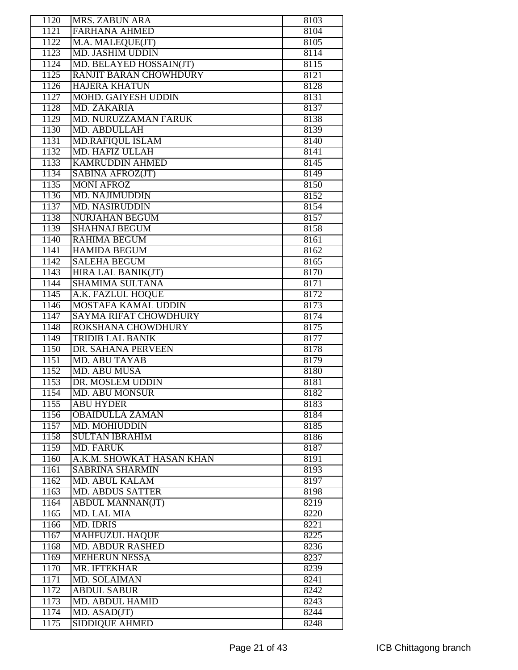| 1120         | <b>MRS. ZABUN ARA</b>                 | 8103         |
|--------------|---------------------------------------|--------------|
| 1121         | <b>FARHANA AHMED</b>                  | 8104         |
| 1122         | M.A. MALEQUE(JT)                      | 8105         |
| 1123         | <b>MD. JASHIM UDDIN</b>               | 8114         |
| 1124         | MD. BELAYED HOSSAIN(JT)               | 8115         |
| 1125         | <b>RANJIT BARAN CHOWHDURY</b>         | 8121         |
| 1126         | <b>HAJERA KHATUN</b>                  | 8128         |
| 1127         | <b>MOHD. GAIYESH UDDIN</b>            | 8131         |
| 1128         | MD. ZAKARIA                           | 8137         |
| 1129         | MD. NURUZZAMAN FARUK                  | 8138         |
| 1130         | <b>MD. ABDULLAH</b>                   | 8139         |
| 1131         | <b>MD.RAFIQUL ISLAM</b>               | 8140         |
| 1132         | <b>MD. HAFIZ ULLAH</b>                | 8141         |
| 1133         | <b>KAMRUDDIN AHMED</b>                | 8145         |
| 1134         |                                       | 8149         |
| 1135         | SABINA AFROZ(JT)<br><b>MONI AFROZ</b> |              |
|              |                                       | 8150         |
| 1136         | <b>MD. NAJIMUDDIN</b>                 | 8152         |
| 1137         | <b>MD. NASIRUDDIN</b>                 | 8154         |
| 1138         | <b>NURJAHAN BEGUM</b>                 | 8157         |
| 1139         | <b>SHAHNAJ BEGUM</b>                  | 8158         |
| 1140         | <b>RAHIMA BEGUM</b>                   | 8161         |
| 1141         | <b>HAMIDA BEGUM</b>                   | 8162         |
| 1142         | <b>SALEHA BEGUM</b>                   | 8165         |
| 1143         | <b>HIRA LAL BANIK(JT)</b>             | 8170         |
| 1144         | <b>SHAMIMA SULTANA</b>                | 8171         |
| 1145         | A.K. FAZLUL HOQUE                     | 8172         |
| 1146         | <b>MOSTAFA KAMAL UDDIN</b>            | 8173         |
| 1147         | <b>SAYMA RIFAT CHOWDHURY</b>          | 8174         |
| 1148         | <b>ROKSHANA CHOWDHURY</b>             | 8175         |
|              |                                       |              |
| 1149         | <b>TRIDIB LAL BANIK</b>               | 8177         |
| 1150         | DR. SAHANA PERVEEN                    | 8178         |
| 1151         | <b>MD. ABU TAYAB</b>                  | 8179         |
| 1152         | <b>MD. ABU MUSA</b>                   | 8180         |
| 1153         | DR. MOSLEM UDDIN                      | 8181         |
| 1154         | <b>MD. ABU MONSUR</b>                 | 8182         |
| 1155         | <b>ABU HYDER</b>                      | 8183         |
| 1156         | <b>OBAIDULLA ZAMAN</b>                | 8184         |
| 1157         | <b>MD. MOHIUDDIN</b>                  | 8185         |
| 1158         | <b>SULTAN IBRAHIM</b>                 | 8186         |
| 1159         | <b>MD. FARUK</b>                      | 8187         |
| 1160         | A.K.M. SHOWKAT HASAN KHAN             | 8191         |
| 1161         | <b>SABRINA SHARMIN</b>                | 8193         |
| 1162         | <b>MD. ABUL KALAM</b>                 | 8197         |
| 1163         | <b>MD. ABDUS SATTER</b>               | 8198         |
| 1164         | <b>ABDUL MANNAN(JT)</b>               | 8219         |
| 1165         | MD. LAL MIA                           | 8220         |
| 1166         | <b>MD. IDRIS</b>                      | 8221         |
| 1167         | <b>MAHFUZUL HAQUE</b>                 | 8225         |
| 1168         | <b>MD. ABDUR RASHED</b>               | 8236         |
| 1169         | <b>MEHERUN NESSA</b>                  | 8237         |
| 1170         | MR. IFTEKHAR                          | 8239         |
| 1171         | MD. SOLAIMAN                          | 8241         |
| 1172         | <b>ABDUL SABUR</b>                    | 8242         |
| 1173         | <b>MD. ABDUL HAMID</b>                | 8243         |
| 1174<br>1175 | MD. ASAD(JT)<br><b>SIDDIQUE AHMED</b> | 8244<br>8248 |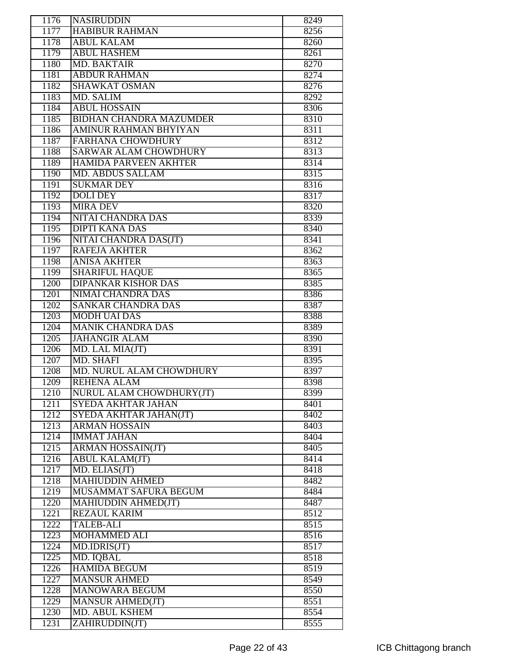| 1176 | <b>NASIRUDDIN</b>              | 8249 |
|------|--------------------------------|------|
| 1177 | <b>HABIBUR RAHMAN</b>          | 8256 |
| 1178 | <b>ABUL KALAM</b>              | 8260 |
| 1179 | <b>ABUL HASHEM</b>             | 8261 |
| 1180 | <b>MD. BAKTAIR</b>             | 8270 |
| 1181 | <b>ABDUR RAHMAN</b>            | 8274 |
| 1182 | <b>SHAWKAT OSMAN</b>           | 8276 |
| 1183 | MD. SALIM                      | 8292 |
| 1184 | <b>ABUL HOSSAIN</b>            | 8306 |
| 1185 | <b>BIDHAN CHANDRA MAZUMDER</b> | 8310 |
| 1186 | <b>AMINUR RAHMAN BHYIYAN</b>   | 8311 |
| 1187 | <b>FARHANA CHOWDHURY</b>       | 8312 |
| 1188 | <b>SARWAR ALAM CHOWDHURY</b>   | 8313 |
| 1189 | <b>HAMIDA PARVEEN AKHTER</b>   | 8314 |
| 1190 | <b>MD. ABDUS SALLAM</b>        | 8315 |
| 1191 | <b>SUKMAR DEY</b>              | 8316 |
| 1192 | <b>DOLI DEY</b>                | 8317 |
| 1193 | <b>MIRA DEV</b>                | 8320 |
| 1194 | NITAI CHANDRA DAS              | 8339 |
| 1195 | <b>DIPTI KANA DAS</b>          | 8340 |
| 1196 | NITAI CHANDRA DAS(JT)          | 8341 |
| 1197 | <b>RAFEJA AKHTER</b>           | 8362 |
| 1198 | <b>ANISA AKHTER</b>            | 8363 |
| 1199 | <b>SHARIFUL HAQUE</b>          | 8365 |
| 1200 | <b>DIPANKAR KISHOR DAS</b>     | 8385 |
| 1201 | <b>NIMAI CHANDRA DAS</b>       | 8386 |
| 1202 | <b>SANKAR CHANDRA DAS</b>      | 8387 |
| 1203 | <b>MODH UAI DAS</b>            | 8388 |
| 1204 | <b>MANIK CHANDRA DAS</b>       | 8389 |
| 1205 | <b>JAHANGIR ALAM</b>           | 8390 |
| 1206 | MD. LAL MIA(JT)                | 8391 |
| 1207 | <b>MD. SHAFI</b>               | 8395 |
| 1208 | MD. NURUL ALAM CHOWDHURY       | 8397 |
| 1209 | <b>REHENA ALAM</b>             | 8398 |
| 1210 | NURUL ALAM CHOWDHURY(JT)       | 8399 |
| 1211 | SYEDA AKHTAR JAHAN             | 8401 |
| 1212 | SYEDA AKHTAR JAHAN(JT)         | 8402 |
| 1213 | <b>ARMAN HOSSAIN</b>           | 8403 |
| 1214 | <b>IMMAT JAHAN</b>             | 8404 |
| 1215 | <b>ARMAN HOSSAIN(JT)</b>       | 8405 |
| 1216 | <b>ABUL KALAM(JT)</b>          | 8414 |
| 1217 | MD. ELIAS(JT)                  | 8418 |
| 1218 | <b>MAHIUDDIN AHMED</b>         | 8482 |
| 1219 | MUSAMMAT SAFURA BEGUM          | 8484 |
| 1220 | <b>MAHIUDDIN AHMED(JT)</b>     | 8487 |
| 1221 | <b>REZAUL KARIM</b>            | 8512 |
| 1222 | <b>TALEB-ALI</b>               | 8515 |
| 1223 | <b>MOHAMMED ALI</b>            | 8516 |
| 1224 | MD.IDRIS(JT)                   | 8517 |
| 1225 | MD. IQBAL                      | 8518 |
| 1226 | <b>HAMIDA BEGUM</b>            | 8519 |
| 1227 | <b>MANSUR AHMED</b>            | 8549 |
| 1228 | <b>MANOWARA BEGUM</b>          | 8550 |
| 1229 | <b>MANSUR AHMED(JT)</b>        | 8551 |
| 1230 | <b>MD. ABUL KSHEM</b>          | 8554 |
| 1231 | ZAHIRUDDIN(JT)                 | 8555 |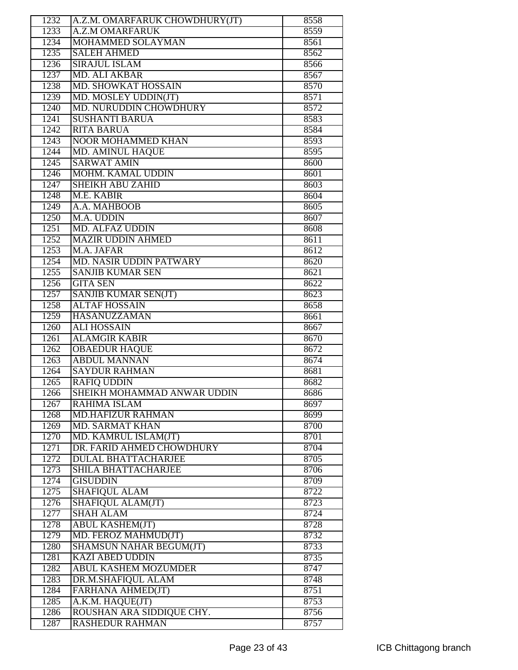| 1232 | A.Z.M. OMARFARUK CHOWDHURY(JT) | 8558 |
|------|--------------------------------|------|
| 1233 | <b>A.Z.M OMARFARUK</b>         | 8559 |
| 1234 | MOHAMMED SOLAYMAN              | 8561 |
| 1235 | <b>SALEH AHMED</b>             | 8562 |
| 1236 | <b>SIRAJUL ISLAM</b>           | 8566 |
| 1237 | <b>MD. ALI AKBAR</b>           | 8567 |
| 1238 | MD. SHOWKAT HOSSAIN            | 8570 |
| 1239 | MD. MOSLEY UDDIN(JT)           | 8571 |
| 1240 | MD. NURUDDIN CHOWDHURY         | 8572 |
| 1241 | <b>SUSHANTI BARUA</b>          | 8583 |
| 1242 | <b>RITA BARUA</b>              | 8584 |
| 1243 | <b>NOOR MOHAMMED KHAN</b>      | 8593 |
| 1244 | <b>MD. AMINUL HAQUE</b>        | 8595 |
| 1245 | <b>SARWAT AMIN</b>             | 8600 |
| 1246 | <b>MOHM. KAMAL UDDIN</b>       | 8601 |
| 1247 | <b>SHEIKH ABU ZAHID</b>        | 8603 |
| 1248 | <b>M.E. KABIR</b>              |      |
|      |                                | 8604 |
| 1249 | A.A. MAHBOOB                   | 8605 |
| 1250 | M.A. UDDIN                     | 8607 |
| 1251 | <b>MD. ALFAZ UDDIN</b>         | 8608 |
| 1252 | <b>MAZIR UDDIN AHMED</b>       | 8611 |
| 1253 | M.A. JAFAR                     | 8612 |
| 1254 | MD. NASIR UDDIN PATWARY        | 8620 |
| 1255 | <b>SANJIB KUMAR SEN</b>        | 8621 |
| 1256 | <b>GITA SEN</b>                | 8622 |
| 1257 | SANJIB KUMAR SEN(JT)           | 8623 |
| 1258 | <b>ALTAF HOSSAIN</b>           | 8658 |
| 1259 | <b>HASANUZZAMAN</b>            | 8661 |
| 1260 | <b>ALI HOSSAIN</b>             | 8667 |
| 1261 | <b>ALAMGIR KABIR</b>           | 8670 |
| 1262 | <b>OBAEDUR HAQUE</b>           | 8672 |
| 1263 | <b>ABDUL MANNAN</b>            | 8674 |
| 1264 | <b>SAYDUR RAHMAN</b>           | 8681 |
| 1265 | <b>RAFIQ UDDIN</b>             | 8682 |
| 1266 | SHEIKH MOHAMMAD ANWAR UDDIN    | 8686 |
| 1267 | <b>RAHIMA ISLAM</b>            | 8697 |
| 1268 | <b>MD.HAFIZUR RAHMAN</b>       | 8699 |
| 1269 | <b>MD. SARMAT KHAN</b>         | 8700 |
| 1270 | MD. KAMRUL ISLAM(JT)           | 8701 |
| 1271 | DR. FARID AHMED CHOWDHURY      | 8704 |
| 1272 | <b>DULAL BHATTACHARJEE</b>     | 8705 |
| 1273 | <b>SHILA BHATTACHARJEE</b>     | 8706 |
| 1274 | <b>GISUDDIN</b>                | 8709 |
| 1275 | <b>SHAFIQUL ALAM</b>           | 8722 |
| 1276 | SHAFIQUL ALAM(JT)              | 8723 |
| 1277 | <b>SHAH ALAM</b>               | 8724 |
| 1278 | <b>ABUL KASHEM(JT)</b>         | 8728 |
| 1279 | MD. FEROZ MAHMUD(JT)           | 8732 |
| 1280 | <b>SHAMSUN NAHAR BEGUM(JT)</b> | 8733 |
| 1281 | <b>KAZI ABED UDDIN</b>         | 8735 |
| 1282 | <b>ABUL KASHEM MOZUMDER</b>    | 8747 |
| 1283 | DR.M.SHAFIQUL ALAM             | 8748 |
| 1284 | FARHANA AHMED(JT)              | 8751 |
| 1285 | A.K.M. HAQUE(JT)               | 8753 |
| 1286 | ROUSHAN ARA SIDDIQUE CHY.      | 8756 |
| 1287 | <b>RASHEDUR RAHMAN</b>         | 8757 |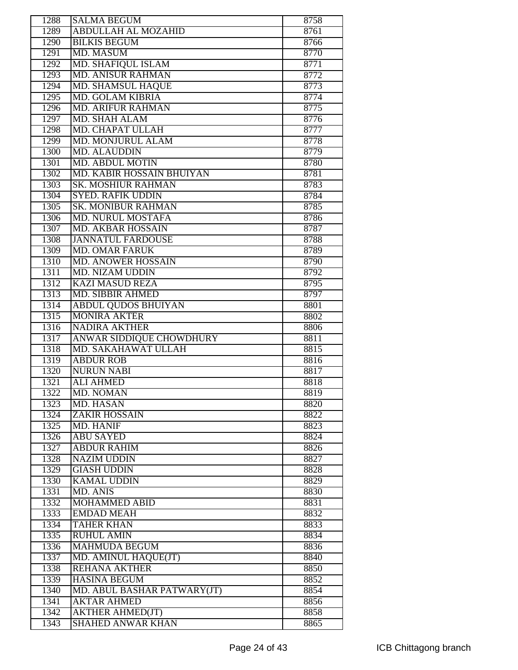|              | <b>SALMA BEGUM</b>                                  | 8758         |
|--------------|-----------------------------------------------------|--------------|
| 1289         | <b>ABDULLAH AL MOZAHID</b>                          | 8761         |
| 1290         | <b>BILKIS BEGUM</b>                                 | 8766         |
| 1291         | <b>MD. MASUM</b>                                    | 8770         |
| 1292         | <b>MD. SHAFIQUL ISLAM</b>                           | 8771         |
| 1293         | <b>MD. ANISUR RAHMAN</b>                            | 8772         |
| 1294         | <b>MD. SHAMSUL HAQUE</b>                            | 8773         |
| 1295         | <b>MD. GOLAM KIBRIA</b>                             | 8774         |
| 1296         | <b>MD. ARIFUR RAHMAN</b>                            | 8775         |
| 1297         | <b>MD. SHAH ALAM</b>                                | 8776         |
| 1298         | <b>MD. CHAPAT ULLAH</b>                             | 8777         |
| 1299         | <b>MD. MONJURUL ALAM</b>                            | 8778         |
| 1300         | <b>MD. ALAUDDIN</b>                                 | 8779         |
| 1301         | <b>MD. ABDUL MOTIN</b>                              | 8780         |
| 1302         | MD. KABIR HOSSAIN BHUIYAN                           | 8781         |
| 1303         | <b>SK. MOSHIUR RAHMAN</b>                           | 8783         |
| 1304         | <b>SYED. RAFIK UDDIN</b>                            | 8784         |
| 1305         | <b>SK. MONIBUR RAHMAN</b>                           | 8785         |
| 1306         | <b>MD. NURUL MOSTAFA</b>                            | 8786         |
| 1307         | <b>MD. AKBAR HOSSAIN</b>                            | 8787         |
| 1308         | <b>JANNATUL FARDOUSE</b>                            | 8788         |
| 1309         | <b>MD. OMAR FARUK</b>                               | 8789         |
| 1310         | <b>MD. ANOWER HOSSAIN</b>                           | 8790         |
| 1311         | <b>MD. NIZAM UDDIN</b>                              | 8792         |
| 1312         | <b>KAZI MASUD REZA</b>                              | 8795         |
| 1313         | <b>MD. SIBBIR AHMED</b>                             | 8797         |
| 1314         | <b>ABDUL QUDOS BHUIYAN</b>                          | 8801         |
| 1315         | <b>MONIRA AKTER</b>                                 | 8802         |
| 1316         | <b>NADIRA AKTHER</b>                                | 8806         |
| 1317         | <b>ANWAR SIDDIQUE CHOWDHURY</b>                     | 8811         |
| 1318         | MD. SAKAHAWAT ULLAH                                 | 8815         |
| 1319         | <b>ABDUR ROB</b>                                    |              |
|              |                                                     |              |
|              |                                                     | 8816         |
| 1320         | <b>NURUN NABI</b>                                   | 8817         |
| 1321         | <b>ALI AHMED</b>                                    | 8818         |
| 1322         | MD. NOMAN                                           | 8819         |
| 1323         | <b>MD. HASAN</b>                                    | 8820         |
| 1324         | <b>ZAKIR HOSSAIN</b>                                | 8822         |
| 1325         | MD. HANIF                                           | 8823         |
| 1326         | <b>ABU SAYED</b>                                    | 8824         |
| 1327         | <b>ABDUR RAHIM</b>                                  | 8826         |
| 1328         | <b>NAZIM UDDIN</b>                                  | 8827         |
| 1329         | <b>GIASH UDDIN</b>                                  | 8828         |
| 1330         | <b>KAMAL UDDIN</b>                                  | 8829         |
| 1331         | <b>MD. ANIS</b>                                     | 8830         |
| 1332         | <b>MOHAMMED ABID</b>                                | 8831         |
| 1333         | <b>EMDAD MEAH</b>                                   | 8832         |
| 1334         | <b>TAHER KHAN</b>                                   | 8833         |
| 1335         | <b>RUHUL AMIN</b>                                   | 8834         |
| 1336         | <b>MAHMUDA BEGUM</b>                                | 8836         |
| 1337         | MD. AMINUL HAQUE(JT)                                | 8840         |
| 1338         | <b>REHANA AKTHER</b>                                | 8850         |
| 1339         | <b>HASINA BEGUM</b>                                 | 8852         |
| 1340         | MD. ABUL BASHAR PATWARY(JT)                         | 8854         |
| 1341         | <b>AKTAR AHMED</b>                                  | 8856         |
| 1342<br>1343 | <b>AKTHER AHMED(JT)</b><br><b>SHAHED ANWAR KHAN</b> | 8858<br>8865 |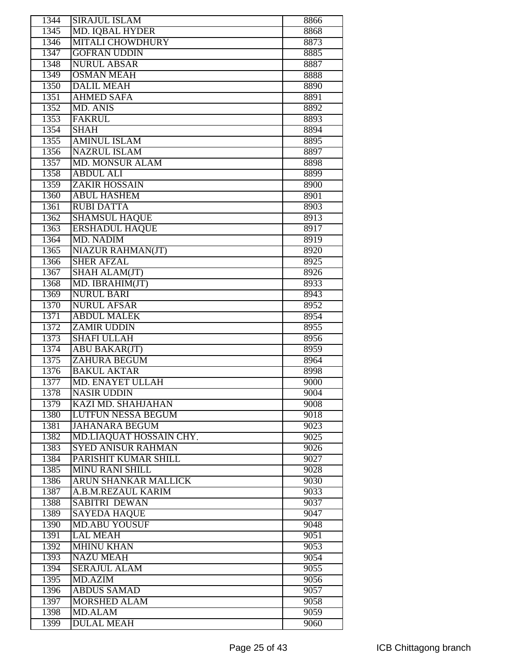| 1344 | <b>SIRAJUL ISLAM</b>      | 8866 |
|------|---------------------------|------|
| 1345 | <b>MD. IQBAL HYDER</b>    | 8868 |
| 1346 | <b>MITALI CHOWDHURY</b>   | 8873 |
| 1347 | <b>GOFRAN UDDIN</b>       | 8885 |
| 1348 | <b>NURUL ABSAR</b>        | 8887 |
| 1349 | <b>OSMAN MEAH</b>         | 8888 |
| 1350 | <b>DALIL MEAH</b>         | 8890 |
| 1351 | <b>AHMED SAFA</b>         | 8891 |
| 1352 | <b>MD. ANIS</b>           | 8892 |
| 1353 | <b>FAKRUL</b>             | 8893 |
| 1354 | <b>SHAH</b>               | 8894 |
| 1355 | <b>AMINUL ISLAM</b>       | 8895 |
| 1356 | <b>NAZRUL ISLAM</b>       | 8897 |
| 1357 | <b>MD. MONSUR ALAM</b>    | 8898 |
| 1358 | <b>ABDUL ALI</b>          | 8899 |
| 1359 | <b>ZAKIR HOSSAIN</b>      | 8900 |
| 1360 | <b>ABUL HASHEM</b>        | 8901 |
| 1361 | <b>RUBI DATTA</b>         | 8903 |
| 1362 | <b>SHAMSUL HAQUE</b>      | 8913 |
| 1363 | <b>ERSHADUL HAQUE</b>     | 8917 |
| 1364 | <b>MD. NADIM</b>          | 8919 |
| 1365 | <b>NIAZUR RAHMAN(JT)</b>  | 8920 |
| 1366 | <b>SHER AFZAL</b>         | 8925 |
| 1367 | SHAH ALAM(JT)             | 8926 |
| 1368 | MD. IBRAHIM(JT)           | 8933 |
| 1369 | <b>NURUL BARI</b>         | 8943 |
| 1370 | <b>NURUL AFSAR</b>        | 8952 |
| 1371 | <b>ABDUL MALEK</b>        | 8954 |
| 1372 | <b>ZAMIR UDDIN</b>        | 8955 |
| 1373 | <b>SHAFI ULLAH</b>        | 8956 |
| 1374 | <b>ABU BAKAR(JT)</b>      | 8959 |
| 1375 | <b>ZAHURA BEGUM</b>       | 8964 |
| 1376 | <b>BAKUL AKTAR</b>        | 8998 |
| 1377 | MD. ENAYET ULLAH          | 9000 |
| 1378 | <b>NASIR UDDIN</b>        | 9004 |
| 1379 | <b>KAZI MD. SHAHJAHAN</b> | 9008 |
| 1380 | <b>LUTFUN NESSA BEGUM</b> | 9018 |
| 1381 | <b>JAHANARA BEGUM</b>     | 9023 |
| 1382 | MD.LIAQUAT HOSSAIN CHY.   | 9025 |
| 1383 | <b>SYED ANISUR RAHMAN</b> | 9026 |
| 1384 | PARISHIT KUMAR SHILL      | 9027 |
| 1385 | <b>MINU RANI SHILL</b>    | 9028 |
| 1386 | ARUN SHANKAR MALLICK      | 9030 |
| 1387 | A.B.M.REZAUL KARIM        | 9033 |
| 1388 | <b>SABITRI DEWAN</b>      | 9037 |
| 1389 | <b>SAYEDA HAQUE</b>       | 9047 |
| 1390 | <b>MD.ABU YOUSUF</b>      | 9048 |
| 1391 | <b>LAL MEAH</b>           | 9051 |
| 1392 | <b>MHINU KHAN</b>         | 9053 |
| 1393 | <b>NAZU MEAH</b>          | 9054 |
| 1394 | <b>SERAJUL ALAM</b>       | 9055 |
| 1395 | MD.AZIM                   | 9056 |
| 1396 | <b>ABDUS SAMAD</b>        | 9057 |
| 1397 | <b>MORSHED ALAM</b>       | 9058 |
| 1398 | <b>MD.ALAM</b>            | 9059 |
| 1399 | <b>DULAL MEAH</b>         | 9060 |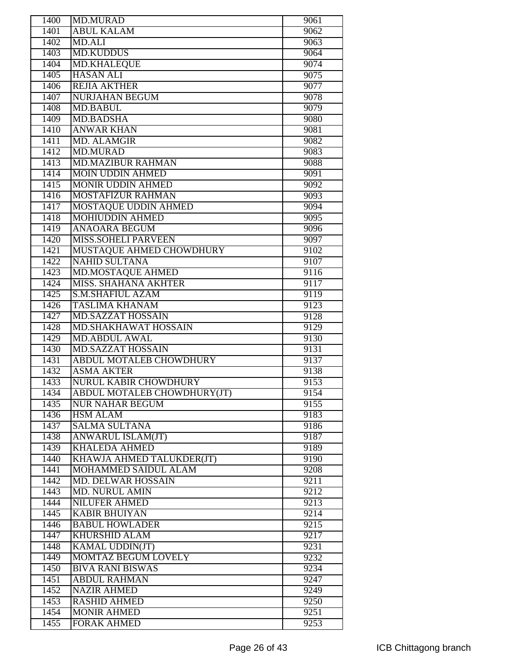| 1400 | <b>MD.MURAD</b>                | 9061 |
|------|--------------------------------|------|
| 1401 | <b>ABUL KALAM</b>              | 9062 |
| 1402 | <b>MD.ALI</b>                  | 9063 |
| 1403 | <b>MD.KUDDUS</b>               | 9064 |
| 1404 | <b>MD.KHALEQUE</b>             | 9074 |
| 1405 | <b>HASAN ALI</b>               | 9075 |
| 1406 | <b>REJIA AKTHER</b>            | 9077 |
| 1407 | <b>NURJAHAN BEGUM</b>          | 9078 |
| 1408 | <b>MD.BABUL</b>                | 9079 |
| 1409 | <b>MD.BADSHA</b>               | 9080 |
| 1410 | <b>ANWAR KHAN</b>              | 9081 |
| 1411 | <b>MD. ALAMGIR</b>             | 9082 |
| 1412 | <b>MD.MURAD</b>                | 9083 |
| 1413 | <b>MD.MAZIBUR RAHMAN</b>       | 9088 |
| 1414 | <b>MOIN UDDIN AHMED</b>        | 9091 |
| 1415 | <b>MONIR UDDIN AHMED</b>       | 9092 |
| 1416 | <b>MOSTAFIZUR RAHMAN</b>       | 9093 |
| 1417 | <b>MOSTAQUE UDDIN AHMED</b>    | 9094 |
| 1418 | <b>MOHIUDDIN AHMED</b>         | 9095 |
| 1419 | <b>ANAOARA BEGUM</b>           | 9096 |
| 1420 | <b>MISS.SOHELI PARVEEN</b>     | 9097 |
| 1421 | MUSTAQUE AHMED CHOWDHURY       | 9102 |
| 1422 | <b>NAHID SULTANA</b>           | 9107 |
| 1423 | <b>MD.MOSTAQUE AHMED</b>       | 9116 |
| 1424 | <b>MISS. SHAHANA AKHTER</b>    | 9117 |
| 1425 | <b>S.M.SHAFIUL AZAM</b>        | 9119 |
| 1426 | <b>TASLIMA KHANAM</b>          | 9123 |
| 1427 | <b>MD.SAZZAT HOSSAIN</b>       | 9128 |
| 1428 | MD.SHAKHAWAT HOSSAIN           | 9129 |
| 1429 | <b>MD.ABDUL AWAL</b>           | 9130 |
| 1430 | <b>MD.SAZZAT HOSSAIN</b>       | 9131 |
| 1431 | <b>ABDUL MOTALEB CHOWDHURY</b> | 9137 |
| 1432 | <b>ASMA AKTER</b>              | 9138 |
| 1433 | <b>NURUL KABIR CHOWDHURY</b>   | 9153 |
| 1434 | ABDUL MOTALEB CHOWDHURY(JT)    | 9154 |
| 1435 | <b>NUR NAHAR BEGUM</b>         | 9155 |
| 1436 | <b>HSM ALAM</b>                | 9183 |
| 1437 | <b>SALMA SULTANA</b>           | 9186 |
| 1438 | <b>ANWARUL ISLAM(JT)</b>       | 9187 |
| 1439 | <b>KHALEDA AHMED</b>           | 9189 |
| 1440 | KHAWJA AHMED TALUKDER(JT)      | 9190 |
| 1441 | MOHAMMED SAIDUL ALAM           | 9208 |
| 1442 | <b>MD. DELWAR HOSSAIN</b>      | 9211 |
| 1443 | <b>MD. NURUL AMIN</b>          | 9212 |
| 1444 | <b>NILUFER AHMED</b>           | 9213 |
| 1445 | <b>KABIR BHUIYAN</b>           | 9214 |
| 1446 | <b>BABUL HOWLADER</b>          | 9215 |
| 1447 | <b>KHURSHID ALAM</b>           | 9217 |
| 1448 | <b>KAMAL UDDIN(JT)</b>         | 9231 |
| 1449 | MOMTAZ BEGUM LOVELY            | 9232 |
| 1450 | <b>BIVA RANI BISWAS</b>        | 9234 |
| 1451 | <b>ABDUL RAHMAN</b>            | 9247 |
| 1452 | <b>NAZIR AHMED</b>             | 9249 |
| 1453 | <b>RASHID AHMED</b>            | 9250 |
| 1454 | <b>MONIR AHMED</b>             | 9251 |
| 1455 | <b>FORAK AHMED</b>             | 9253 |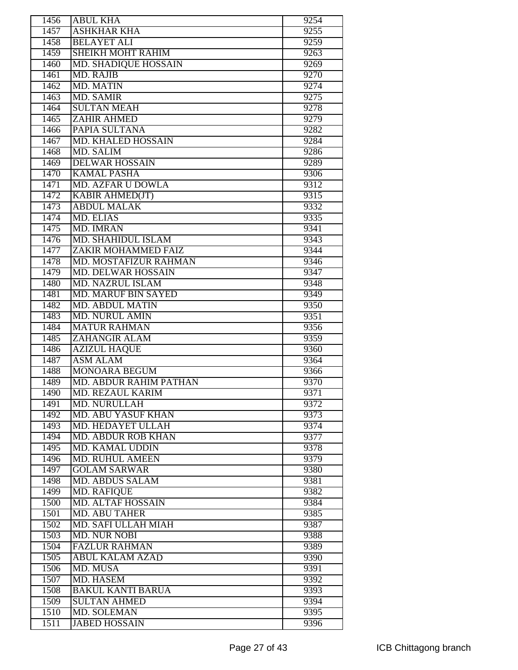| 1456 | <b>ABUL KHA</b>               | 9254              |
|------|-------------------------------|-------------------|
| 1457 | <b>ASHKHAR KHA</b>            | 9255              |
| 1458 | <b>BELAYET ALI</b>            | 9259              |
| 1459 | <b>SHEIKH MOHT RAHIM</b>      | 9263              |
| 1460 | <b>MD. SHADIQUE HOSSAIN</b>   | 9269              |
| 1461 | <b>MD. RAJIB</b>              | 9270              |
| 1462 | <b>MD. MATIN</b>              | 9274              |
| 1463 | <b>MD. SAMIR</b>              | 9275              |
| 1464 | <b>SULTAN MEAH</b>            | 9278              |
| 1465 | <b>ZAHIR AHMED</b>            | 9279              |
| 1466 | PAPIA SULTANA                 | 9282              |
| 1467 | <b>MD. KHALED HOSSAIN</b>     | 9284              |
| 1468 | <b>MD. SALIM</b>              | 9286              |
| 1469 | <b>DELWAR HOSSAIN</b>         | 9289              |
| 1470 | <b>KAMAL PASHA</b>            | 9306              |
| 1471 | <b>MD. AZFAR U DOWLA</b>      | 9312              |
| 1472 | <b>KABIR AHMED(JT)</b>        | 9315              |
| 1473 | <b>ABDUL MALAK</b>            | 9332              |
| 1474 | <b>MD. ELIAS</b>              | 9335              |
| 1475 | <b>MD. IMRAN</b>              | 9341              |
| 1476 | <b>MD. SHAHIDUL ISLAM</b>     | 9343              |
| 1477 | <b>ZAKIR MOHAMMED FAIZ</b>    | 9344              |
| 1478 | MD. MOSTAFIZUR RAHMAN         | 9346              |
| 1479 | <b>MD. DELWAR HOSSAIN</b>     | 9347              |
| 1480 | <b>MD. NAZRUL ISLAM</b>       | 9348              |
| 1481 | <b>MD. MARUF BIN SAYED</b>    | 9349              |
| 1482 | <b>MD. ABDUL MATIN</b>        | 9350              |
| 1483 | <b>MD. NURUL AMIN</b>         | 9351              |
| 1484 | <b>MATUR RAHMAN</b>           | 9356              |
| 1485 | <b>ZAHANGIR ALAM</b>          | 9359              |
| 1486 | <b>AZIZUL HAQUE</b>           | 9360              |
| 1487 | <b>ASM ALAM</b>               | 9364              |
| 1488 | <b>MONOARA BEGUM</b>          | 9366              |
| 1489 | <b>MD. ABDUR RAHIM PATHAN</b> | 9370              |
| 1490 | MD. REZAUL KARIM              | 9371              |
| 1491 | MD. NURULLAH                  | 9372              |
| 1492 | <b>MD. ABU YASUF KHAN</b>     | 9373              |
| 1493 | MD. HEDAYET ULLAH             | 9374              |
| 1494 | <b>MD. ABDUR ROB KHAN</b>     | 9377              |
| 1495 | <b>MD. KAMAL UDDIN</b>        | 9378              |
| 1496 | <b>MD. RUHUL AMEEN</b>        | 9379              |
| 1497 | <b>GOLAM SARWAR</b>           | 9380              |
| 1498 | <b>MD. ABDUS SALAM</b>        | 9381              |
| 1499 | <b>MD. RAFIQUE</b>            | $938\overline{2}$ |
| 1500 | <b>MD. ALTAF HOSSAIN</b>      | 9384              |
| 1501 | <b>MD. ABU TAHER</b>          | 9385              |
| 1502 | <b>MD. SAFI ULLAH MIAH</b>    | 9387              |
| 1503 | <b>MD. NUR NOBI</b>           | 9388              |
| 1504 | <b>FAZLUR RAHMAN</b>          | 9389              |
| 1505 | <b>ABUL KALAM AZAD</b>        | 9390              |
| 1506 | MD. MUSA                      | 9391              |
| 1507 | MD. HASEM                     | 9392              |
| 1508 | <b>BAKUL KANTI BARUA</b>      | 9393              |
| 1509 | <b>SULTAN AHMED</b>           | 9394              |
| 1510 | <b>MD. SOLEMAN</b>            | 9395              |
| 1511 | <b>JABED HOSSAIN</b>          | 9396              |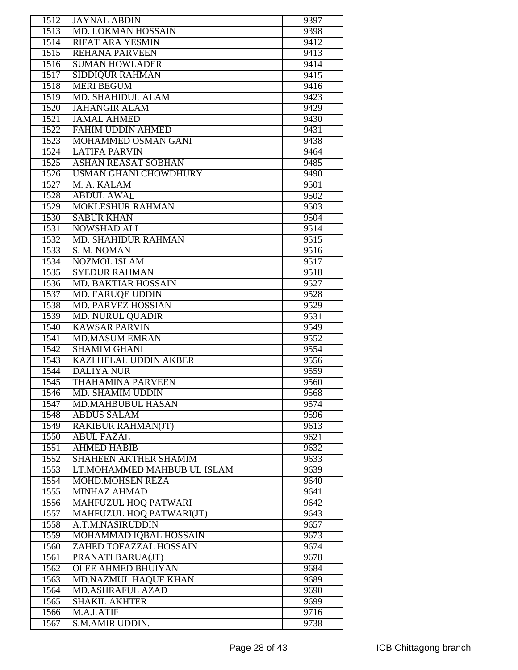| 1512         | <b>JAYNAL ABDIN</b>                          | 9397         |
|--------------|----------------------------------------------|--------------|
| 1513         | MD. LOKMAN HOSSAIN                           | 9398         |
| 1514         | <b>RIFAT ARA YESMIN</b>                      | 9412         |
| 1515         | <b>REHANA PARVEEN</b>                        | 9413         |
| 1516         | <b>SUMAN HOWLADER</b>                        | 9414         |
| 1517         | <b>SIDDIQUR RAHMAN</b>                       | 9415         |
| 1518         | <b>MERI BEGUM</b>                            | 9416         |
| 1519         | <b>MD. SHAHIDUL ALAM</b>                     | 9423         |
| 1520         | <b>JAHANGIR ALAM</b>                         | 9429         |
| 1521         | <b>JAMAL AHMED</b>                           | 9430         |
| 1522         | <b>FAHIM UDDIN AHMED</b>                     | 9431         |
| 1523         | <b>MOHAMMED OSMAN GANI</b>                   | 9438         |
| 1524         | <b>LATIFA PARVIN</b>                         | 9464         |
| 1525         | <b>ASHAN REASAT SOBHAN</b>                   | 9485         |
| 1526         | <b>USMAN GHANI CHOWDHURY</b>                 | 9490         |
| 1527         | M. A. KALAM                                  | 9501         |
| 1528         | <b>ABDUL AWAL</b>                            | 9502         |
| 1529         | <b>MOKLESHUR RAHMAN</b>                      | 9503         |
| 1530         | <b>SABUR KHAN</b>                            | 9504         |
| 1531         | <b>NOWSHAD ALI</b>                           | 9514         |
| 1532         | <b>MD. SHAHIDUR RAHMAN</b>                   | 9515         |
| 1533         | S. M. NOMAN                                  | 9516         |
| 1534         | <b>NOZMOL ISLAM</b>                          | 9517         |
| 1535         | <b>SYEDUR RAHMAN</b>                         | 9518         |
| 1536         | <b>MD. BAKTIAR HOSSAIN</b>                   | 9527         |
| 1537         | <b>MD. FARUQE UDDIN</b>                      | 9528         |
| 1538         | <b>MD. PARVEZ HOSSIAN</b>                    | 9529         |
| 1539         | <b>MD. NURUL QUADIR</b>                      | 9531         |
| 1540         | <b>KAWSAR PARVIN</b>                         | 9549         |
| 1541         | <b>MD.MASUM EMRAN</b>                        | 9552         |
| 1542         | <b>SHAMIM GHANI</b>                          | 9554         |
| 1543         | <b>KAZI HELAL UDDIN AKBER</b>                | 9556         |
| 1544         | <b>DALIYA NUR</b>                            | 9559         |
| 1545         | <b>THAHAMINA PARVEEN</b>                     | 9560         |
|              |                                              |              |
| 1546<br>1547 | MD. SHAMIM UDDIN<br><b>MD.MAHBUBUL HASAN</b> | 9568<br>9574 |
| 1548         | <b>ABDUS SALAM</b>                           | 9596         |
| 1549         | <b>RAKIBUR RAHMAN(JT)</b>                    | 9613         |
|              | <b>ABUL FAZAL</b>                            |              |
| 1550<br>1551 | <b>AHMED HABIB</b>                           | 9621<br>9632 |
| 1552         | <b>SHAHEEN AKTHER SHAMIM</b>                 | 9633         |
| 1553         | LT.MOHAMMED MAHBUB UL ISLAM                  | 9639         |
| 1554         | <b>MOHD.MOHSEN REZA</b>                      | 9640         |
| 1555         | <b>MINHAZ AHMAD</b>                          | 9641         |
| 1556         | <b>MAHFUZUL HOQ PATWARI</b>                  | 9642         |
| 1557         | MAHFUZUL HOQ PATWARI(JT)                     | 9643         |
| 1558         | A.T.M.NASIRUDDIN                             | 9657         |
| 1559         | MOHAMMAD IQBAL HOSSAIN                       | 9673         |
| 1560         | ZAHED TOFAZZAL HOSSAIN                       | 9674         |
| 1561         | PRANATI BARUA(JT)                            | 9678         |
| 1562         | <b>OLEE AHMED BHUIYAN</b>                    | 9684         |
| 1563         | <b>MD.NAZMUL HAQUE KHAN</b>                  | 9689         |
| 1564         | <b>MD.ASHRAFUL AZAD</b>                      | 9690         |
| 1565         | <b>SHAKIL AKHTER</b>                         | 9699         |
| 1566         | M.A.LATIF                                    | 9716         |
| 1567         | S.M.AMIR UDDIN.                              | 9738         |
|              |                                              |              |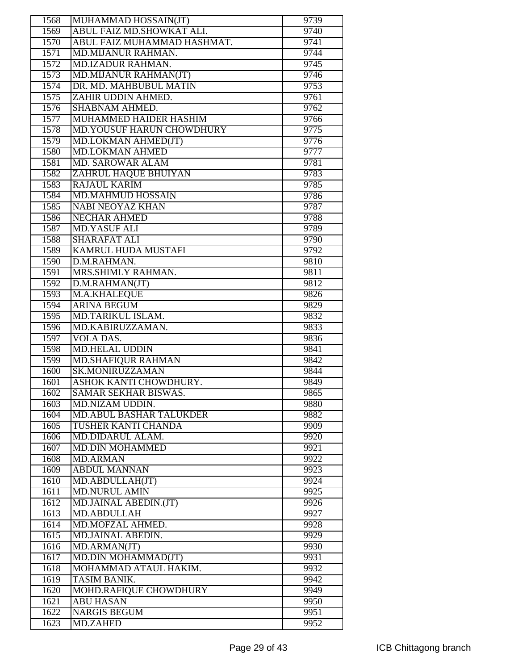| 1568         | MUHAMMAD HOSSAIN(JT)             | 9739 |
|--------------|----------------------------------|------|
| 1569         | <b>ABUL FAIZ MD.SHOWKAT ALI.</b> | 9740 |
| 1570         | ABUL FAIZ MUHAMMAD HASHMAT.      | 9741 |
| 1571         | <b>MD.MIJANUR RAHMAN.</b>        | 9744 |
| 1572         | <b>MD.IZADUR RAHMAN.</b>         | 9745 |
| 1573         | <b>MD.MIJANUR RAHMAN(JT)</b>     | 9746 |
| 1574         | DR. MD. MAHBUBUL MATIN           | 9753 |
| 1575         | ZAHIR UDDIN AHMED.               | 9761 |
| 1576         | SHABNAM AHMED.                   | 9762 |
| 1577         | <b>MUHAMMED HAIDER HASHIM</b>    | 9766 |
| 1578         | <b>MD.YOUSUF HARUN CHOWDHURY</b> | 9775 |
| 1579         | MD.LOKMAN AHMED(JT)              | 9776 |
| 1580         | <b>MD.LOKMAN AHMED</b>           | 9777 |
| 1581         | <b>MD. SAROWAR ALAM</b>          | 9781 |
| 1582         | ZAHRUL HAQUE BHUIYAN             | 9783 |
| 1583         | <b>RAJAUL KARIM</b>              | 9785 |
| 1584         | <b>MD.MAHMUD HOSSAIN</b>         | 9786 |
| 1585         | <b>NABI NEOYAZ KHAN</b>          | 9787 |
| 1586         | <b>NECHAR AHMED</b>              | 9788 |
| 1587         | <b>MD.YASUF ALI</b>              | 9789 |
| 1588         | <b>SHARAFAT ALI</b>              | 9790 |
| 1589         | <b>KAMRUL HUDA MUSTAFI</b>       | 9792 |
| 1590         | D.M.RAHMAN.                      | 9810 |
| 1591         | MRS.SHIMLY RAHMAN.               | 9811 |
| 1592         | D.M.RAHMAN(JT)                   | 9812 |
| 1593         | M.A.KHALEQUE                     | 9826 |
| 1594         | <b>ARINA BEGUM</b>               | 9829 |
| 1595         | MD.TARIKUL ISLAM.                | 9832 |
| 1596         | MD.KABIRUZZAMAN.                 | 9833 |
| 1597         | <b>VOLA DAS.</b>                 | 9836 |
| 1598         | <b>MD.HELAL UDDIN</b>            | 9841 |
| 1599         | <b>MD.SHAFIQUR RAHMAN</b>        | 9842 |
| 1600         | <b>SK.MONIRUZZAMAN</b>           | 9844 |
| 1601         | ASHOK KANTI CHOWDHURY.           | 9849 |
| 1602         | SAMAR SEKHAR BISWAS.             | 9865 |
| 1603         | MD.NIZAM UDDIN.                  | 9880 |
| 1604         | <b>MD.ABUL BASHAR TALUKDER</b>   | 9882 |
| 1605         | TUSHER KANTI CHANDA              | 9909 |
| 1606         | MD.DIDARUL ALAM.                 | 9920 |
| 1607         | <b>MD.DIN MOHAMMED</b>           | 9921 |
| 1608         | <b>MD.ARMAN</b>                  | 9922 |
| 1609         | <b>ABDUL MANNAN</b>              | 9923 |
| 1610         | MD.ABDULLAH(JT)                  | 9924 |
| 1611         | MD.NURUL AMIN                    | 9925 |
| 1612         | MD.JAINAL ABEDIN.(JT)            | 9926 |
| 1613         | <b>MD.ABDULLAH</b>               | 9927 |
| 1614         | MD.MOFZAL AHMED.                 | 9928 |
| 1615         | <b>MD.JAINAL ABEDIN.</b>         | 9929 |
| 1616         | MD.ARMAN(JT)                     | 9930 |
| 1617         | MD.DIN MOHAMMAD(JT)              | 9931 |
| 1618         | MOHAMMAD ATAUL HAKIM.            | 9932 |
| 1619         | TASIM BANIK.                     | 9942 |
|              | MOHD.RAFIQUE CHOWDHURY           | 9949 |
| 1620<br>1621 | <b>ABU HASAN</b>                 | 9950 |
| 1622         | <b>NARGIS BEGUM</b>              | 9951 |
| 1623         | <b>MD.ZAHED</b>                  | 9952 |
|              |                                  |      |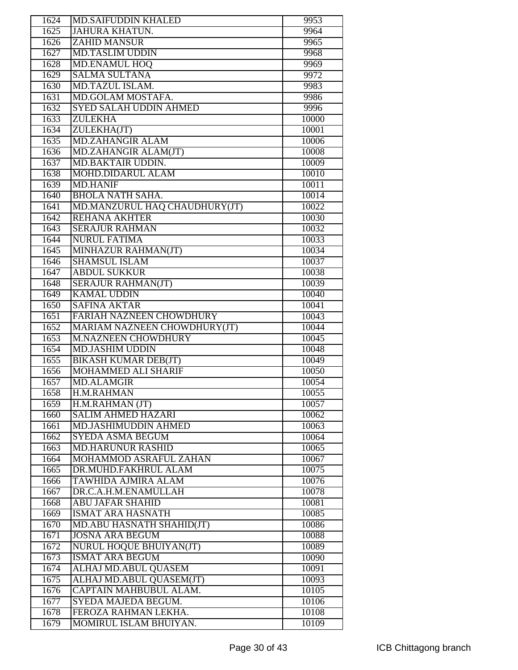| 1624 | <b>MD.SAIFUDDIN KHALED</b>     | 9953  |
|------|--------------------------------|-------|
| 1625 | <b>JAHURA KHATUN.</b>          | 9964  |
| 1626 | <b>ZAHID MANSUR</b>            | 9965  |
| 1627 | <b>MD.TASLIM UDDIN</b>         | 9968  |
| 1628 | <b>MD.ENAMUL HOQ</b>           | 9969  |
| 1629 | <b>SALMA SULTANA</b>           | 9972  |
| 1630 | MD.TAZUL ISLAM.                | 9983  |
| 1631 | MD.GOLAM MOSTAFA.              | 9986  |
| 1632 | <b>SYED SALAH UDDIN AHMED</b>  | 9996  |
| 1633 | <b>ZULEKHA</b>                 | 10000 |
| 1634 | ZULEKHA(JT)                    | 10001 |
| 1635 | <b>MD.ZAHANGIR ALAM</b>        | 10006 |
| 1636 | MD.ZAHANGIR ALAM(JT)           | 10008 |
| 1637 | MD.BAKTAIR UDDIN.              | 10009 |
| 1638 | <b>MOHD.DIDARUL ALAM</b>       | 10010 |
| 1639 | <b>MD.HANIF</b>                | 10011 |
| 1640 | <b>BHOLA NATH SAHA.</b>        | 10014 |
| 1641 | MD.MANZURUL HAQ CHAUDHURY(JT)  | 10022 |
| 1642 | <b>REHANA AKHTER</b>           | 10030 |
| 1643 | <b>SERAJUR RAHMAN</b>          | 10032 |
| 1644 | <b>NURUL FATIMA</b>            | 10033 |
| 1645 | MINHAZUR RAHMAN(JT)            | 10034 |
| 1646 | <b>SHAMSUL ISLAM</b>           | 10037 |
| 1647 | <b>ABDUL SUKKUR</b>            | 10038 |
| 1648 | <b>SERAJUR RAHMAN(JT)</b>      | 10039 |
| 1649 | <b>KAMAL UDDIN</b>             | 10040 |
| 1650 | <b>SAFINA AKTAR</b>            | 10041 |
| 1651 | FARIAH NAZNEEN CHOWDHURY       | 10043 |
| 1652 | MARIAM NAZNEEN CHOWDHURY(JT)   | 10044 |
| 1653 | <b>M.NAZNEEN CHOWDHURY</b>     | 10045 |
| 1654 | <b>MD.JASHIM UDDIN</b>         | 10048 |
| 1655 | <b>BIKASH KUMAR DEB(JT)</b>    | 10049 |
| 1656 | <b>MOHAMMED ALI SHARIF</b>     | 10050 |
| 1657 | <b>MD.ALAMGIR</b>              | 10054 |
| 1658 | H.M.RAHMAN                     | 10055 |
| 1659 | H.M.RAHMAN (JT)                | 10057 |
| 1660 | <b>SALIM AHMED HAZARI</b>      | 10062 |
| 1661 | MD.JASHIMUDDIN AHMED           | 10063 |
| 1662 | <b>SYEDA ASMA BEGUM</b>        | 10064 |
| 1663 | <b>MD.HARUNUR RASHID</b>       | 10065 |
| 1664 | <b>MOHAMMOD ASRAFUL ZAHAN</b>  | 10067 |
| 1665 | DR.MUHD.FAKHRUL ALAM           | 10075 |
| 1666 | TAWHIDA AJMIRA ALAM            | 10076 |
| 1667 | DR.C.A.H.M.ENAMULLAH           | 10078 |
| 1668 | <b>ABU JAFAR SHAHID</b>        | 10081 |
| 1669 | <b>ISMAT ARA HASNATH</b>       | 10085 |
| 1670 | MD.ABU HASNATH SHAHID(JT)      | 10086 |
| 1671 | <b>JOSNA ARA BEGUM</b>         | 10088 |
| 1672 | <b>NURUL HOQUE BHUIYAN(JT)</b> | 10089 |
| 1673 | <b>ISMAT ARA BEGUM</b>         | 10090 |
| 1674 | ALHAJ MD.ABUL QUASEM           | 10091 |
| 1675 | ALHAJ MD.ABUL QUASEM(JT)       | 10093 |
| 1676 | CAPTAIN MAHBUBUL ALAM.         | 10105 |
| 1677 | SYEDA MAJEDA BEGUM.            | 10106 |
| 1678 | FEROZA RAHMAN LEKHA.           | 10108 |
| 1679 | MOMIRUL ISLAM BHUIYAN.         | 10109 |
|      |                                |       |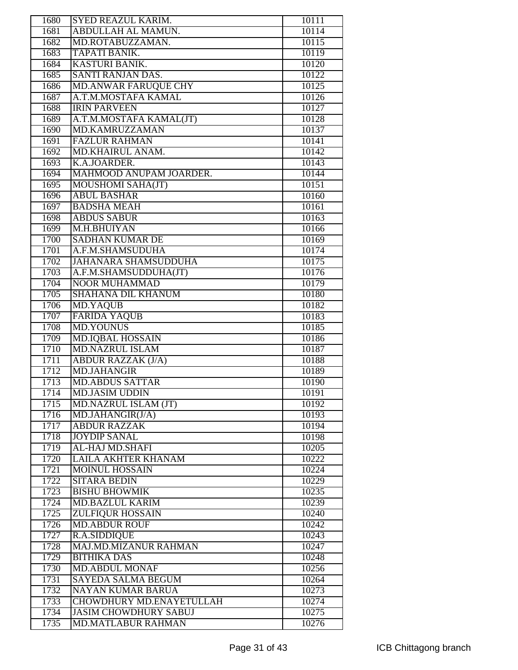| 1680 | SYED REAZUL KARIM.              | 10111 |
|------|---------------------------------|-------|
| 1681 | ABDULLAH AL MAMUN.              | 10114 |
| 1682 | MD.ROTABUZZAMAN.                | 10115 |
| 1683 | <b>TAPATI BANIK.</b>            | 10119 |
| 1684 | <b>KASTURI BANIK.</b>           | 10120 |
| 1685 | <b>SANTI RANJAN DAS.</b>        | 10122 |
| 1686 | <b>MD.ANWAR FARUQUE CHY</b>     | 10125 |
| 1687 | A.T.M.MOSTAFA KAMAL             | 10126 |
| 1688 | <b>IRIN PARVEEN</b>             | 10127 |
| 1689 | A.T.M.MOSTAFA KAMAL(JT)         | 10128 |
|      | MD.KAMRUZZAMAN                  |       |
| 1690 |                                 | 10137 |
| 1691 | <b>FAZLUR RAHMAN</b>            | 10141 |
| 1692 | MD.KHAIRUL ANAM.                | 10142 |
| 1693 | K.A.JOARDER.                    | 10143 |
| 1694 | MAHMOOD ANUPAM JOARDER.         | 10144 |
| 1695 | <b>MOUSHOMI SAHA(JT)</b>        | 10151 |
| 1696 | <b>ABUL BASHAR</b>              | 10160 |
| 1697 | <b>BADSHA MEAH</b>              | 10161 |
| 1698 | <b>ABDUS SABUR</b>              | 10163 |
| 1699 | M.H.BHUIYAN                     | 10166 |
| 1700 | <b>SADHAN KUMAR DE</b>          | 10169 |
| 1701 | A.F.M.SHAMSUDUHA                | 10174 |
| 1702 | <b>JAHANARA SHAMSUDDUHA</b>     | 10175 |
| 1703 | A.F.M.SHAMSUDDUHA(JT)           | 10176 |
| 1704 | <b>NOOR MUHAMMAD</b>            | 10179 |
| 1705 | <b>SHAHANA DIL KHANUM</b>       | 10180 |
| 1706 | <b>MD.YAQUB</b>                 | 10182 |
| 1707 | <b>FARIDA YAQUB</b>             | 10183 |
| 1708 | <b>MD.YOUNUS</b>                | 10185 |
| 1709 | <b>MD.IQBAL HOSSAIN</b>         | 10186 |
| 1710 | <b>MD.NAZRUL ISLAM</b>          | 10187 |
| 1711 | <b>ABDUR RAZZAK (J/A)</b>       | 10188 |
| 1712 | <b>MD.JAHANGIR</b>              | 10189 |
|      | <b>MD.ABDUS SATTAR</b>          |       |
| 1713 |                                 | 10190 |
| 1714 | <b>MD.JASIM UDDIN</b>           | 10191 |
| 1715 | MD.NAZRUL ISLAM (JT)            | 10192 |
| 1716 | MD.JAHANGIR(J/A)                | 10193 |
| 1717 | <b>ABDUR RAZZAK</b>             | 10194 |
| 1718 | <b>JOYDIP SANAL</b>             | 10198 |
| 1719 | AL-HAJ MD.SHAFI                 | 10205 |
| 1720 | <b>LAILA AKHTER KHANAM</b>      | 10222 |
| 1721 | <b>MOINUL HOSSAIN</b>           | 10224 |
| 1722 | <b>SITARA BEDIN</b>             | 10229 |
| 1723 | <b>BISHU BHOWMIK</b>            | 10235 |
| 1724 | <b>MD.BAZLUL KARIM</b>          | 10239 |
| 1725 | <b>ZULFIQUR HOSSAIN</b>         | 10240 |
| 1726 | <b>MD.ABDUR ROUF</b>            | 10242 |
| 1727 | <b>R.A.SIDDIQUE</b>             | 10243 |
| 1728 | <b>MAJ.MD.MIZANUR RAHMAN</b>    | 10247 |
| 1729 | <b>BITHIKA DAS</b>              | 10248 |
| 1730 | <b>MD.ABDUL MONAF</b>           | 10256 |
| 1731 | <b>SAYEDA SALMA BEGUM</b>       | 10264 |
| 1732 | <b>NAYAN KUMAR BARUA</b>        | 10273 |
| 1733 | <b>CHOWDHURY MD.ENAYETULLAH</b> | 10274 |
| 1734 | <b>JASIM CHOWDHURY SABUJ</b>    | 10275 |
| 1735 | <b>MD.MATLABUR RAHMAN</b>       | 10276 |
|      |                                 |       |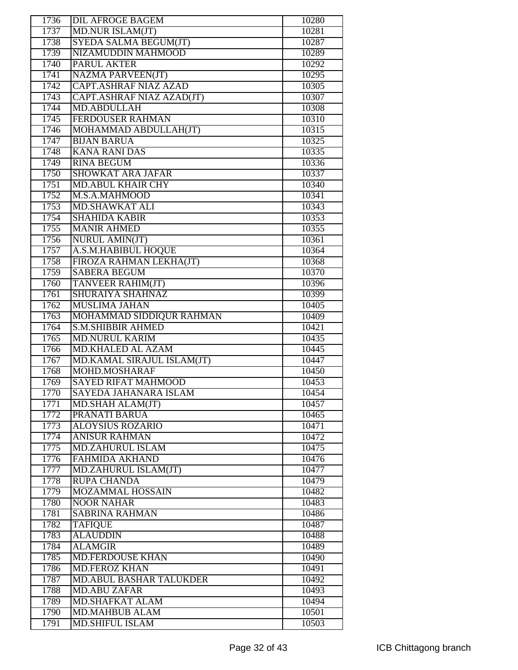| 1736 | <b>DIL AFROGE BAGEM</b>        | 10280 |
|------|--------------------------------|-------|
| 1737 | MD.NUR ISLAM(JT)               | 10281 |
| 1738 | SYEDA SALMA BEGUM(JT)          | 10287 |
| 1739 | NIZAMUDDIN MAHMOOD             | 10289 |
| 1740 | <b>PARUL AKTER</b>             | 10292 |
| 1741 | <b>NAZMA PARVEEN(JT)</b>       | 10295 |
| 1742 | <b>CAPT.ASHRAF NIAZ AZAD</b>   | 10305 |
| 1743 | CAPT.ASHRAF NIAZ AZAD(JT)      | 10307 |
| 1744 | <b>MD.ABDULLAH</b>             | 10308 |
| 1745 | <b>FERDOUSER RAHMAN</b>        | 10310 |
| 1746 |                                |       |
|      | MOHAMMAD ABDULLAH(JT)          | 10315 |
| 1747 | <b>BIJAN BARUA</b>             | 10325 |
| 1748 | <b>KANA RANI DAS</b>           | 10335 |
| 1749 | <b>RINA BEGUM</b>              | 10336 |
| 1750 | <b>SHOWKAT ARA JAFAR</b>       | 10337 |
| 1751 | <b>MD.ABUL KHAIR CHY</b>       | 10340 |
| 1752 | M.S.A.MAHMOOD                  | 10341 |
| 1753 | <b>MD.SHAWKAT ALI</b>          | 10343 |
| 1754 | <b>SHAHIDA KABIR</b>           | 10353 |
| 1755 | <b>MANIR AHMED</b>             | 10355 |
| 1756 | <b>NURUL AMIN(JT)</b>          | 10361 |
| 1757 | A.S.M.HABIBUL HOQUE            | 10364 |
| 1758 | FIROZA RAHMAN LEKHA(JT)        | 10368 |
| 1759 | <b>SABERA BEGUM</b>            | 10370 |
| 1760 | <b>TANVEER RAHIM(JT)</b>       | 10396 |
| 1761 | SHURAIYA SHAHNAZ               | 10399 |
| 1762 | <b>MUSLIMA JAHAN</b>           | 10405 |
| 1763 | MOHAMMAD SIDDIQUR RAHMAN       | 10409 |
| 1764 | <b>S.M.SHIBBIR AHMED</b>       | 10421 |
| 1765 | <b>MD.NURUL KARIM</b>          | 10435 |
| 1766 | <b>MD.KHALED AL AZAM</b>       | 10445 |
| 1767 | MD.KAMAL SIRAJUL ISLAM(JT)     | 10447 |
| 1768 | MOHD.MOSHARAF                  | 10450 |
| 1769 | <b>SAYED RIFAT MAHMOOD</b>     | 10453 |
|      |                                |       |
| 1770 | SAYEDA JAHANARA ISLAM          | 10454 |
| 1771 | MD.SHAH ALAM(JT)               | 10457 |
| 1772 | PRANATI BARUA                  | 10465 |
| 1773 | <b>ALOYSIUS ROZARIO</b>        | 10471 |
| 1774 | <b>ANISUR RAHMAN</b>           | 10472 |
| 1775 | <b>MD.ZAHURUL ISLAM</b>        | 10475 |
| 1776 | <b>FAHMIDA AKHAND</b>          | 10476 |
| 1777 | MD.ZAHURUL ISLAM(JT)           | 10477 |
| 1778 | <b>RUPA CHANDA</b>             | 10479 |
| 1779 | <b>MOZAMMAL HOSSAIN</b>        | 10482 |
| 1780 | <b>NOOR NAHAR</b>              | 10483 |
| 1781 | <b>SABRINA RAHMAN</b>          | 10486 |
| 1782 | <b>TAFIQUE</b>                 | 10487 |
| 1783 | <b>ALAUDDIN</b>                | 10488 |
| 1784 | <b>ALAMGIR</b>                 | 10489 |
| 1785 | <b>MD.FERDOUSE KHAN</b>        | 10490 |
| 1786 | <b>MD.FEROZ KHAN</b>           | 10491 |
| 1787 | <b>MD.ABUL BASHAR TALUKDER</b> | 10492 |
| 1788 | <b>MD.ABU ZAFAR</b>            | 10493 |
| 1789 | <b>MD.SHAFKAT ALAM</b>         | 10494 |
| 1790 | <b>MD.MAHBUB ALAM</b>          | 10501 |
| 1791 | <b>MD.SHIFUL ISLAM</b>         | 10503 |
|      |                                |       |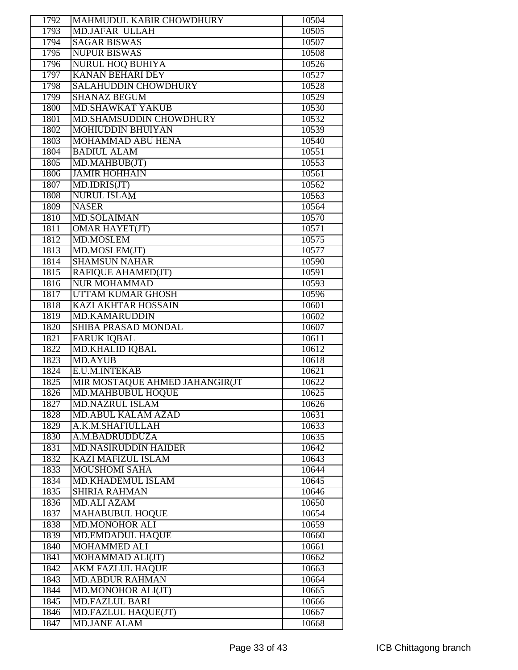| 1792 | <b>MAHMUDUL KABIR CHOWDHURY</b> | 10504 |
|------|---------------------------------|-------|
| 1793 | <b>MD.JAFAR ULLAH</b>           | 10505 |
| 1794 | <b>SAGAR BISWAS</b>             | 10507 |
| 1795 | <b>NUPUR BISWAS</b>             | 10508 |
| 1796 | <b>NURUL HOQ BUHIYA</b>         | 10526 |
| 1797 | <b>KANAN BEHARI DEY</b>         | 10527 |
| 1798 | <b>SALAHUDDIN CHOWDHURY</b>     | 10528 |
| 1799 | <b>SHANAZ BEGUM</b>             | 10529 |
| 1800 | <b>MD.SHAWKAT YAKUB</b>         | 10530 |
| 1801 | MD.SHAMSUDDIN CHOWDHURY         | 10532 |
| 1802 | <b>MOHIUDDIN BHUIYAN</b>        | 10539 |
| 1803 | <b>MOHAMMAD ABU HENA</b>        | 10540 |
| 1804 | <b>BADIUL ALAM</b>              | 10551 |
| 1805 | MD.MAHBUB(JT)                   | 10553 |
| 1806 | <b>JAMIR HOHHAIN</b>            | 10561 |
| 1807 | MD.IDRIS(JT)                    | 10562 |
| 1808 | <b>NURUL ISLAM</b>              | 10563 |
| 1809 | <b>NASER</b>                    | 10564 |
| 1810 | <b>MD.SOLAIMAN</b>              | 10570 |
| 1811 | <b>OMAR HAYET(JT)</b>           | 10571 |
| 1812 | <b>MD.MOSLEM</b>                | 10575 |
| 1813 | MD.MOSLEM(JT)                   | 10577 |
| 1814 | <b>SHAMSUN NAHAR</b>            | 10590 |
| 1815 | <b>RAFIQUE AHAMED(JT)</b>       | 10591 |
| 1816 | <b>NUR MOHAMMAD</b>             | 10593 |
| 1817 | <b>UTTAM KUMAR GHOSH</b>        | 10596 |
| 1818 | <b>KAZI AKHTAR HOSSAIN</b>      | 10601 |
| 1819 | <b>MD.KAMARUDDIN</b>            | 10602 |
| 1820 | <b>SHIBA PRASAD MONDAL</b>      | 10607 |
| 1821 | <b>FARUK IQBAL</b>              | 10611 |
| 1822 | <b>MD.KHALID IQBAL</b>          | 10612 |
| 1823 | <b>MD.AYUB</b>                  | 10618 |
| 1824 | E.U.M.INTEKAB                   | 10621 |
| 1825 | MIR MOSTAQUE AHMED JAHANGIR(JT  | 10622 |
| 1826 | MD.MAHBUBUL HOQUE               | 10625 |
| 1827 | <b>MD.NAZRUL ISLAM</b>          | 10626 |
| 1828 | <b>MD.ABUL KALAM AZAD</b>       | 10631 |
| 1829 | A.K.M.SHAFIULLAH                | 10633 |
| 1830 | A.M.BADRUDDUZA                  | 10635 |
| 1831 | <b>MD.NASIRUDDIN HAIDER</b>     | 10642 |
| 1832 | <b>KAZI MAFIZUL ISLAM</b>       | 10643 |
| 1833 | <b>MOUSHOMI SAHA</b>            | 10644 |
| 1834 | <b>MD.KHADEMUL ISLAM</b>        | 10645 |
| 1835 | <b>SHIRIA RAHMAN</b>            | 10646 |
| 1836 | <b>MD.ALI AZAM</b>              | 10650 |
| 1837 | <b>MAHABUBUL HOQUE</b>          | 10654 |
|      | <b>MD.MONOHOR ALI</b>           | 10659 |
| 1838 |                                 |       |
| 1839 | <b>MD.EMDADUL HAQUE</b>         | 10660 |
| 1840 | <b>MOHAMMED ALI</b>             | 10661 |
| 1841 | MOHAMMAD ALI(JT)                | 10662 |
| 1842 | <b>AKM FAZLUL HAQUE</b>         | 10663 |
| 1843 | <b>MD.ABDUR RAHMAN</b>          | 10664 |
| 1844 | MD.MONOHOR ALI(JT)              | 10665 |
| 1845 | <b>MD.FAZLUL BARI</b>           | 10666 |
| 1846 | MD.FAZLUL HAQUE(JT)             | 10667 |
| 1847 | <b>MD.JANE ALAM</b>             | 10668 |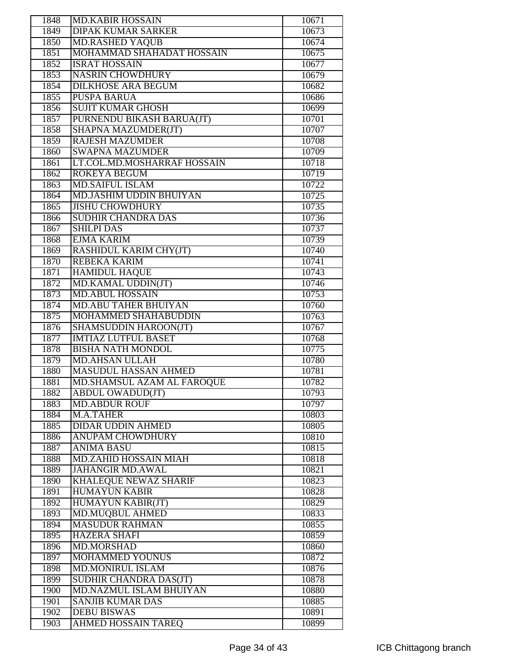| 1848 | <b>MD.KABIR HOSSAIN</b>        | 10671 |
|------|--------------------------------|-------|
| 1849 | <b>DIPAK KUMAR SARKER</b>      | 10673 |
| 1850 | <b>MD.RASHED YAQUB</b>         | 10674 |
| 1851 | MOHAMMAD SHAHADAT HOSSAIN      | 10675 |
| 1852 | <b>ISRAT HOSSAIN</b>           | 10677 |
| 1853 | <b>NASRIN CHOWDHURY</b>        | 10679 |
| 1854 | <b>DILKHOSE ARA BEGUM</b>      | 10682 |
| 1855 | <b>PUSPA BARUA</b>             | 10686 |
| 1856 | <b>SUJIT KUMAR GHOSH</b>       | 10699 |
| 1857 | PURNENDU BIKASH BARUA(JT)      | 10701 |
| 1858 | SHAPNA MAZUMDER(JT)            | 10707 |
|      |                                |       |
| 1859 | <b>RAJESH MAZUMDER</b>         | 10708 |
| 1860 | <b>SWAPNA MAZUMDER</b>         | 10709 |
| 1861 | LT.COL.MD.MOSHARRAF HOSSAIN    | 10718 |
| 1862 | <b>ROKEYA BEGUM</b>            | 10719 |
| 1863 | <b>MD.SAIFUL ISLAM</b>         | 10722 |
| 1864 | <b>MD.JASHIM UDDIN BHUIYAN</b> | 10725 |
| 1865 | <b>JISHU CHOWDHURY</b>         | 10735 |
| 1866 | <b>SUDHIR CHANDRA DAS</b>      | 10736 |
| 1867 | <b>SHILPI DAS</b>              | 10737 |
| 1868 | <b>EJMA KARIM</b>              | 10739 |
| 1869 | <b>RASHIDUL KARIM CHY(JT)</b>  | 10740 |
| 1870 | <b>REBEKA KARIM</b>            | 10741 |
| 1871 | <b>HAMIDUL HAQUE</b>           | 10743 |
| 1872 | MD.KAMAL UDDIN(JT)             | 10746 |
| 1873 | <b>MD.ABUL HOSSAIN</b>         | 10753 |
| 1874 | <b>MD.ABU TAHER BHUIYAN</b>    | 10760 |
| 1875 | <b>MOHAMMED SHAHABUDDIN</b>    | 10763 |
| 1876 | <b>SHAMSUDDIN HAROON(JT)</b>   | 10767 |
| 1877 | <b>IMTIAZ LUTFUL BASET</b>     | 10768 |
| 1878 | <b>BISHA NATH MONDOL</b>       | 10775 |
| 1879 | <b>MD.AHSAN ULLAH</b>          | 10780 |
| 1880 | <b>MASUDUL HASSAN AHMED</b>    | 10781 |
| 1881 | MD.SHAMSUL AZAM AL FAROQUE     | 10782 |
| 1882 | <b>ABDUL OWADUD(JT)</b>        | 10793 |
| 1883 | <b>MD.ABDUR ROUF</b>           | 10797 |
| 1884 | M.A.TAHER                      | 10803 |
| 1885 | <b>DIDAR UDDIN AHMED</b>       | 10805 |
| 1886 | <b>ANUPAM CHOWDHURY</b>        | 10810 |
| 1887 | <b>ANIMA BASU</b>              | 10815 |
| 1888 | <b>MD.ZAHID HOSSAIN MIAH</b>   | 10818 |
| 1889 | <b>JAHANGIR MD.AWAL</b>        | 10821 |
| 1890 | <b>KHALEQUE NEWAZ SHARIF</b>   | 10823 |
|      | <b>HUMAYUN KABIR</b>           |       |
| 1891 |                                | 10828 |
| 1892 | <b>HUMAYUN KABIR(JT)</b>       | 10829 |
| 1893 | <b>MD.MUQBUL AHMED</b>         | 10833 |
| 1894 | <b>MASUDUR RAHMAN</b>          | 10855 |
| 1895 | <b>HAZERA SHAFI</b>            | 10859 |
| 1896 | <b>MD.MORSHAD</b>              | 10860 |
| 1897 | MOHAMMED YOUNUS                | 10872 |
| 1898 | <b>MD.MONIRUL ISLAM</b>        | 10876 |
| 1899 | <b>SUDHIR CHANDRA DAS(JT)</b>  | 10878 |
| 1900 | MD.NAZMUL ISLAM BHUIYAN        | 10880 |
| 1901 | <b>SANJIB KUMAR DAS</b>        | 10885 |
| 1902 | <b>DEBU BISWAS</b>             | 10891 |
|      | <b>AHMED HOSSAIN TAREQ</b>     |       |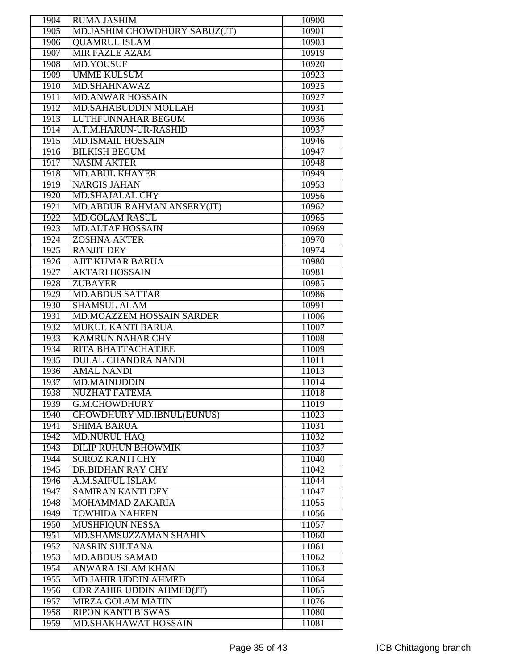| 1904 | <b>RUMA JASHIM</b>               |       |
|------|----------------------------------|-------|
|      |                                  | 10900 |
| 1905 | MD.JASHIM CHOWDHURY SABUZ(JT)    | 10901 |
| 1906 | <b>QUAMRUL ISLAM</b>             | 10903 |
| 1907 | <b>MIR FAZLE AZAM</b>            | 10919 |
| 1908 | <b>MD.YOUSUF</b>                 | 10920 |
| 1909 | <b>UMME KULSUM</b>               | 10923 |
| 1910 | <b>MD.SHAHNAWAZ</b>              | 10925 |
| 1911 | <b>MD.ANWAR HOSSAIN</b>          | 10927 |
| 1912 | <b>MD.SAHABUDDIN MOLLAH</b>      | 10931 |
| 1913 | <b>LUTHFUNNAHAR BEGUM</b>        | 10936 |
| 1914 | A.T.M.HARUN-UR-RASHID            | 10937 |
| 1915 | <b>MD.ISMAIL HOSSAIN</b>         | 10946 |
| 1916 | <b>BILKISH BEGUM</b>             | 10947 |
| 1917 | <b>NASIM AKTER</b>               | 10948 |
| 1918 | <b>MD.ABUL KHAYER</b>            | 10949 |
| 1919 | <b>NARGIS JAHAN</b>              | 10953 |
| 1920 | <b>MD.SHAJALAL CHY</b>           | 10956 |
| 1921 | MD.ABDUR RAHMAN ANSERY(JT)       | 10962 |
| 1922 | <b>MD.GOLAM RASUL</b>            | 10965 |
| 1923 | <b>MD.ALTAF HOSSAIN</b>          | 10969 |
| 1924 | <b>ZOSHNA AKTER</b>              | 10970 |
| 1925 | <b>RANJIT DEY</b>                | 10974 |
| 1926 | <b>AJIT KUMAR BARUA</b>          | 10980 |
| 1927 | <b>AKTARI HOSSAIN</b>            | 10981 |
| 1928 | <b>ZUBAYER</b>                   | 10985 |
| 1929 | <b>MD.ABDUS SATTAR</b>           | 10986 |
| 1930 | <b>SHAMSUL ALAM</b>              | 10991 |
| 1931 | <b>MD.MOAZZEM HOSSAIN SARDER</b> | 11006 |
|      |                                  |       |
| 1932 | <b>MUKUL KANTI BARUA</b>         | 11007 |
| 1933 | <b>KAMRUN NAHAR CHY</b>          | 11008 |
| 1934 | <b>RITA BHATTACHATJEE</b>        | 11009 |
| 1935 | <b>DULAL CHANDRA NANDI</b>       | 11011 |
| 1936 | <b>AMAL NANDI</b>                | 11013 |
| 1937 | <b>MD.MAINUDDIN</b>              | 11014 |
| 1938 | <b>NUZHAT FATEMA</b>             | 11018 |
| 1939 | <b>G.M.CHOWDHURY</b>             | 11019 |
| 1940 | <b>CHOWDHURY MD.IBNUL(EUNUS)</b> | 11023 |
| 1941 | <b>SHIMA BARUA</b>               | 11031 |
| 1942 | <b>MD.NURUL HAQ</b>              | 11032 |
| 1943 | <b>DILIP RUHUN BHOWMIK</b>       | 11037 |
| 1944 | <b>SOROZ KANTI CHY</b>           | 11040 |
| 1945 | <b>DR.BIDHAN RAY CHY</b>         | 11042 |
| 1946 | <b>A.M.SAIFUL ISLAM</b>          | 11044 |
| 1947 | <b>SAMIRAN KANTI DEY</b>         | 11047 |
| 1948 | MOHAMMAD ZAKARIA                 | 11055 |
| 1949 | <b>TOWHIDA NAHEEN</b>            | 11056 |
| 1950 | <b>MUSHFIQUN NESSA</b>           | 11057 |
| 1951 | MD.SHAMSUZZAMAN SHAHIN           | 11060 |
| 1952 | <b>NASRIN SULTANA</b>            | 11061 |
| 1953 | <b>MD.ABDUS SAMAD</b>            | 11062 |
| 1954 | ANWARA ISLAM KHAN                | 11063 |
| 1955 | <b>MD.JAHIR UDDIN AHMED</b>      | 11064 |
| 1956 | <b>CDR ZAHIR UDDIN AHMED(JT)</b> | 11065 |
| 1957 | <b>MIRZA GOLAM MATIN</b>         | 11076 |
| 1958 | <b>RIPON KANTI BISWAS</b>        | 11080 |
| 1959 | <b>MD.SHAKHAWAT HOSSAIN</b>      | 11081 |
|      |                                  |       |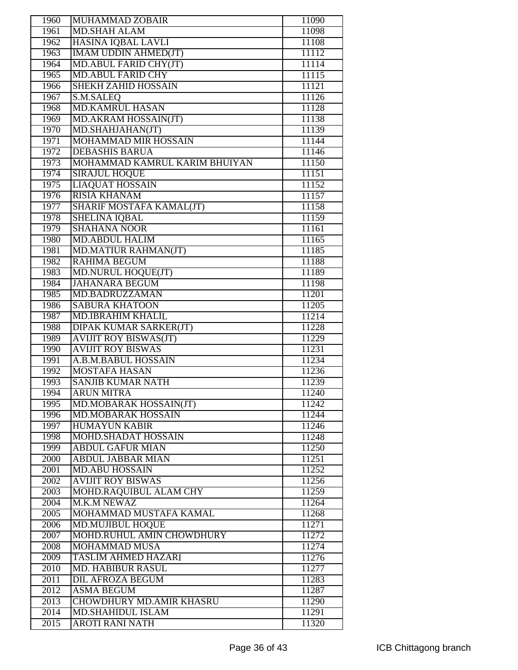| 1960 | MUHAMMAD ZOBAIR                             | 11090 |
|------|---------------------------------------------|-------|
| 1961 | <b>MD.SHAH ALAM</b>                         | 11098 |
| 1962 | <b>HASINA IQBAL LAVLI</b>                   | 11108 |
| 1963 | <b>IMAM UDDIN AHMED(JT)</b>                 | 11112 |
| 1964 | MD.ABUL FARID CHY(JT)                       | 11114 |
| 1965 | <b>MD.ABUL FARID CHY</b>                    | 11115 |
| 1966 | <b>SHEKH ZAHID HOSSAIN</b>                  | 11121 |
| 1967 | S.M.SALEQ                                   | 11126 |
| 1968 | <b>MD.KAMRUL HASAN</b>                      | 11128 |
| 1969 | MD.AKRAM HOSSAIN(JT)                        | 11138 |
| 1970 | MD.SHAHJAHAN(JT)                            | 11139 |
| 1971 | <b>MOHAMMAD MIR HOSSAIN</b>                 | 11144 |
| 1972 | <b>DEBASHIS BARUA</b>                       | 11146 |
| 1973 | MOHAMMAD KAMRUL KARIM BHUIYAN               | 11150 |
| 1974 | <b>SIRAJUL HOQUE</b>                        | 11151 |
| 1975 | <b>LIAQUAT HOSSAIN</b>                      | 11152 |
| 1976 | <b>RISIA KHANAM</b>                         | 11157 |
| 1977 | SHARIF MOSTAFA KAMAL(JT)                    | 11158 |
|      |                                             |       |
| 1978 | <b>SHELINA IQBAL</b><br><b>SHAHANA NOOR</b> | 11159 |
| 1979 |                                             | 11161 |
| 1980 | <b>MD.ABDUL HALIM</b>                       | 11165 |
| 1981 | <b>MD.MATIUR RAHMAN(JT)</b>                 | 11185 |
| 1982 | <b>RAHIMA BEGUM</b>                         | 11188 |
| 1983 | <b>MD.NURUL HOQUE(JT)</b>                   | 11189 |
| 1984 | <b>JAHANARA BEGUM</b>                       | 11198 |
| 1985 | MD.BADRUZZAMAN                              | 11201 |
| 1986 | <b>SABURA KHATOON</b>                       | 11205 |
| 1987 | <b>MD.IBRAHIM KHALIL</b>                    | 11214 |
| 1988 | DIPAK KUMAR SARKER(JT)                      | 11228 |
| 1989 | <b>AVIJIT ROY BISWAS(JT)</b>                | 11229 |
| 1990 | <b>AVIJIT ROY BISWAS</b>                    | 11231 |
| 1991 | A.B.M.BABUL HOSSAIN                         | 11234 |
| 1992 | <b>MOSTAFA HASAN</b>                        | 11236 |
| 1993 | <b>SANJIB KUMAR NATH</b>                    | 11239 |
| 1994 | <b>ARUN MITRA</b>                           | 11240 |
| 1995 | MD.MOBARAK HOSSAIN(JT)                      | 11242 |
| 1996 | <b>MD.MOBARAK HOSSAIN</b>                   | 11244 |
| 1997 | <b>HUMAYUN KABIR</b>                        | 11246 |
| 1998 | MOHD.SHADAT HOSSAIN                         | 11248 |
| 1999 | <b>ABDUL GAFUR MIAN</b>                     | 11250 |
| 2000 | <b>ABDUL JABBAR MIAN</b>                    | 11251 |
| 2001 | <b>MD.ABU HOSSAIN</b>                       | 11252 |
| 2002 | <b>AVIJIT ROY BISWAS</b>                    | 11256 |
| 2003 | MOHD.RAQUIBUL ALAM CHY                      | 11259 |
| 2004 | <b>M.K.M NEWAZ</b>                          | 11264 |
| 2005 | MOHAMMAD MUSTAFA KAMAL                      | 11268 |
| 2006 | <b>MD.MUJIBUL HOQUE</b>                     | 11271 |
| 2007 | MOHD.RUHUL AMIN CHOWDHURY                   | 11272 |
| 2008 | <b>MOHAMMAD MUSA</b>                        | 11274 |
| 2009 | <b>TASLIM AHMED HAZARI</b>                  | 11276 |
| 2010 | <b>MD. HABIBUR RASUL</b>                    | 11277 |
| 2011 | <b>DIL AFROZA BEGUM</b>                     | 11283 |
| 2012 | <b>ASMA BEGUM</b>                           | 11287 |
| 2013 | <b>CHOWDHURY MD.AMIR KHASRU</b>             | 11290 |
| 2014 | <b>MD.SHAHIDUL ISLAM</b>                    | 11291 |
| 2015 | <b>AROTI RANI NATH</b>                      | 11320 |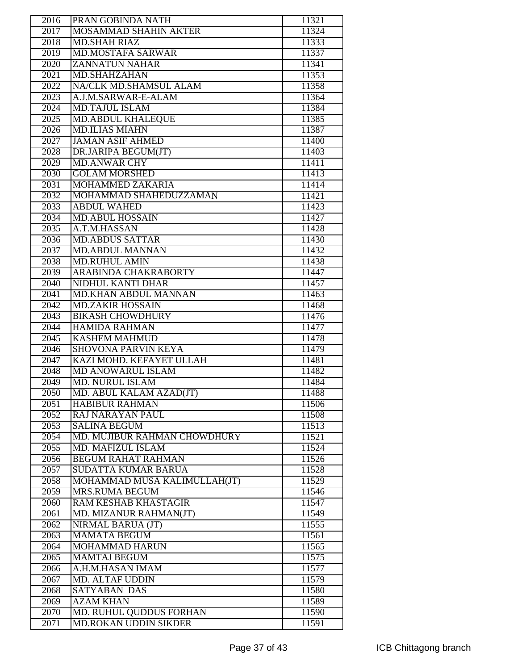| 2016         | PRAN GOBINDA NATH                                        | 11321          |
|--------------|----------------------------------------------------------|----------------|
| 2017         | <b>MOSAMMAD SHAHIN AKTER</b>                             | 11324          |
| 2018         | <b>MD.SHAH RIAZ</b>                                      | 11333          |
| 2019         | <b>MD.MOSTAFA SARWAR</b>                                 | 11337          |
| 2020         | <b>ZANNATUN NAHAR</b>                                    | 11341          |
| 2021         | <b>MD.SHAHZAHAN</b>                                      | 11353          |
| 2022         | NA/CLK MD.SHAMSUL ALAM                                   | 11358          |
| 2023         | A.J.M.SARWAR-E-ALAM                                      | 11364          |
| 2024         | <b>MD.TAJUL ISLAM</b>                                    | 11384          |
| 2025         | <b>MD.ABDUL KHALEQUE</b>                                 | 11385          |
| 2026         | <b>MD.ILIAS MIAHN</b>                                    | 11387          |
| 2027         | <b>JAMAN ASIF AHMED</b>                                  | 11400          |
| 2028         | DR.JARIPA BEGUM(JT)                                      | 11403          |
| 2029         | <b>MD.ANWAR CHY</b>                                      | 11411          |
| 2030         | <b>GOLAM MORSHED</b>                                     | 11413          |
| 2031         | <b>MOHAMMED ZAKARIA</b>                                  | 11414          |
| 2032         | MOHAMMAD SHAHEDUZZAMAN                                   | 11421          |
| 2033         | <b>ABDUL WAHED</b>                                       | 11423          |
| 2034         | <b>MD.ABUL HOSSAIN</b>                                   | 11427          |
| 2035         | A.T.M.HASSAN                                             | 11428          |
| 2036         | <b>MD.ABDUS SATTAR</b>                                   | 11430          |
| 2037         | <b>MD.ABDUL MANNAN</b>                                   | 11432          |
| 2038         | <b>MD.RUHUL AMIN</b>                                     | 11438          |
| 2039         | <b>ARABINDA CHAKRABORTY</b>                              | 11447          |
| 2040         | <b>NIDHUL KANTI DHAR</b>                                 | 11457          |
| 2041         | <b>MD.KHAN ABDUL MANNAN</b>                              | 11463          |
| 2042         | <b>MD.ZAKIR HOSSAIN</b>                                  | 11468          |
| 2043         | <b>BIKASH CHOWDHURY</b>                                  | 11476          |
|              |                                                          |                |
|              |                                                          |                |
| 2044         | <b>HAMIDA RAHMAN</b>                                     | 11477          |
| 2045         | <b>KASHEM MAHMUD</b>                                     | 11478          |
| 2046         | <b>SHOVONA PARVIN KEYA</b>                               | 11479          |
| 2047         | KAZI MOHD. KEFAYET ULLAH                                 | 11481          |
| 2048         | <b>MD ANOWARUL ISLAM</b>                                 | 11482          |
| 2049         | <b>MD. NURUL ISLAM</b>                                   | 11484          |
| 2050         | MD. ABUL KALAM AZAD(JT)                                  | 11488          |
| 2051         | <b>HABIBUR RAHMAN</b>                                    | 11506          |
| 2052         | <b>RAJ NARAYAN PAUL</b>                                  | 11508          |
| 2053         | <b>SALINA BEGUM</b>                                      | 11513          |
| 2054         | MD. MUJIBUR RAHMAN CHOWDHURY<br><b>MD. MAFIZUL ISLAM</b> | 11521          |
| 2055         | <b>BEGUM RAHAT RAHMAN</b>                                | 11524          |
| 2056         |                                                          | 11526          |
| 2057         | <b>SUDATTA KUMAR BARUA</b>                               | 11528          |
| 2058         | MOHAMMAD MUSA KALIMULLAH(JT)                             | 11529          |
| 2059         | <b>MRS.RUMA BEGUM</b><br>RAM KESHAB KHASTAGIR            | 11546          |
| 2060         |                                                          | 11547          |
| 2061<br>2062 | MD. MIZANUR RAHMAN(JT)                                   | 11549<br>11555 |
| 2063         | NIRMAL BARUA (JT)<br><b>MAMATA BEGUM</b>                 | 11561          |
| 2064         | <b>MOHAMMAD HARUN</b>                                    | 11565          |
|              |                                                          |                |
| 2065         | <b>MAMTAJ BEGUM</b><br>A.H.M.HASAN IMAM                  | 11575          |
| 2066<br>2067 | MD. ALTAF UDDIN                                          | 11577<br>11579 |
|              | <b>SATYABAN DAS</b>                                      |                |
| 2068<br>2069 | <b>AZAM KHAN</b>                                         | 11580<br>11589 |
| 2070         | <b>MD. RUHUL QUDDUS FORHAN</b>                           | 11590          |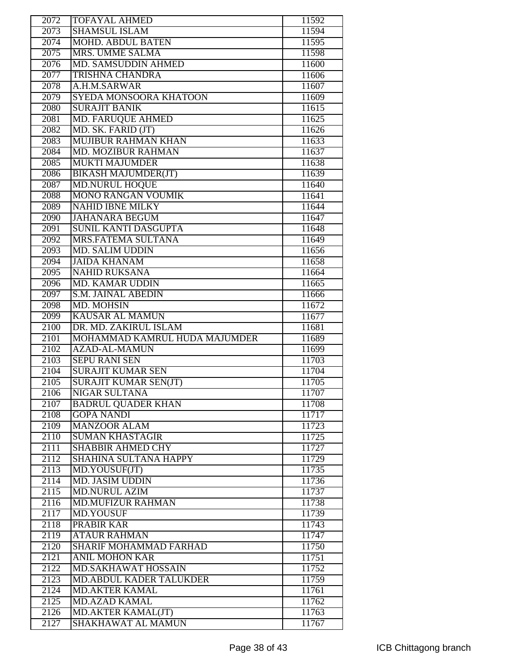| 2072         | <b>TOFAYAL AHMED</b>                            | 11592          |
|--------------|-------------------------------------------------|----------------|
| 2073         | <b>SHAMSUL ISLAM</b>                            | 11594          |
| 2074         | <b>MOHD. ABDUL BATEN</b>                        | 11595          |
| 2075         | MRS. UMME SALMA                                 | 11598          |
| 2076         | MD. SAMSUDDIN AHMED                             | 11600          |
| 2077         | <b>TRISHNA CHANDRA</b>                          | 11606          |
| 2078         | A.H.M.SARWAR                                    | 11607          |
| 2079         | SYEDA MONSOORA KHATOON                          | 11609          |
| 2080         | <b>SURAJIT BANIK</b>                            | 11615          |
| 2081         | <b>MD. FARUQUE AHMED</b>                        | 11625          |
| 2082         | MD. SK. FARID (JT)                              | 11626          |
| 2083         | <b>MUJIBUR RAHMAN KHAN</b>                      | 11633          |
| 2084         | <b>MD. MOZIBUR RAHMAN</b>                       | 11637          |
| 2085         | <b>MUKTI MAJUMDER</b>                           | 11638          |
| 2086         | <b>BIKASH MAJUMDER(JT)</b>                      | 11639          |
| 2087         | <b>MD.NURUL HOQUE</b>                           | 11640          |
| 2088         | <b>MONO RANGAN VOUMIK</b>                       | 11641          |
| 2089         | <b>NAHID IBNE MILKY</b>                         | 11644          |
|              |                                                 |                |
| 2090         | <b>JAHANARA BEGUM</b>                           | 11647          |
| 2091         | <b>SUNIL KANTI DASGUPTA</b>                     | 11648          |
| 2092         | MRS.FATEMA SULTANA                              | 11649          |
| 2093         | <b>MD. SALIM UDDIN</b>                          | 11656          |
| 2094         | <b>JAIDA KHANAM</b>                             | 11658          |
| 2095         | <b>NAHID RUKSANA</b>                            | 11664          |
| 2096         | <b>MD. KAMAR UDDIN</b>                          | 11665          |
| 2097         | <b>S.M. JAINAL ABEDIN</b>                       | 11666          |
| 2098         | MD. MOHSIN                                      | 11672          |
| 2099         | <b>KAUSAR AL MAMUN</b>                          | 11677          |
|              |                                                 |                |
| 2100         | DR. MD. ZAKIRUL ISLAM                           | 11681          |
| 2101         | MOHAMMAD KAMRUL HUDA MAJUMDER                   | 11689          |
| 2102         | <b>AZAD-AL-MAMUN</b>                            | 11699          |
| 2103         | <b>SEPU RANI SEN</b>                            | 11703          |
| 2104         | <b>SURAJIT KUMAR SEN</b>                        | 11704          |
| 2105         | <b>SURAJIT KUMAR SEN(JT)</b>                    | 11705          |
| 2106         | NIGAR SULTANA                                   | 11707          |
| 2107         | <b>BADRUL QUADER KHAN</b>                       | 11708          |
| 2108         | <b>GOPA NANDI</b>                               | 11717          |
| 2109         | <b>MANZOOR ALAM</b>                             | 11723          |
| 2110         | <b>SUMAN KHASTAGIR</b>                          | 11725          |
| 2111         | <b>SHABBIR AHMED CHY</b>                        | 11727          |
| 2112         | <b>SHAHINA SULTANA HAPPY</b>                    | 11729          |
| 2113         | MD.YOUSUF(JT)                                   | 11735          |
| 2114         | <b>MD. JASIM UDDIN</b>                          | 11736          |
| 2115         | <b>MD.NURUL AZIM</b>                            | 11737          |
| 2116         | <b>MD.MUFIZUR RAHMAN</b>                        | 11738          |
| 2117         | MD.YOUSUF                                       | 11739          |
| 2118         | PRABIR KAR                                      | 11743          |
| 2119         | <b>ATAUR RAHMAN</b>                             | 11747          |
| 2120         | <b>SHARIF MOHAMMAD FARHAD</b>                   | 11750          |
| 2121         | <b>ANIL MOHON KAR</b>                           | 11751          |
| 2122         | MD.SAKHAWAT HOSSAIN                             | 11752          |
| 2123         | <b>MD.ABDUL KADER TALUKDER</b>                  | 11759          |
| 2124         | <b>MD.AKTER KAMAL</b>                           | 11761          |
| 2125         | <b>MD.AZAD KAMAL</b>                            | 11762          |
| 2126<br>2127 | <b>MD.AKTER KAMAL(JT)</b><br>SHAKHAWAT AL MAMUN | 11763<br>11767 |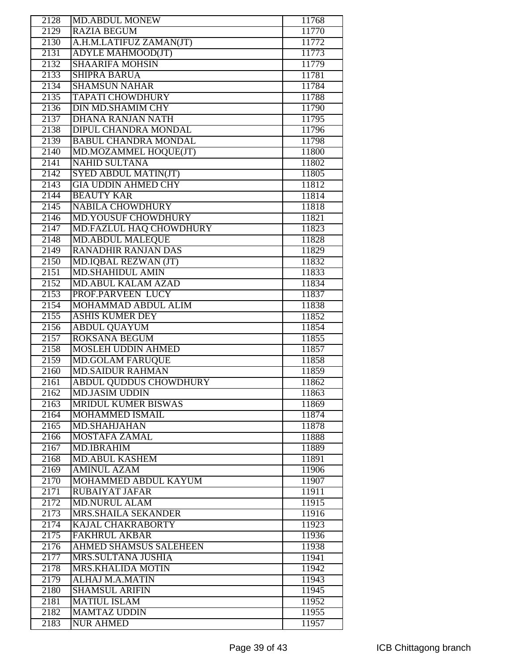| 2128 | <b>MD.ABDUL MONEW</b>          | 11768 |
|------|--------------------------------|-------|
| 2129 | <b>RAZIA BEGUM</b>             | 11770 |
| 2130 | A.H.M.LATIFUZ ZAMAN(JT)        | 11772 |
| 2131 | <b>ADYLE MAHMOOD(JT)</b>       | 11773 |
| 2132 | <b>SHAARIFA MOHSIN</b>         | 11779 |
| 2133 | <b>SHIPRA BARUA</b>            | 11781 |
| 2134 | <b>SHAMSUN NAHAR</b>           | 11784 |
| 2135 | <b>TAPATI CHOWDHURY</b>        | 11788 |
| 2136 | <b>DIN MD.SHAMIM CHY</b>       | 11790 |
| 2137 | <b>DHANA RANJAN NATH</b>       | 11795 |
| 2138 | <b>DIPUL CHANDRA MONDAL</b>    | 11796 |
| 2139 | <b>BABUL CHANDRA MONDAL</b>    | 11798 |
| 2140 | MD.MOZAMMEL HOQUE(JT)          | 11800 |
| 2141 | <b>NAHID SULTANA</b>           | 11802 |
| 2142 | <b>SYED ABDUL MATIN(JT)</b>    | 11805 |
| 2143 | <b>GIA UDDIN AHMED CHY</b>     | 11812 |
| 2144 | <b>BEAUTY KAR</b>              | 11814 |
| 2145 | <b>NABILA CHOWDHURY</b>        | 11818 |
| 2146 | <b>MD.YOUSUF CHOWDHURY</b>     | 11821 |
| 2147 | <b>MD.FAZLUL HAQ CHOWDHURY</b> | 11823 |
| 2148 | <b>MD.ABDUL MALEQUE</b>        | 11828 |
| 2149 | <b>RANADHIR RANJAN DAS</b>     | 11829 |
| 2150 | MD.IQBAL REZWAN (JT)           | 11832 |
| 2151 | <b>MD.SHAHIDUL AMIN</b>        | 11833 |
| 2152 | <b>MD.ABUL KALAM AZAD</b>      | 11834 |
| 2153 | PROF. PARVEEN LUCY             | 11837 |
| 2154 | MOHAMMAD ABDUL ALIM            | 11838 |
| 2155 | <b>ASHIS KUMER DEY</b>         | 11852 |
| 2156 | <b>ABDUL QUAYUM</b>            | 11854 |
| 2157 | <b>ROKSANA BEGUM</b>           | 11855 |
| 2158 | <b>MOSLEH UDDIN AHMED</b>      | 11857 |
| 2159 | <b>MD.GOLAM FARUQUE</b>        | 11858 |
| 2160 | <b>MD.SAIDUR RAHMAN</b>        | 11859 |
| 2161 | <b>ABDUL QUDDUS CHOWDHURY</b>  | 11862 |
| 2162 | <b>MD.JASIM UDDIN</b>          | 11863 |
| 2163 | <b>MRIDUL KUMER BISWAS</b>     | 11869 |
| 2164 | MOHAMMED ISMAIL                | 11874 |
| 2165 | MD.SHAHJAHAN                   | 11878 |
| 2166 | <b>MOSTAFA ZAMAL</b>           | 11888 |
| 2167 | <b>MD.IBRAHIM</b>              | 11889 |
| 2168 | <b>MD.ABUL KASHEM</b>          | 11891 |
| 2169 | <b>AMINUL AZAM</b>             | 11906 |
| 2170 | MOHAMMED ABDUL KAYUM           | 11907 |
| 2171 | RUBAIYAT JAFAR                 | 11911 |
| 2172 | <b>MD.NURUL ALAM</b>           | 11915 |
| 2173 | MRS.SHAILA SEKANDER            | 11916 |
| 2174 | <b>KAJAL CHAKRABORTY</b>       | 11923 |
| 2175 | <b>FAKHRUL AKBAR</b>           | 11936 |
| 2176 | <b>AHMED SHAMSUS SALEHEEN</b>  | 11938 |
| 2177 | <b>MRS.SULTANA JUSHIA</b>      | 11941 |
| 2178 | <b>MRS.KHALIDA MOTIN</b>       | 11942 |
| 2179 | ALHAJ M.A.MATIN                | 11943 |
| 2180 | <b>SHAMSUL ARIFIN</b>          | 11945 |
| 2181 | <b>MATIUL ISLAM</b>            | 11952 |
| 2182 | <b>MAMTAZ UDDIN</b>            | 11955 |
| 2183 | <b>NUR AHMED</b>               | 11957 |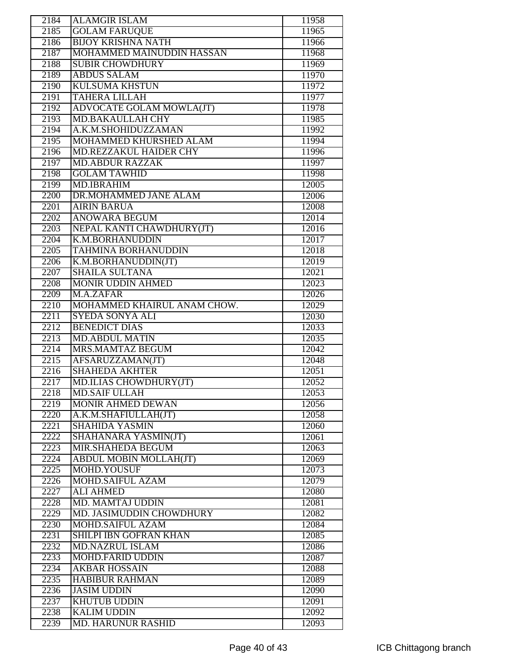| 2184 | <b>ALAMGIR ISLAM</b>          | 11958 |
|------|-------------------------------|-------|
| 2185 | <b>GOLAM FARUOUE</b>          | 11965 |
| 2186 | <b>BIJOY KRISHNA NATH</b>     | 11966 |
| 2187 | MOHAMMED MAINUDDIN HASSAN     | 11968 |
| 2188 | <b>SUBIR CHOWDHURY</b>        | 11969 |
| 2189 | <b>ABDUS SALAM</b>            | 11970 |
| 2190 | <b>KULSUMA KHSTUN</b>         | 11972 |
| 2191 | <b>TAHERA LILLAH</b>          | 11977 |
| 2192 | ADVOCATE GOLAM MOWLA(JT)      | 11978 |
| 2193 | <b>MD.BAKAULLAH CHY</b>       | 11985 |
| 2194 | A.K.M.SHOHIDUZZAMAN           |       |
|      |                               | 11992 |
| 2195 | MOHAMMED KHURSHED ALAM        | 11994 |
| 2196 | MD.REZZAKUL HAIDER CHY        | 11996 |
| 2197 | <b>MD.ABDUR RAZZAK</b>        | 11997 |
| 2198 | <b>GOLAM TAWHID</b>           | 11998 |
| 2199 | <b>MD.IBRAHIM</b>             | 12005 |
| 2200 | DR.MOHAMMED JANE ALAM         | 12006 |
| 2201 | <b>AIRIN BARUA</b>            | 12008 |
| 2202 | <b>ANOWARA BEGUM</b>          | 12014 |
| 2203 | NEPAL KANTI CHAWDHURY(JT)     | 12016 |
| 2204 | <b>K.M.BORHANUDDIN</b>        | 12017 |
| 2205 | <b>TAHMINA BORHANUDDIN</b>    | 12018 |
| 2206 | K.M.BORHANUDDIN(JT)           | 12019 |
| 2207 | <b>SHAILA SULTANA</b>         | 12021 |
| 2208 | <b>MONIR UDDIN AHMED</b>      | 12023 |
| 2209 | M.A.ZAFAR                     | 12026 |
| 2210 | MOHAMMED KHAIRUL ANAM CHOW.   | 12029 |
| 2211 | <b>SYEDA SONYA ALI</b>        | 12030 |
| 2212 | <b>BENEDICT DIAS</b>          | 12033 |
| 2213 | <b>MD.ABDUL MATIN</b>         | 12035 |
| 2214 | MRS.MAMTAZ BEGUM              | 12042 |
| 2215 | AFSARUZZAMAN(JT)              | 12048 |
| 2216 | <b>SHAHEDA AKHTER</b>         | 12051 |
| 2217 | <b>MD.ILIAS CHOWDHURY(JT)</b> | 12052 |
| 2218 | <b>MD.SAIF ULLAH</b>          | 12053 |
|      |                               | 12056 |
| 2219 | <b>MONIR AHMED DEWAN</b>      |       |
| 2220 | A.K.M.SHAFIULLAH(JT)          | 12058 |
| 2221 | <b>SHAHIDA YASMIN</b>         | 12060 |
| 2222 | SHAHANARA YASMIN(JT)          | 12061 |
| 2223 | MIR.SHAHEDA BEGUM             | 12063 |
| 2224 | <b>ABDUL MOBIN MOLLAH(JT)</b> | 12069 |
| 2225 | MOHD.YOUSUF                   | 12073 |
| 2226 | MOHD.SAIFUL AZAM              | 12079 |
| 2227 | <b>ALI AHMED</b>              | 12080 |
| 2228 | <b>MD. MAMTAJ UDDIN</b>       | 12081 |
| 2229 | MD. JASIMUDDIN CHOWDHURY      | 12082 |
| 2230 | <b>MOHD.SAIFUL AZAM</b>       | 12084 |
| 2231 | SHILPI IBN GOFRAN KHAN        | 12085 |
| 2232 | <b>MD.NAZRUL ISLAM</b>        | 12086 |
| 2233 | <b>MOHD.FARID UDDIN</b>       | 12087 |
| 2234 | <b>AKBAR HOSSAIN</b>          | 12088 |
| 2235 | <b>HABIBUR RAHMAN</b>         | 12089 |
| 2236 | <b>JASIM UDDIN</b>            | 12090 |
| 2237 | <b>KHUTUB UDDIN</b>           | 12091 |
| 2238 | <b>KALIM UDDIN</b>            | 12092 |
| 2239 | <b>MD. HARUNUR RASHID</b>     | 12093 |
|      |                               |       |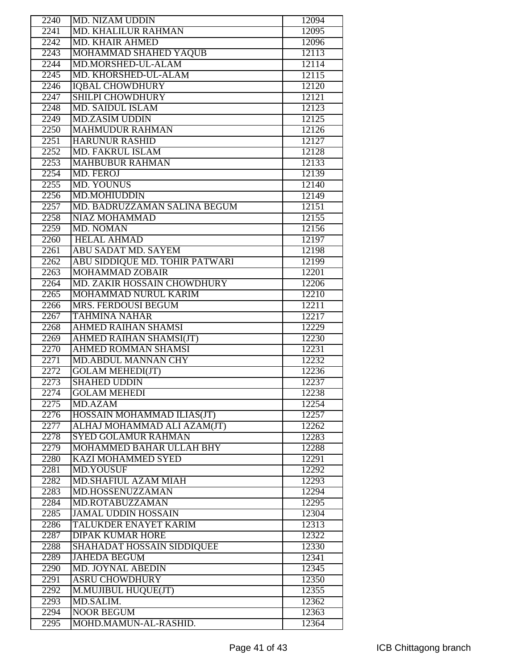| 2240              | <b>MD. NIZAM UDDIN</b>            | 12094 |
|-------------------|-----------------------------------|-------|
| 2241              | <b>MD. KHALILUR RAHMAN</b>        | 12095 |
| 2242              | <b>MD. KHAIR AHMED</b>            | 12096 |
| 2243              | MOHAMMAD SHAHED YAQUB             | 12113 |
| 2244              | MD.MORSHED-UL-ALAM                | 12114 |
| 2245              | MD. KHORSHED-UL-ALAM              | 12115 |
| 2246              | <b>IQBAL CHOWDHURY</b>            | 12120 |
| 2247              | <b>SHILPI CHOWDHURY</b>           | 12121 |
| 2248              | <b>MD. SAIDUL ISLAM</b>           | 12123 |
|                   |                                   |       |
| 2249              | <b>MD.ZASIM UDDIN</b>             | 12125 |
| 2250              | <b>MAHMUDUR RAHMAN</b>            | 12126 |
| $\overline{2251}$ | <b>HARUNUR RASHID</b>             | 12127 |
| 2252              | <b>MD. FAKRUL ISLAM</b>           | 12128 |
| 2253              | <b>MAHBUBUR RAHMAN</b>            | 12133 |
| 2254              | <b>MD. FEROJ</b>                  | 12139 |
| 2255              | <b>MD. YOUNUS</b>                 | 12140 |
| 2256              | MD.MOHIUDDIN                      | 12149 |
| 2257              | MD. BADRUZZAMAN SALINA BEGUM      | 12151 |
| 2258              | <b>NIAZ MOHAMMAD</b>              | 12155 |
| 2259              | MD. NOMAN                         | 12156 |
| 2260              | <b>HELAL AHMAD</b>                | 12197 |
| 2261              | <b>ABU SADAT MD. SAYEM</b>        | 12198 |
| 2262              | ABU SIDDIQUE MD. TOHIR PATWARI    | 12199 |
|                   |                                   |       |
| 2263              | <b>MOHAMMAD ZOBAIR</b>            | 12201 |
| 2264              | MD. ZAKIR HOSSAIN CHOWDHURY       | 12206 |
| 2265              | MOHAMMAD NURUL KARIM              | 12210 |
| 2266              | MRS. FERDOUSI BEGUM               | 12211 |
| 2267              | <b>TAHMINA NAHAR</b>              | 12217 |
| 2268              | AHMED RAIHAN SHAMSI               | 12229 |
| 2269              | AHMED RAIHAN SHAMSI(JT)           | 12230 |
| 2270              | <b>AHMED ROMMAN SHAMSI</b>        | 12231 |
| 2271              | <b>MD.ABDUL MANNAN CHY</b>        | 12232 |
| 2272              | <b>GOLAM MEHEDI(JT)</b>           | 12236 |
| 2273              | <b>SHAHED UDDIN</b>               | 12237 |
| 2274              | <b>GOLAM MEHEDI</b>               | 12238 |
| 2275              | MD.AZAM                           | 12254 |
| 2276              | HOSSAIN MOHAMMAD ILIAS(JT)        | 12257 |
| 2277              | ALHAJ MOHAMMAD ALI AZAM(JT)       | 12262 |
| 2278              | <b>SYED GOLAMUR RAHMAN</b>        | 12283 |
| 2279              | <b>MOHAMMED BAHAR ULLAH BHY</b>   | 12288 |
| 2280              | KAZI MOHAMMED SYED                | 12291 |
| 2281              | <b>MD.YOUSUF</b>                  | 12292 |
|                   |                                   |       |
| 2282              | <b>MD.SHAFIUL AZAM MIAH</b>       | 12293 |
| 2283              | MD.HOSSENUZZAMAN                  | 12294 |
| 2284              | MD.ROTABUZZAMAN                   | 12295 |
| 2285              | <b>JAMAL UDDIN HOSSAIN</b>        | 12304 |
| 2286              | TALUKDER ENAYET KARIM             | 12313 |
| 2287              | <b>DIPAK KUMAR HORE</b>           | 12322 |
| 2288              | <b>SHAHADAT HOSSAIN SIDDIQUEE</b> | 12330 |
| 2289              | <b>JAHEDA BEGUM</b>               | 12341 |
| 2290              | <b>MD. JOYNAL ABEDIN</b>          | 12345 |
| 2291              | <b>ASRU CHOWDHURY</b>             | 12350 |
| 2292              | M.MUJIBUL HUQUE(JT)               | 12355 |
| 2293              | MD.SALIM.                         | 12362 |
| 2294              | <b>NOOR BEGUM</b>                 | 12363 |
| 2295              | MOHD.MAMUN-AL-RASHID.             | 12364 |
|                   |                                   |       |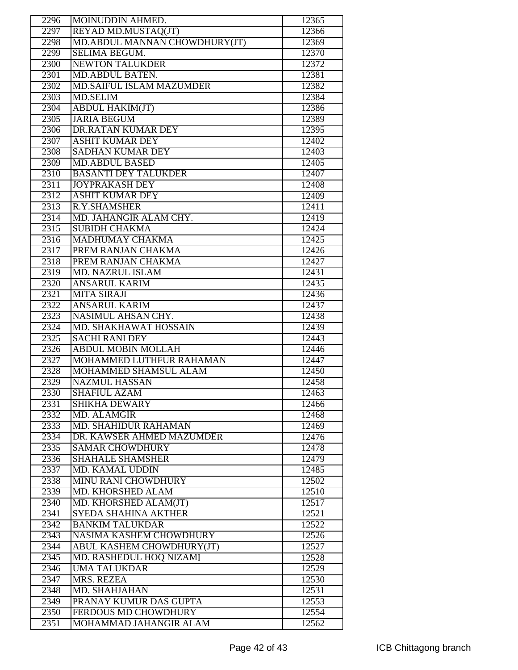| 2296 | MOINUDDIN AHMED.                | 12365              |
|------|---------------------------------|--------------------|
| 2297 | REYAD MD.MUSTAQ(JT)             | 12366              |
| 2298 | MD.ABDUL MANNAN CHOWDHURY(JT)   | 12369              |
| 2299 | <b>SELIMA BEGUM.</b>            | 12370              |
| 2300 | <b>NEWTON TALUKDER</b>          | 12372              |
| 2301 | <b>MD.ABDUL BATEN.</b>          | 12381              |
| 2302 | <b>MD.SAIFUL ISLAM MAZUMDER</b> | 12382              |
| 2303 | <b>MD.SELIM</b>                 | 12384              |
| 2304 | <b>ABDUL HAKIM(JT)</b>          | 12386              |
|      | <b>JARIA BEGUM</b>              |                    |
| 2305 | <b>DR.RATAN KUMAR DEY</b>       | 12389              |
| 2306 |                                 | 12395              |
| 2307 | <b>ASHIT KUMAR DEY</b>          | 12402              |
| 2308 | <b>SADHAN KUMAR DEY</b>         | 12403              |
| 2309 | <b>MD.ABDUL BASED</b>           | 12405              |
| 2310 | <b>BASANTI DEY TALUKDER</b>     | 12407              |
| 2311 | <b>JOYPRAKASH DEY</b>           | 12408              |
| 2312 | <b>ASHIT KUMAR DEY</b>          | 12409              |
| 2313 | R.Y.SHAMSHER                    | 12411              |
| 2314 | MD. JAHANGIR ALAM CHY.          | 12419              |
| 2315 | <b>SUBIDH CHAKMA</b>            | 12424              |
| 2316 | MADHUMAY CHAKMA                 | 12425              |
| 2317 | PREM RANJAN CHAKMA              | 12426              |
| 2318 | PREM RANJAN CHAKMA              | 12427              |
| 2319 | <b>MD. NAZRUL ISLAM</b>         | 12431              |
| 2320 | <b>ANSARUL KARIM</b>            | 12435              |
| 2321 | <b>MITA SIRAJI</b>              | 12436              |
| 2322 | <b>ANSARUL KARIM</b>            | 12437              |
| 2323 | NASIMUL AHSAN CHY.              | 12438              |
| 2324 | MD. SHAKHAWAT HOSSAIN           | 12439              |
|      |                                 | 12443              |
| 2325 | <b>SACHI RANI DEY</b>           |                    |
| 2326 | <b>ABDUL MOBIN MOLLAH</b>       | 12446              |
| 2327 | MOHAMMED LUTHFUR RAHAMAN        | 12447              |
| 2328 | <b>MOHAMMED SHAMSUL ALAM</b>    | 12450              |
| 2329 | <b>NAZMUL HASSAN</b>            | 12458              |
| 2330 | <b>SHAFIUL AZAM</b>             | 12463              |
| 2331 | <b>SHIKHA DEWARY</b>            | 12466              |
| 2332 | MD. ALAMGIR                     | 12468              |
| 2333 | <b>MD. SHAHIDUR RAHAMAN</b>     | 12469              |
| 2334 | DR. KAWSER AHMED MAZUMDER       | 12476              |
| 2335 | <b>SAMAR CHOWDHURY</b>          | 12478              |
| 2336 | <b>SHAHALE SHAMSHER</b>         | 12479              |
| 2337 | <b>MD. KAMAL UDDIN</b>          | 12485              |
| 2338 | <b>MINU RANI CHOWDHURY</b>      | 12502              |
| 2339 | MD. KHORSHED ALAM               | 12510              |
| 2340 | MD. KHORSHED ALAM(JT)           | 12517              |
| 2341 | SYEDA SHAHINA AKTHER            | $12\overline{521}$ |
| 2342 | <b>BANKIM TALUKDAR</b>          | 12522              |
| 2343 | <b>NASIMA KASHEM CHOWDHURY</b>  | 12526              |
| 2344 | ABUL KASHEM CHOWDHURY(JT)       | 12527              |
| 2345 | MD. RASHEDUL HOQ NIZAMI         | 12528              |
|      | <b>UMA TALUKDAR</b>             | 12529              |
| 2346 |                                 |                    |
| 2347 | MRS. REZEA                      | 12530              |
| 2348 | <b>MD. SHAHJAHAN</b>            | 12531              |
| 2349 | PRANAY KUMUR DAS GUPTA          | 12553              |
| 2350 | <b>FERDOUS MD CHOWDHURY</b>     | 12554              |
| 2351 | MOHAMMAD JAHANGIR ALAM          | 12562              |